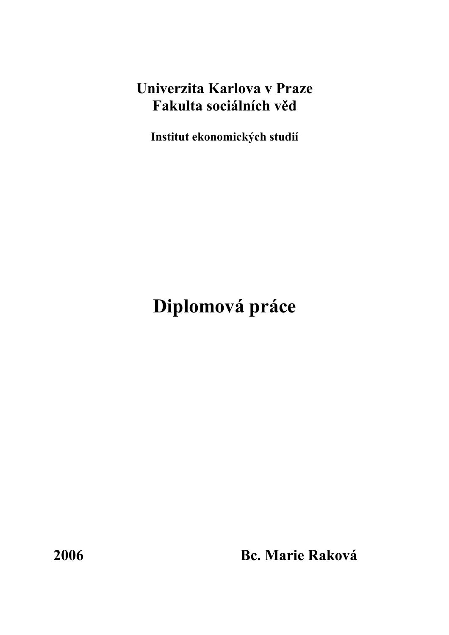# **Univerzita Karlova v Praze Fakulta sociálních věd**

**Institut ekonomických studií** 

# **Diplomová práce**

**2006 Bc. Marie Raková**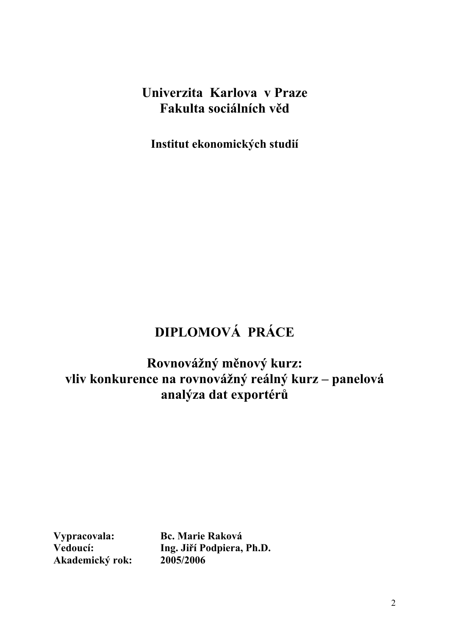# **Univerzita Karlova v Praze Fakulta sociálních věd**

**Institut ekonomických studií** 

# **DIPLOMOVÁ PRÁCE**

**Rovnovážný měnový kurz: vliv konkurence na rovnovážný reálný kurz – panelová analýza dat exportérů**

**Akademický rok: 2005/2006** 

**Vypracovala: Bc. Marie Raková Vedoucí: Ing. Jiří Podpiera, Ph.D.**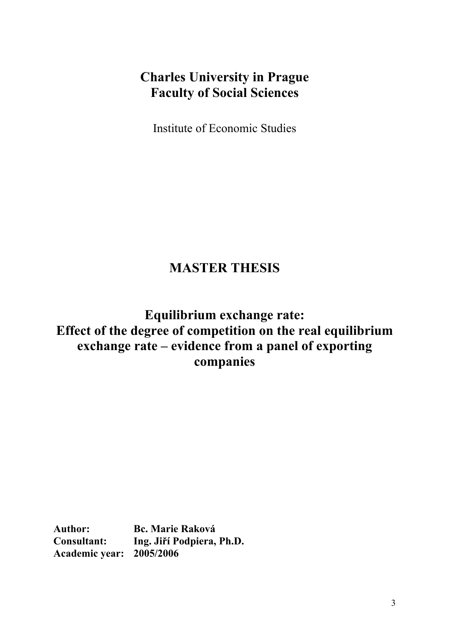# **Charles University in Prague Faculty of Social Sciences**

Institute of Economic Studies

# **MASTER THESIS**

**Equilibrium exchange rate: Effect of the degree of competition on the real equilibrium exchange rate – evidence from a panel of exporting companies** 

**Author: Bc. Marie Raková Consultant: Ing. Jiří Podpiera, Ph.D. Academic year: 2005/2006**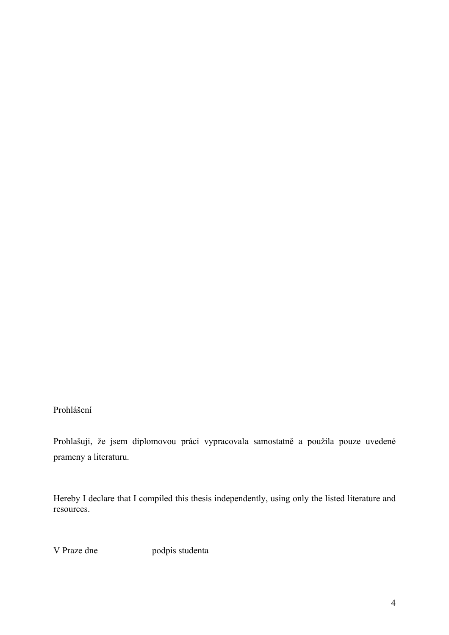Prohlášení

Prohlašuji, že jsem diplomovou práci vypracovala samostatně a použila pouze uvedené prameny a literaturu.

Hereby I declare that I compiled this thesis independently, using only the listed literature and resources.

V Praze dne podpis studenta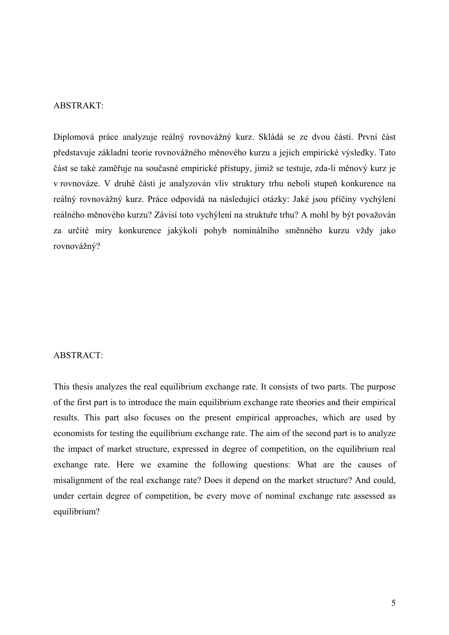#### ABSTRAKT:

Diplomová práce analyzuje reálný rovnovážný kurz. Skládá se ze dvou částí. První část představuje základní teorie rovnovážného měnového kurzu a jejich empirické výsledky. Tato část se také zaměřuje na současné empirické přístupy, jimiž se testuje, zda-li měnový kurz je v rovnováze. V druhé části je analyzován vliv struktury trhu neboli stupeň konkurence na reálný rovnovážný kurz. Práce odpovídá na následující otázky: Jaké jsou příčiny vychýlení reálného měnového kurzu? Závisí toto vychýlení na struktuře trhu? A mohl by být považován za určité míry konkurence jakýkoli pohyb nominálního směnného kurzu vždy jako rovnovážný?

#### ABSTRACT:

This thesis analyzes the real equilibrium exchange rate. It consists of two parts. The purpose of the first part is to introduce the main equilibrium exchange rate theories and their empirical results. This part also focuses on the present empirical approaches, which are used by economists for testing the equilibrium exchange rate. The aim of the second part is to analyze the impact of market structure, expressed in degree of competition, on the equilibrium real exchange rate. Here we examine the following questions: What are the causes of misalignment of the real exchange rate? Does it depend on the market structure? And could, under certain degree of competition, be every move of nominal exchange rate assessed as equilibrium?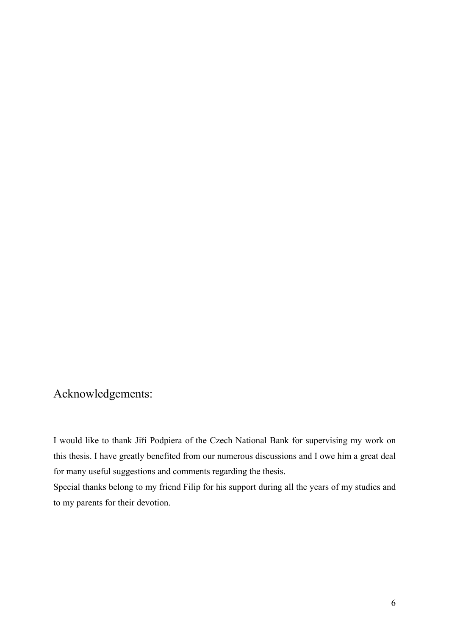### Acknowledgements:

I would like to thank Jiří Podpiera of the Czech National Bank for supervising my work on this thesis. I have greatly benefited from our numerous discussions and I owe him a great deal for many useful suggestions and comments regarding the thesis.

Special thanks belong to my friend Filip for his support during all the years of my studies and to my parents for their devotion.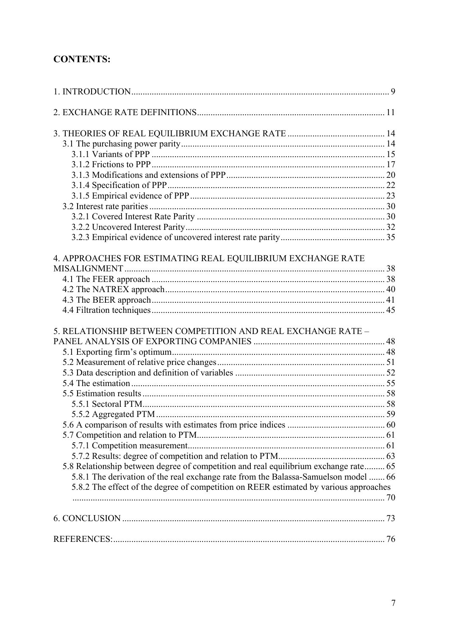### **CONTENTS:**

| 4. APPROACHES FOR ESTIMATING REAL EQUILIBRIUM EXCHANGE RATE                           |  |
|---------------------------------------------------------------------------------------|--|
|                                                                                       |  |
|                                                                                       |  |
|                                                                                       |  |
|                                                                                       |  |
|                                                                                       |  |
| 5. RELATIONSHIP BETWEEN COMPETITION AND REAL EXCHANGE RATE -                          |  |
|                                                                                       |  |
|                                                                                       |  |
|                                                                                       |  |
|                                                                                       |  |
|                                                                                       |  |
|                                                                                       |  |
|                                                                                       |  |
|                                                                                       |  |
|                                                                                       |  |
|                                                                                       |  |
|                                                                                       |  |
|                                                                                       |  |
| 5.8 Relationship between degree of competition and real equilibrium exchange rate 65  |  |
| 5.8.1 The derivation of the real exchange rate from the Balassa-Samuelson model  66   |  |
| 5.8.2 The effect of the degree of competition on REER estimated by various approaches |  |
|                                                                                       |  |
|                                                                                       |  |
|                                                                                       |  |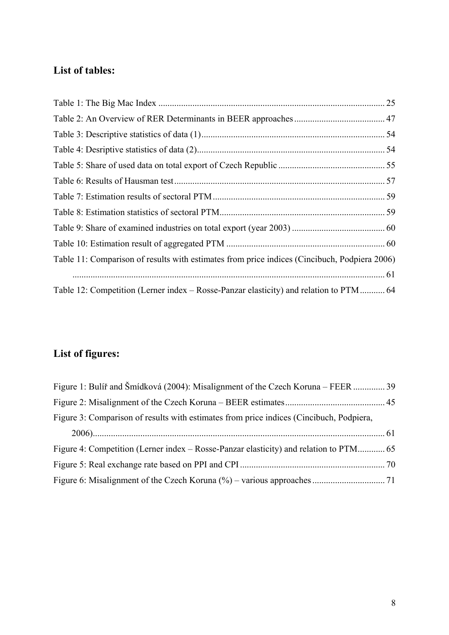### **List of tables:**

| Table 11: Comparison of results with estimates from price indices (Cincibuch, Podpiera 2006) |  |
|----------------------------------------------------------------------------------------------|--|
|                                                                                              |  |
| Table 12: Competition (Lerner index – Rosse-Panzar elasticity) and relation to PTM 64        |  |

### **List of figures:**

| Figure 1: Buliř and Šmídková (2004): Misalignment of the Czech Koruna – FEER  39        |  |
|-----------------------------------------------------------------------------------------|--|
|                                                                                         |  |
| Figure 3: Comparison of results with estimates from price indices (Cincibuch, Podpiera, |  |
|                                                                                         |  |
|                                                                                         |  |
|                                                                                         |  |
|                                                                                         |  |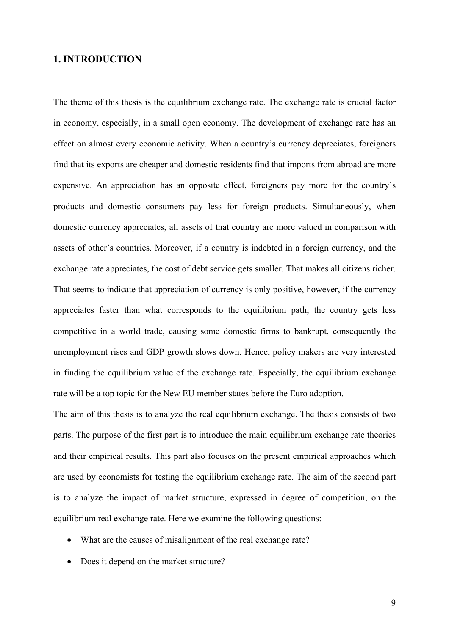#### **1. INTRODUCTION**

The theme of this thesis is the equilibrium exchange rate. The exchange rate is crucial factor in economy, especially, in a small open economy. The development of exchange rate has an effect on almost every economic activity. When a country's currency depreciates, foreigners find that its exports are cheaper and domestic residents find that imports from abroad are more expensive. An appreciation has an opposite effect, foreigners pay more for the country's products and domestic consumers pay less for foreign products. Simultaneously, when domestic currency appreciates, all assets of that country are more valued in comparison with assets of other's countries. Moreover, if a country is indebted in a foreign currency, and the exchange rate appreciates, the cost of debt service gets smaller. That makes all citizens richer. That seems to indicate that appreciation of currency is only positive, however, if the currency appreciates faster than what corresponds to the equilibrium path, the country gets less competitive in a world trade, causing some domestic firms to bankrupt, consequently the unemployment rises and GDP growth slows down. Hence, policy makers are very interested in finding the equilibrium value of the exchange rate. Especially, the equilibrium exchange rate will be a top topic for the New EU member states before the Euro adoption.

The aim of this thesis is to analyze the real equilibrium exchange. The thesis consists of two parts. The purpose of the first part is to introduce the main equilibrium exchange rate theories and their empirical results. This part also focuses on the present empirical approaches which are used by economists for testing the equilibrium exchange rate. The aim of the second part is to analyze the impact of market structure, expressed in degree of competition, on the equilibrium real exchange rate. Here we examine the following questions:

- What are the causes of misalignment of the real exchange rate?
- Does it depend on the market structure?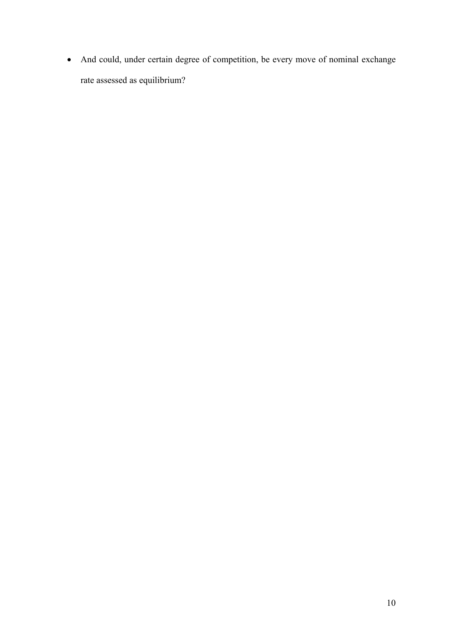• And could, under certain degree of competition, be every move of nominal exchange rate assessed as equilibrium?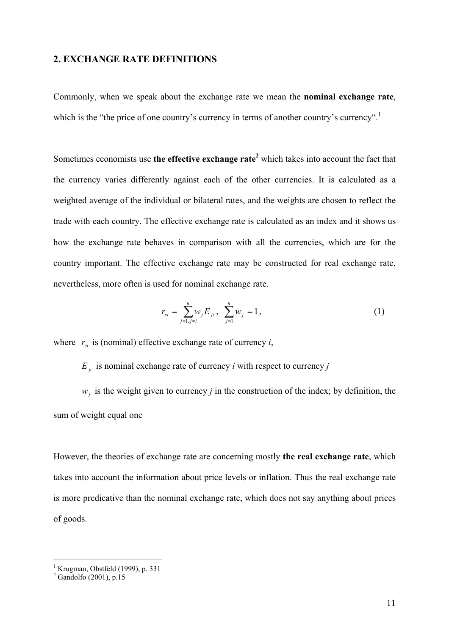#### **2. EXCHANGE RATE DEFINITIONS**

Commonly, when we speak about the exchange rate we mean the **nominal exchange rate**, which is the "the price of one country's currency in terms of another country's currency".<sup>1</sup>

Sometimes economists use the effective exchange rate<sup>2</sup> which takes into account the fact that the currency varies differently against each of the other currencies. It is calculated as a weighted average of the individual or bilateral rates, and the weights are chosen to reflect the trade with each country. The effective exchange rate is calculated as an index and it shows us how the exchange rate behaves in comparison with all the currencies, which are for the country important. The effective exchange rate may be constructed for real exchange rate, nevertheless, more often is used for nominal exchange rate.

$$
r_{ei} = \sum_{j=1, j\neq i}^{n} w_j E_{ji}, \ \sum_{j=1}^{n} w_j = 1, \tag{1}
$$

where  $r_{ei}$  is (nominal) effective exchange rate of currency *i*,

 $E_{ij}$  is nominal exchange rate of currency *i* with respect to currency *j* 

 $w_i$  is the weight given to currency *j* in the construction of the index; by definition, the sum of weight equal one

However, the theories of exchange rate are concerning mostly **the real exchange rate**, which takes into account the information about price levels or inflation. Thus the real exchange rate is more predicative than the nominal exchange rate, which does not say anything about prices of goods.

 1 Krugman, Obstfeld (1999), p. 331 2 Gandolfo (2001), p.15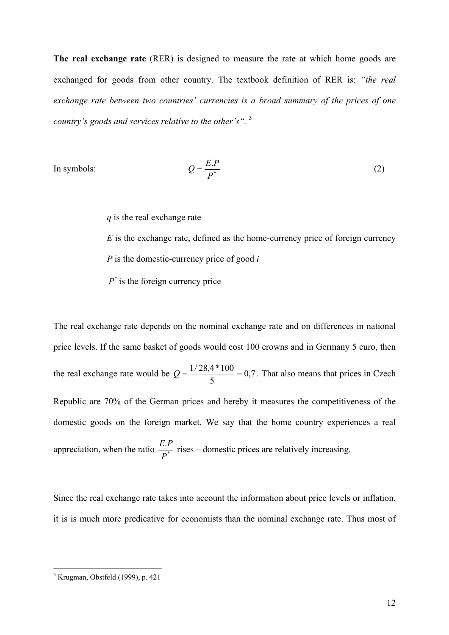**The real exchange rate** (RER) is designed to measure the rate at which home goods are exchanged for goods from other country. The textbook definition of RER is: *"the real exchange rate between two countries' currencies is a broad summary of the prices of one country's goods and services relative to the other's".* <sup>3</sup>

In symbols:

$$
Q = \frac{E.P}{P^*}
$$
 (2)

*q* is the real exchange rate

*E* is the exchange rate, defined as the home-currency price of foreign currency *P* is the domestic-currency price of good *i*

 $P^*$  is the foreign currency price

The real exchange rate depends on the nominal exchange rate and on differences in national price levels. If the same basket of goods would cost 100 crowns and in Germany 5 euro, then the real exchange rate would be  $Q = \frac{1720}{100} = 0.7$ 5  $Q = \frac{1/28.4*100}{I} = 0.7$ . That also means that prices in Czech Republic are 70% of the German prices and hereby it measures the competitiveness of the domestic goods on the foreign market. We say that the home country experiences a real appreciation, when the ratio  $\frac{E.I}{D^*}$ *P*  $\frac{E.P}{\sigma^*}$  rises – domestic prices are relatively increasing.

Since the real exchange rate takes into account the information about price levels or inflation, it is is much more predicative for economists than the nominal exchange rate. Thus most of

 3 Krugman, Obstfeld (1999), p. 421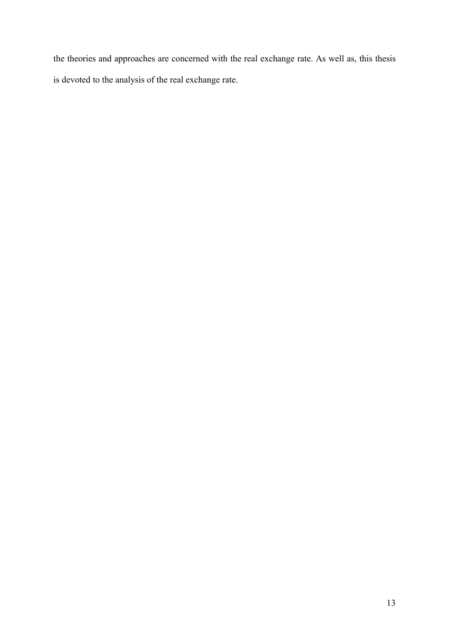the theories and approaches are concerned with the real exchange rate. As well as, this thesis is devoted to the analysis of the real exchange rate.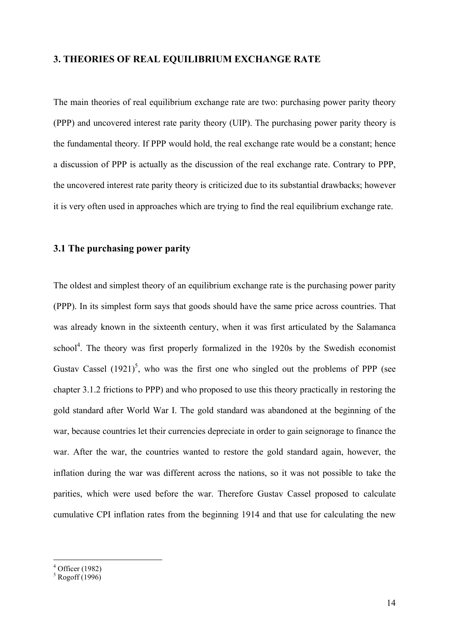#### **3. THEORIES OF REAL EQUILIBRIUM EXCHANGE RATE**

The main theories of real equilibrium exchange rate are two: purchasing power parity theory (PPP) and uncovered interest rate parity theory (UIP). The purchasing power parity theory is the fundamental theory. If PPP would hold, the real exchange rate would be a constant; hence a discussion of PPP is actually as the discussion of the real exchange rate. Contrary to PPP, the uncovered interest rate parity theory is criticized due to its substantial drawbacks; however it is very often used in approaches which are trying to find the real equilibrium exchange rate.

#### **3.1 The purchasing power parity**

The oldest and simplest theory of an equilibrium exchange rate is the purchasing power parity (PPP). In its simplest form says that goods should have the same price across countries. That was already known in the sixteenth century, when it was first articulated by the Salamanca school<sup>4</sup>. The theory was first properly formalized in the 1920s by the Swedish economist Gustav Cassel  $(1921)^5$ , who was the first one who singled out the problems of PPP (see chapter 3.1.2 frictions to PPP) and who proposed to use this theory practically in restoring the gold standard after World War I. The gold standard was abandoned at the beginning of the war, because countries let their currencies depreciate in order to gain seignorage to finance the war. After the war, the countries wanted to restore the gold standard again, however, the inflation during the war was different across the nations, so it was not possible to take the parities, which were used before the war. Therefore Gustav Cassel proposed to calculate cumulative CPI inflation rates from the beginning 1914 and that use for calculating the new

 $4$  Officer (1982)

 $<sup>5</sup>$  Rogoff (1996)</sup>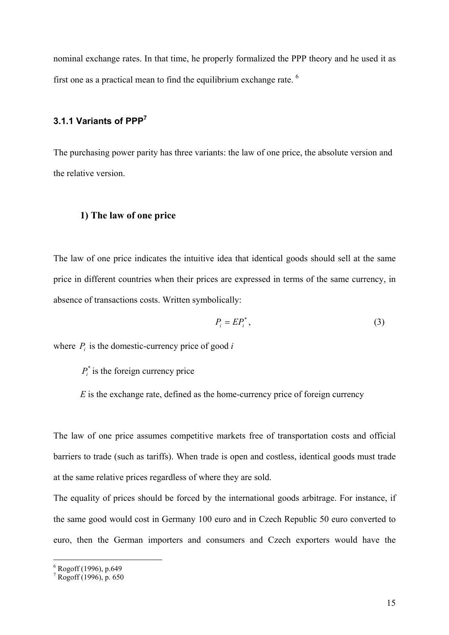nominal exchange rates. In that time, he properly formalized the PPP theory and he used it as first one as a practical mean to find the equilibrium exchange rate.  $6\overline{ }$ 

### **3.1.1 Variants of PPP7**

The purchasing power parity has three variants: the law of one price, the absolute version and the relative version.

#### **1) The law of one price**

The law of one price indicates the intuitive idea that identical goods should sell at the same price in different countries when their prices are expressed in terms of the same currency, in absence of transactions costs. Written symbolically:

$$
P_i = EP_i^*,\tag{3}
$$

where  $P_i$  is the domestic-currency price of good  $i$ 

 $P_i^*$  is the foreign currency price

*E* is the exchange rate, defined as the home-currency price of foreign currency

The law of one price assumes competitive markets free of transportation costs and official barriers to trade (such as tariffs). When trade is open and costless, identical goods must trade at the same relative prices regardless of where they are sold.

The equality of prices should be forced by the international goods arbitrage. For instance, if the same good would cost in Germany 100 euro and in Czech Republic 50 euro converted to euro, then the German importers and consumers and Czech exporters would have the

 6 Rogoff (1996), p.649 7 Rogoff (1996), p. 650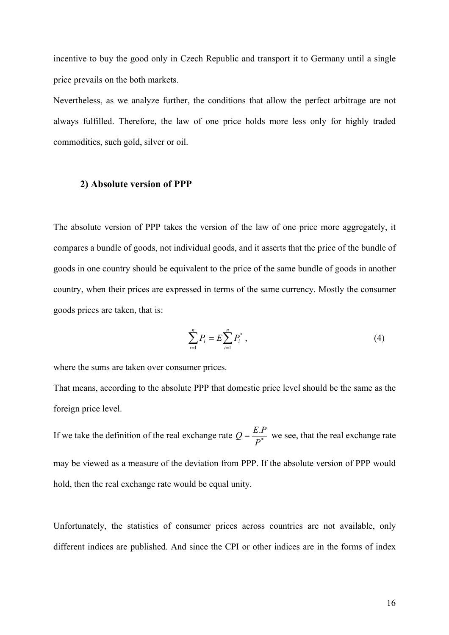incentive to buy the good only in Czech Republic and transport it to Germany until a single price prevails on the both markets.

Nevertheless, as we analyze further, the conditions that allow the perfect arbitrage are not always fulfilled. Therefore, the law of one price holds more less only for highly traded commodities, such gold, silver or oil.

#### **2) Absolute version of PPP**

The absolute version of PPP takes the version of the law of one price more aggregately, it compares a bundle of goods, not individual goods, and it asserts that the price of the bundle of goods in one country should be equivalent to the price of the same bundle of goods in another country, when their prices are expressed in terms of the same currency. Mostly the consumer goods prices are taken, that is:

$$
\sum_{i=1}^{n} P_i = E \sum_{i=1}^{n} P_i^*, \qquad (4)
$$

where the sums are taken over consumer prices.

That means, according to the absolute PPP that domestic price level should be the same as the foreign price level.

If we take the definition of the real exchange rate  $Q = \frac{E}{R}$ *P*  $Q = \frac{E.P}{\sqrt{2\pi}}$  we see, that the real exchange rate may be viewed as a measure of the deviation from PPP. If the absolute version of PPP would hold, then the real exchange rate would be equal unity.

Unfortunately, the statistics of consumer prices across countries are not available, only different indices are published. And since the CPI or other indices are in the forms of index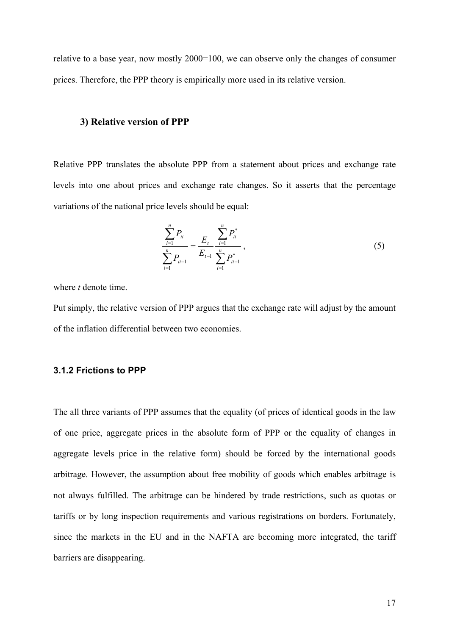relative to a base year, now mostly 2000=100, we can observe only the changes of consumer prices. Therefore, the PPP theory is empirically more used in its relative version.

#### **3) Relative version of PPP**

Relative PPP translates the absolute PPP from a statement about prices and exchange rate levels into one about prices and exchange rate changes. So it asserts that the percentage variations of the national price levels should be equal:

$$
\frac{\sum_{i=1}^{n} P_{it}}{\sum_{i=1}^{n} P_{it-1}} = \frac{E_t}{E_{t-1}} \frac{\sum_{i=1}^{n} P_{it}^*}{\sum_{i=1}^{n} P_{it-1}^*},
$$
\n(5)

where *t* denote time.

Put simply, the relative version of PPP argues that the exchange rate will adjust by the amount of the inflation differential between two economies.

#### **3.1.2 Frictions to PPP**

The all three variants of PPP assumes that the equality (of prices of identical goods in the law of one price, aggregate prices in the absolute form of PPP or the equality of changes in aggregate levels price in the relative form) should be forced by the international goods arbitrage. However, the assumption about free mobility of goods which enables arbitrage is not always fulfilled. The arbitrage can be hindered by trade restrictions, such as quotas or tariffs or by long inspection requirements and various registrations on borders. Fortunately, since the markets in the EU and in the NAFTA are becoming more integrated, the tariff barriers are disappearing.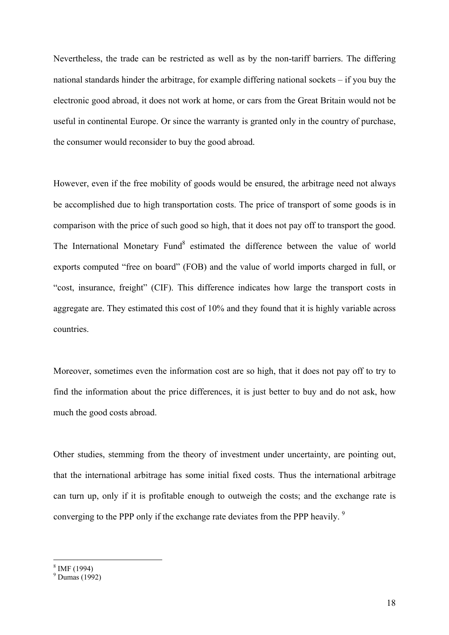Nevertheless, the trade can be restricted as well as by the non-tariff barriers. The differing national standards hinder the arbitrage, for example differing national sockets – if you buy the electronic good abroad, it does not work at home, or cars from the Great Britain would not be useful in continental Europe. Or since the warranty is granted only in the country of purchase, the consumer would reconsider to buy the good abroad.

However, even if the free mobility of goods would be ensured, the arbitrage need not always be accomplished due to high transportation costs. The price of transport of some goods is in comparison with the price of such good so high, that it does not pay off to transport the good. The International Monetary Fund<sup>8</sup> estimated the difference between the value of world exports computed "free on board" (FOB) and the value of world imports charged in full, or "cost, insurance, freight" (CIF). This difference indicates how large the transport costs in aggregate are. They estimated this cost of 10% and they found that it is highly variable across countries.

Moreover, sometimes even the information cost are so high, that it does not pay off to try to find the information about the price differences, it is just better to buy and do not ask, how much the good costs abroad.

Other studies, stemming from the theory of investment under uncertainty, are pointing out, that the international arbitrage has some initial fixed costs. Thus the international arbitrage can turn up, only if it is profitable enough to outweigh the costs; and the exchange rate is converging to the PPP only if the exchange rate deviates from the PPP heavily.<sup>9</sup>

<sup>8</sup> IMF (1994)

<sup>9</sup> Dumas (1992)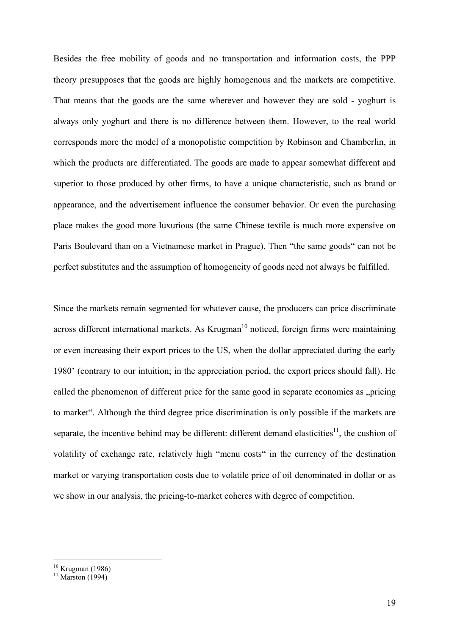Besides the free mobility of goods and no transportation and information costs, the PPP theory presupposes that the goods are highly homogenous and the markets are competitive. That means that the goods are the same wherever and however they are sold - yoghurt is always only yoghurt and there is no difference between them. However, to the real world corresponds more the model of a monopolistic competition by Robinson and Chamberlin, in which the products are differentiated. The goods are made to appear somewhat different and superior to those produced by other firms, to have a unique characteristic, such as brand or appearance, and the advertisement influence the consumer behavior. Or even the purchasing place makes the good more luxurious (the same Chinese textile is much more expensive on Paris Boulevard than on a Vietnamese market in Prague). Then "the same goods" can not be perfect substitutes and the assumption of homogeneity of goods need not always be fulfilled.

Since the markets remain segmented for whatever cause, the producers can price discriminate across different international markets. As  $Krugman<sup>10</sup>$  noticed, foreign firms were maintaining or even increasing their export prices to the US, when the dollar appreciated during the early 1980' (contrary to our intuition; in the appreciation period, the export prices should fall). He called the phenomenon of different price for the same good in separate economies as "pricing to market". Although the third degree price discrimination is only possible if the markets are separate, the incentive behind may be different: different demand elasticities<sup>11</sup>, the cushion of volatility of exchange rate, relatively high "menu costs" in the currency of the destination market or varying transportation costs due to volatile price of oil denominated in dollar or as we show in our analysis, the pricing-to-market coheres with degree of competition.

 $10$  Krugman (1986)

 $11$  Marston (1994)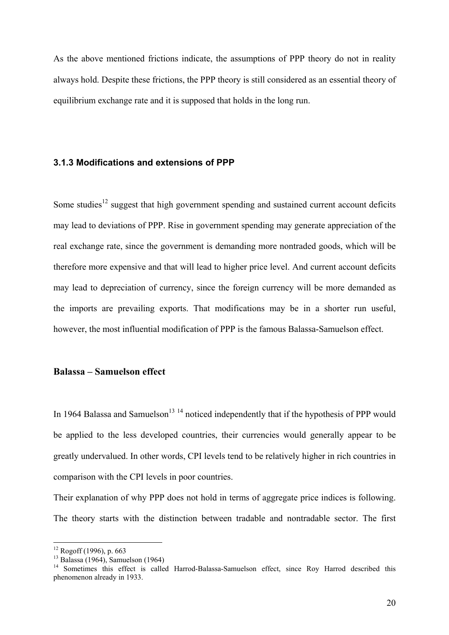As the above mentioned frictions indicate, the assumptions of PPP theory do not in reality always hold. Despite these frictions, the PPP theory is still considered as an essential theory of equilibrium exchange rate and it is supposed that holds in the long run.

#### **3.1.3 Modifications and extensions of PPP**

Some studies<sup>12</sup> suggest that high government spending and sustained current account deficits may lead to deviations of PPP. Rise in government spending may generate appreciation of the real exchange rate, since the government is demanding more nontraded goods, which will be therefore more expensive and that will lead to higher price level. And current account deficits may lead to depreciation of currency, since the foreign currency will be more demanded as the imports are prevailing exports. That modifications may be in a shorter run useful, however, the most influential modification of PPP is the famous Balassa-Samuelson effect.

#### **Balassa – Samuelson effect**

In 1964 Balassa and Samuelson<sup>13</sup> <sup>14</sup> noticed independently that if the hypothesis of PPP would be applied to the less developed countries, their currencies would generally appear to be greatly undervalued. In other words, CPI levels tend to be relatively higher in rich countries in comparison with the CPI levels in poor countries.

Their explanation of why PPP does not hold in terms of aggregate price indices is following. The theory starts with the distinction between tradable and nontradable sector. The first

 $\overline{a}$ 

 $12$  Rogoff (1996), p. 663

<sup>13</sup> Balassa (1964), Samuelson (1964)

<sup>&</sup>lt;sup>14</sup> Sometimes this effect is called Harrod-Balassa-Samuelson effect, since Roy Harrod described this phenomenon already in 1933.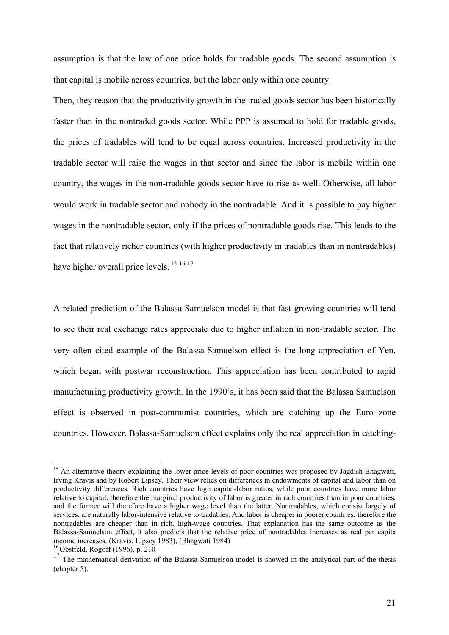assumption is that the law of one price holds for tradable goods. The second assumption is that capital is mobile across countries, but the labor only within one country.

Then, they reason that the productivity growth in the traded goods sector has been historically faster than in the nontraded goods sector. While PPP is assumed to hold for tradable goods, the prices of tradables will tend to be equal across countries. Increased productivity in the tradable sector will raise the wages in that sector and since the labor is mobile within one country, the wages in the non-tradable goods sector have to rise as well. Otherwise, all labor would work in tradable sector and nobody in the nontradable. And it is possible to pay higher wages in the nontradable sector, only if the prices of nontradable goods rise. This leads to the fact that relatively richer countries (with higher productivity in tradables than in nontradables) have higher overall price levels.<sup>15 16 17</sup>

A related prediction of the Balassa-Samuelson model is that fast-growing countries will tend to see their real exchange rates appreciate due to higher inflation in non-tradable sector. The very often cited example of the Balassa-Samuelson effect is the long appreciation of Yen, which began with postwar reconstruction. This appreciation has been contributed to rapid manufacturing productivity growth. In the 1990's, it has been said that the Balassa Samuelson effect is observed in post-communist countries, which are catching up the Euro zone countries. However, Balassa-Samuelson effect explains only the real appreciation in catching-

<sup>&</sup>lt;sup>15</sup> An alternative theory explaining the lower price levels of poor countries was proposed by Jagdish Bhagwati, Irving Kravis and by Robert Lipsey. Their view relies on differences in endowments of capital and labor than on productivity differences. Rich countries have high capital-labor ratios, while poor countries have more labor relative to capital, therefore the marginal productivity of labor is greater in rich countries than in poor countries, and the former will therefore have a higher wage level than the latter. Nontradables, which consist largely of services, are naturally labor-intensive relative to tradables. And labor is cheaper in poorer countries, therefore the nontradables are cheaper than in rich, high-wage countries. That explanation has the same outcome as the Balassa-Samuelson effect, it also predicts that the relative price of nontradables increases as real per capita income increases. (Kravis, Lipsey 1983), (Bhagwati 1984) 16 Obstfeld, Rogoff (1996), p. 210

<sup>&</sup>lt;sup>17</sup> The mathematical derivation of the Balassa Samuelson model is showed in the analytical part of the thesis (chapter 5).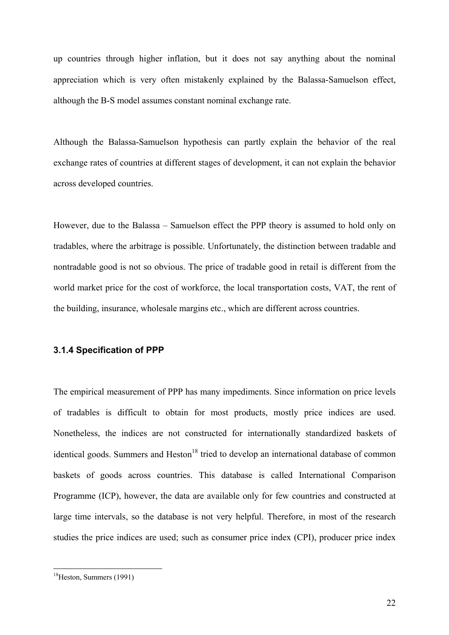up countries through higher inflation, but it does not say anything about the nominal appreciation which is very often mistakenly explained by the Balassa-Samuelson effect, although the B-S model assumes constant nominal exchange rate.

Although the Balassa-Samuelson hypothesis can partly explain the behavior of the real exchange rates of countries at different stages of development, it can not explain the behavior across developed countries.

However, due to the Balassa – Samuelson effect the PPP theory is assumed to hold only on tradables, where the arbitrage is possible. Unfortunately, the distinction between tradable and nontradable good is not so obvious. The price of tradable good in retail is different from the world market price for the cost of workforce, the local transportation costs, VAT, the rent of the building, insurance, wholesale margins etc., which are different across countries.

#### **3.1.4 Specification of PPP**

The empirical measurement of PPP has many impediments. Since information on price levels of tradables is difficult to obtain for most products, mostly price indices are used. Nonetheless, the indices are not constructed for internationally standardized baskets of identical goods. Summers and Heston<sup>18</sup> tried to develop an international database of common baskets of goods across countries. This database is called International Comparison Programme (ICP), however, the data are available only for few countries and constructed at large time intervals, so the database is not very helpful. Therefore, in most of the research studies the price indices are used; such as consumer price index (CPI), producer price index

<sup>18</sup>Heston, Summers (1991)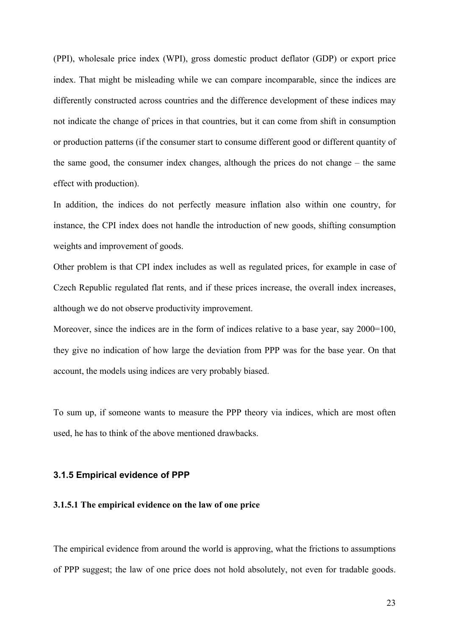(PPI), wholesale price index (WPI), gross domestic product deflator (GDP) or export price index. That might be misleading while we can compare incomparable, since the indices are differently constructed across countries and the difference development of these indices may not indicate the change of prices in that countries, but it can come from shift in consumption or production patterns (if the consumer start to consume different good or different quantity of the same good, the consumer index changes, although the prices do not change – the same effect with production).

In addition, the indices do not perfectly measure inflation also within one country, for instance, the CPI index does not handle the introduction of new goods, shifting consumption weights and improvement of goods.

Other problem is that CPI index includes as well as regulated prices, for example in case of Czech Republic regulated flat rents, and if these prices increase, the overall index increases, although we do not observe productivity improvement.

Moreover, since the indices are in the form of indices relative to a base year, say 2000=100, they give no indication of how large the deviation from PPP was for the base year. On that account, the models using indices are very probably biased.

To sum up, if someone wants to measure the PPP theory via indices, which are most often used, he has to think of the above mentioned drawbacks.

#### **3.1.5 Empirical evidence of PPP**

#### **3.1.5.1 The empirical evidence on the law of one price**

The empirical evidence from around the world is approving, what the frictions to assumptions of PPP suggest; the law of one price does not hold absolutely, not even for tradable goods.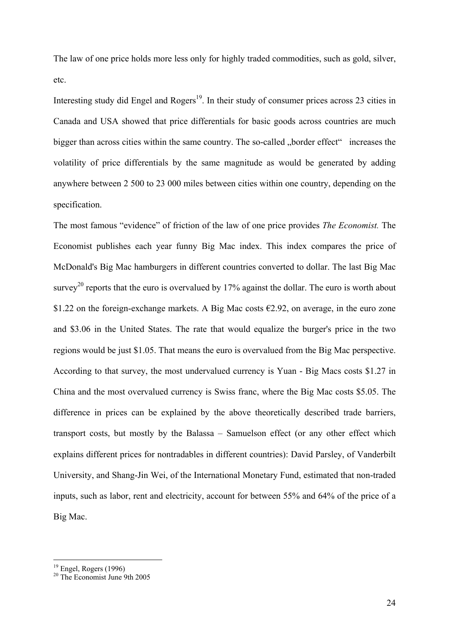The law of one price holds more less only for highly traded commodities, such as gold, silver, etc.

Interesting study did Engel and Rogers<sup>19</sup>. In their study of consumer prices across 23 cities in Canada and USA showed that price differentials for basic goods across countries are much bigger than across cities within the same country. The so-called "border effect" increases the volatility of price differentials by the same magnitude as would be generated by adding anywhere between 2 500 to 23 000 miles between cities within one country, depending on the specification.

The most famous "evidence" of friction of the law of one price provides *The Economist.* The Economist publishes each year funny Big Mac index. This index compares the price of McDonald's Big Mac hamburgers in different countries converted to dollar. The last Big Mac survey<sup>20</sup> reports that the euro is overvalued by 17% against the dollar. The euro is worth about \$1.22 on the foreign-exchange markets. A Big Mac costs  $\epsilon$ 2.92, on average, in the euro zone and \$3.06 in the United States. The rate that would equalize the burger's price in the two regions would be just \$1.05. That means the euro is overvalued from the Big Mac perspective. According to that survey, the most undervalued currency is Yuan - Big Macs costs \$1.27 in China and the most overvalued currency is Swiss franc, where the Big Mac costs \$5.05. The difference in prices can be explained by the above theoretically described trade barriers, transport costs, but mostly by the Balassa – Samuelson effect (or any other effect which explains different prices for nontradables in different countries): David Parsley, of Vanderbilt University, and Shang-Jin Wei, of the International Monetary Fund, estimated that non-traded inputs, such as labor, rent and electricity, account for between 55% and 64% of the price of a Big Mac.

 $\overline{a}$ 

 $19$  Engel, Rogers (1996)

<sup>20</sup> The Economist June 9th 2005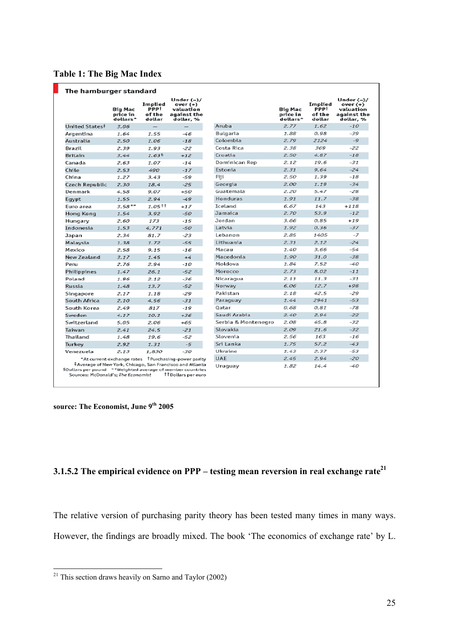|  |  |  |  |  | <b>Table 1: The Big Mac Index</b> |
|--|--|--|--|--|-----------------------------------|
|--|--|--|--|--|-----------------------------------|

|                                                           | <b>Big Mac</b><br>price in<br>dollars* | Implied<br><b>PPP</b> <sup>†</sup><br>of the<br>dollar | Under $(-)/$<br>over $(+)$<br>valuation<br>against the<br>dollar, % |                     | <b>Big Mac</b><br>price in<br>dollars* | Implied<br><b>PPP!</b><br>of the<br>dollar | Under $(-)/$<br>over $(+)$<br>valuation<br>against the<br>dollar, % |
|-----------------------------------------------------------|----------------------------------------|--------------------------------------------------------|---------------------------------------------------------------------|---------------------|----------------------------------------|--------------------------------------------|---------------------------------------------------------------------|
| United States#                                            | 3.06                                   |                                                        | —                                                                   | Aruba               | 2.77                                   | 1.62                                       | $-10$                                                               |
| Argentina                                                 | 1.64                                   | 1.55                                                   | -46                                                                 | Bulgaria            | 1.88                                   | 0.98                                       | $-39$                                                               |
| Australia                                                 | 2.50                                   | 1.06                                                   | $-18$                                                               | Colombia            | 2.79                                   | 2124                                       | $-Q$                                                                |
| Brazil                                                    | 2.39                                   | 1.93                                                   | $-22$                                                               | Costa Rica          | 2.38                                   | 369                                        | $-22$                                                               |
| <b>Britain</b>                                            | 3.44                                   | 1.635                                                  | $+12$                                                               | Croatia             | 2.50                                   | 4.87                                       | $-18$                                                               |
| Canada                                                    | 2.63                                   | 1.07                                                   | $-14$                                                               | Dominican Rep       | 2.12                                   | 19.6                                       | $-31$                                                               |
| Chile                                                     | 2.53                                   | 490                                                    | $-17$                                                               | Estonia             | 2.31                                   | 9.64                                       | $-24$                                                               |
| China                                                     | 1.27                                   | 3.43                                                   | $-59$                                                               | Fiif                | 2.50                                   | 1.39                                       | $-18$                                                               |
| Czech Republic                                            | 2.30                                   | 18.4                                                   | $-25$                                                               | Georgia             | 2.00                                   | 1.19                                       | $-34$                                                               |
| Denmark                                                   | 4.58                                   | 9.07                                                   | $+50$                                                               | Guatemala           | 2.20                                   | 5.47                                       | $-28$                                                               |
| Eqypt                                                     | 1.55                                   | 2.94                                                   | $-49$                                                               | <b>Honduras</b>     | 1.91                                   | 11.7                                       | $-38$                                                               |
| Euro area                                                 | $3.58**$                               | 1.05#                                                  | $+17$                                                               | <b>Tceland</b>      | 6.67                                   | 143                                        | $+118$                                                              |
| Hong Kong                                                 | 1.54                                   | 3.92                                                   | $-50$                                                               | Jamaica             | 2.70                                   | 53.9                                       | $-12$                                                               |
| Hungary                                                   | 2.60                                   | 173                                                    | $-15$                                                               | Jordan              | 3.66                                   | 0.85                                       | $+19$                                                               |
| Indonesia                                                 | 1.53                                   | 4,771                                                  | $-50$                                                               | Latvia              | 1.92                                   | 0.36                                       | $-37$                                                               |
| Japan                                                     | 2.34                                   | 81.7                                                   | $-23$                                                               | Lebanon             | 2.85                                   | 1405                                       | $-7$                                                                |
| Malaysia                                                  | 1.38                                   | 1.72                                                   | $-55$                                                               | Lithuania           | 2.31                                   | 2.12                                       | $-24$                                                               |
| Mexico                                                    | 2.58                                   | 9.15                                                   | $-16$                                                               | Macau               | 1.40                                   | 3.66                                       | -54                                                                 |
| <b>New Zealand</b>                                        | 3.17                                   | 1.45                                                   | $+4$                                                                | Macedonia           | 1.90                                   | 31.0                                       | $-38$                                                               |
| Peru                                                      | 2.76                                   | 2.94                                                   | $-10$                                                               | Moldova             | 1.84                                   | 7.52                                       | $-40$                                                               |
| Philippines                                               | 1.47                                   | 26.1                                                   | $-52$                                                               | Morocco             | 2.73                                   | 8.02                                       | $-11$                                                               |
| Poland                                                    | 1.96                                   | 2.12                                                   | $-36$                                                               | Nicaragua           | 2.11                                   | 11.3                                       | $-31$                                                               |
| Russia                                                    | 1.48                                   | 13.7                                                   | $-52$                                                               | Norway              | 6.06                                   | 12.7                                       | $+98$                                                               |
| Singapore                                                 | 2.17                                   | 1.18                                                   | $-29$                                                               | Pakistan            | 2.18                                   | 42.5                                       | $-29$                                                               |
| South Africa                                              | 2.10                                   | 4.56                                                   | $-31$                                                               | Paraguay            | 1.44                                   | 2941                                       | $-53$                                                               |
| South Korea                                               | 2.49                                   | 817                                                    | $-19$                                                               | Oatar               | 0.68                                   | 0.81                                       | $-78$                                                               |
| Sweden                                                    | 4.17                                   | 10.1                                                   | $+36$                                                               | Saudi Arabia        | 2.40                                   | 2.94                                       | $-22$                                                               |
| Switzerland                                               | 5.05                                   | 2.06                                                   | $+65$                                                               | Serbia & Montenegro | 2.08                                   | 45.8                                       | $-32$                                                               |
| Taiwan                                                    | 2.41                                   | 24.5                                                   | $-21$                                                               | Slovakia            | 2.09                                   | 21.6                                       | $-32$                                                               |
| Thailand                                                  | 1.48                                   | 19.6                                                   | $-52$                                                               | Slovenia            | 2.56                                   | 163                                        | $-16$                                                               |
| Turkey                                                    | 2.92                                   | 1.31                                                   | $-5$                                                                | Sri Lanka           | 1.75                                   | 57.2                                       | $-43$                                                               |
| Venezuela                                                 | 2.13                                   | 1.830                                                  | $-30$                                                               | Ukraine             | 1.43                                   | 2.37                                       | $-53$                                                               |
|                                                           |                                        |                                                        | "At current exchange rates TPurchasing-power parity                 | <b>UAE</b>          | 2.45                                   | 2.94                                       | $-20$                                                               |
| SDollars per pound **Weighted average of member countries |                                        |                                                        | Average of New York, Chicago, San Francisco and Atlanta             | Uruguay             | 1.82                                   | 14.4                                       | -40                                                                 |

**source: The Economist, June 9th 2005**

### **3.1.5.2 The empirical evidence on PPP** – testing mean reversion in real exchange rate<sup>21</sup>

The relative version of purchasing parity theory has been tested many times in many ways. However, the findings are broadly mixed. The book 'The economics of exchange rate' by L.

 $21$  This section draws heavily on Sarno and Taylor (2002)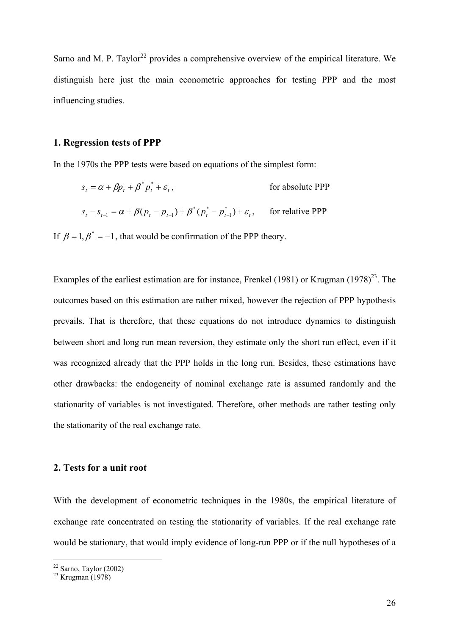Sarno and M. P. Taylor<sup>22</sup> provides a comprehensive overview of the empirical literature. We distinguish here just the main econometric approaches for testing PPP and the most influencing studies.

#### **1. Regression tests of PPP**

In the 1970s the PPP tests were based on equations of the simplest form:

$$
s_{t} = \alpha + \beta p_{t} + \beta^{*} p_{t}^{*} + \varepsilon_{t}, \qquad \text{for absolute PPP}
$$
  

$$
s_{t} - s_{t-1} = \alpha + \beta (p_{t} - p_{t-1}) + \beta^{*} (p_{t}^{*} - p_{t-1}^{*}) + \varepsilon_{t}, \qquad \text{for relative PPP}
$$

If  $\beta = 1, \beta^* = -1$ , that would be confirmation of the PPP theory.

Examples of the earliest estimation are for instance, Frenkel (1981) or Krugman  $(1978)^{23}$ . The outcomes based on this estimation are rather mixed, however the rejection of PPP hypothesis prevails. That is therefore, that these equations do not introduce dynamics to distinguish between short and long run mean reversion, they estimate only the short run effect, even if it was recognized already that the PPP holds in the long run. Besides, these estimations have other drawbacks: the endogeneity of nominal exchange rate is assumed randomly and the stationarity of variables is not investigated. Therefore, other methods are rather testing only the stationarity of the real exchange rate.

#### **2. Tests for a unit root**

With the development of econometric techniques in the 1980s, the empirical literature of exchange rate concentrated on testing the stationarity of variables. If the real exchange rate would be stationary, that would imply evidence of long-run PPP or if the null hypotheses of a

 $22$  Sarno, Taylor (2002)

 $23$  Krugman (1978)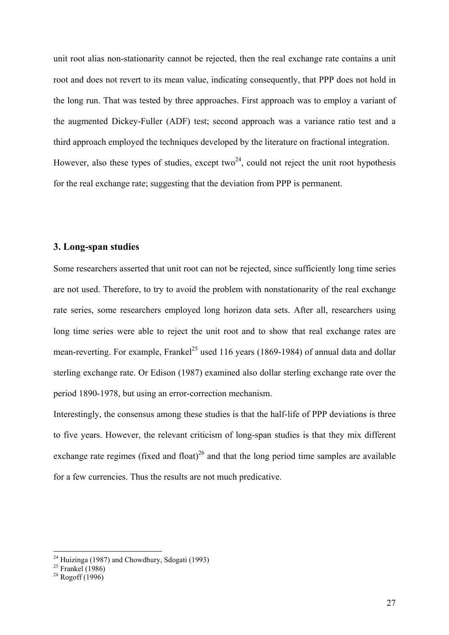unit root alias non-stationarity cannot be rejected, then the real exchange rate contains a unit root and does not revert to its mean value, indicating consequently, that PPP does not hold in the long run. That was tested by three approaches. First approach was to employ a variant of the augmented Dickey-Fuller (ADF) test; second approach was a variance ratio test and a third approach employed the techniques developed by the literature on fractional integration. However, also these types of studies, except two<sup>24</sup>, could not reject the unit root hypothesis for the real exchange rate; suggesting that the deviation from PPP is permanent.

#### **3. Long-span studies**

Some researchers asserted that unit root can not be rejected, since sufficiently long time series are not used. Therefore, to try to avoid the problem with nonstationarity of the real exchange rate series, some researchers employed long horizon data sets. After all, researchers using long time series were able to reject the unit root and to show that real exchange rates are mean-reverting. For example, Frankel<sup>25</sup> used 116 years (1869-1984) of annual data and dollar sterling exchange rate. Or Edison (1987) examined also dollar sterling exchange rate over the period 1890-1978, but using an error-correction mechanism.

Interestingly, the consensus among these studies is that the half-life of PPP deviations is three to five years. However, the relevant criticism of long-span studies is that they mix different exchange rate regimes (fixed and float)<sup>26</sup> and that the long period time samples are available for a few currencies. Thus the results are not much predicative.

 $24$  Huizinga (1987) and Chowdhury, Sdogati (1993)

 $25$  Frankel (1986)

 $26$  Rogoff (1996)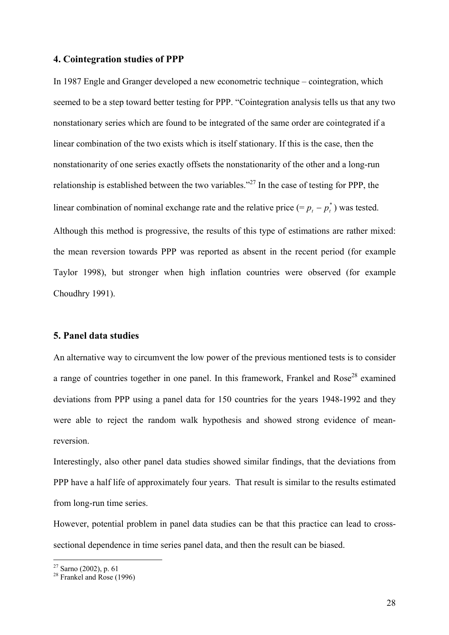#### **4. Cointegration studies of PPP**

In 1987 Engle and Granger developed a new econometric technique – cointegration, which seemed to be a step toward better testing for PPP. "Cointegration analysis tells us that any two nonstationary series which are found to be integrated of the same order are cointegrated if a linear combination of the two exists which is itself stationary. If this is the case, then the nonstationarity of one series exactly offsets the nonstationarity of the other and a long-run relationship is established between the two variables."27 In the case of testing for PPP, the linear combination of nominal exchange rate and the relative price (=  $p_t - p_t^*$ ) was tested. Although this method is progressive, the results of this type of estimations are rather mixed: the mean reversion towards PPP was reported as absent in the recent period (for example Taylor 1998), but stronger when high inflation countries were observed (for example Choudhry 1991).

#### **5. Panel data studies**

An alternative way to circumvent the low power of the previous mentioned tests is to consider a range of countries together in one panel. In this framework, Frankel and Rose<sup>28</sup> examined deviations from PPP using a panel data for 150 countries for the years 1948-1992 and they were able to reject the random walk hypothesis and showed strong evidence of meanreversion.

Interestingly, also other panel data studies showed similar findings, that the deviations from PPP have a half life of approximately four years. That result is similar to the results estimated from long-run time series.

However, potential problem in panel data studies can be that this practice can lead to crosssectional dependence in time series panel data, and then the result can be biased.

 $\overline{a}$ 

 $27$  Sarno (2002), p. 61

 $28$  Frankel and Rose (1996)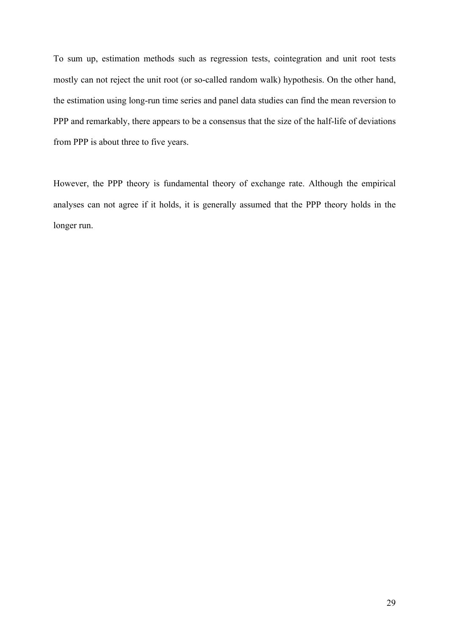To sum up, estimation methods such as regression tests, cointegration and unit root tests mostly can not reject the unit root (or so-called random walk) hypothesis. On the other hand, the estimation using long-run time series and panel data studies can find the mean reversion to PPP and remarkably, there appears to be a consensus that the size of the half-life of deviations from PPP is about three to five years.

However, the PPP theory is fundamental theory of exchange rate. Although the empirical analyses can not agree if it holds, it is generally assumed that the PPP theory holds in the longer run.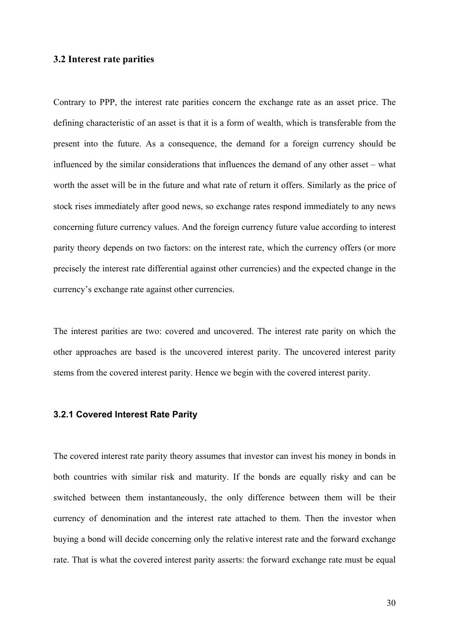#### **3.2 Interest rate parities**

Contrary to PPP, the interest rate parities concern the exchange rate as an asset price. The defining characteristic of an asset is that it is a form of wealth, which is transferable from the present into the future. As a consequence, the demand for a foreign currency should be influenced by the similar considerations that influences the demand of any other asset – what worth the asset will be in the future and what rate of return it offers. Similarly as the price of stock rises immediately after good news, so exchange rates respond immediately to any news concerning future currency values. And the foreign currency future value according to interest parity theory depends on two factors: on the interest rate, which the currency offers (or more precisely the interest rate differential against other currencies) and the expected change in the currency's exchange rate against other currencies.

The interest parities are two: covered and uncovered. The interest rate parity on which the other approaches are based is the uncovered interest parity. The uncovered interest parity stems from the covered interest parity. Hence we begin with the covered interest parity.

#### **3.2.1 Covered Interest Rate Parity**

The covered interest rate parity theory assumes that investor can invest his money in bonds in both countries with similar risk and maturity. If the bonds are equally risky and can be switched between them instantaneously, the only difference between them will be their currency of denomination and the interest rate attached to them. Then the investor when buying a bond will decide concerning only the relative interest rate and the forward exchange rate. That is what the covered interest parity asserts: the forward exchange rate must be equal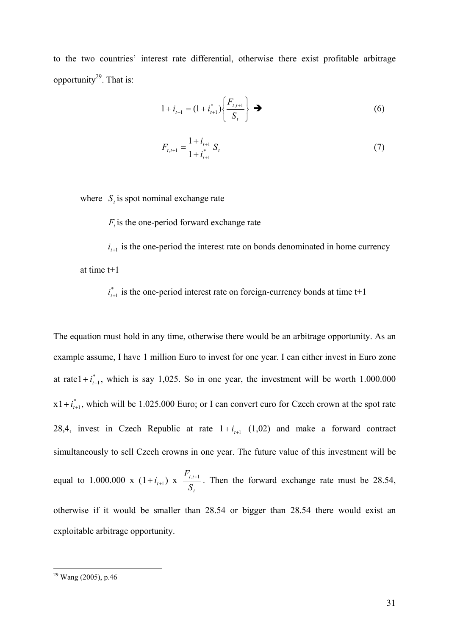to the two countries' interest rate differential, otherwise there exist profitable arbitrage opportunity $^{29}$ . That is:

$$
1 + i_{t+1} = (1 + i_{t+1}^*) \left\{ \frac{F_{t,t+1}}{S_t} \right\} \rightarrow
$$
 (6)

$$
F_{t,t+1} = \frac{1 + i_{t+1}}{1 + i_{t+1}^*} S_t
$$
\n<sup>(7)</sup>

where  $S_t$  is spot nominal exchange rate

 $F_t$  is the one-period forward exchange rate

 $i_{t+1}$  is the one-period the interest rate on bonds denominated in home currency at time t+1

 $i_{t+1}^*$  is the one-period interest rate on foreign-currency bonds at time  $t+1$ 

The equation must hold in any time, otherwise there would be an arbitrage opportunity. As an example assume, I have 1 million Euro to invest for one year. I can either invest in Euro zone at rate  $1 + i_{i+1}^*$ , which is say 1,025. So in one year, the investment will be worth 1.000.000  $x1 + i_{t+1}^*$ , which will be 1.025.000 Euro; or I can convert euro for Czech crown at the spot rate 28,4, invest in Czech Republic at rate  $1 + i_{t+1}$  (1,02) and make a forward contract simultaneously to sell Czech crowns in one year. The future value of this investment will be equal to 1.000.000 x  $(1+i_{t+1})$  x *t t t S*  $F_{t,t+1}$ . Then the forward exchange rate must be 28.54, otherwise if it would be smaller than 28.54 or bigger than 28.54 there would exist an exploitable arbitrage opportunity.

 $\overline{a}$ 

 $29$  Wang (2005), p.46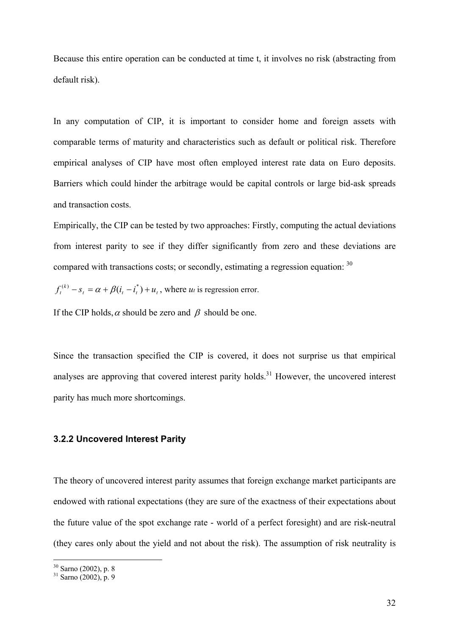Because this entire operation can be conducted at time t, it involves no risk (abstracting from default risk).

In any computation of CIP, it is important to consider home and foreign assets with comparable terms of maturity and characteristics such as default or political risk. Therefore empirical analyses of CIP have most often employed interest rate data on Euro deposits. Barriers which could hinder the arbitrage would be capital controls or large bid-ask spreads and transaction costs.

Empirically, the CIP can be tested by two approaches: Firstly, computing the actual deviations from interest parity to see if they differ significantly from zero and these deviations are compared with transactions costs; or secondly, estimating a regression equation: <sup>30</sup>

 $f_t^{(k)} - s_t = \alpha + \beta(i_t - i_t^*) + u_t$ , where *ut* is regression error.

If the CIP holds,  $\alpha$  should be zero and  $\beta$  should be one.

Since the transaction specified the CIP is covered, it does not surprise us that empirical analyses are approving that covered interest parity holds.<sup>31</sup> However, the uncovered interest parity has much more shortcomings.

#### **3.2.2 Uncovered Interest Parity**

The theory of uncovered interest parity assumes that foreign exchange market participants are endowed with rational expectations (they are sure of the exactness of their expectations about the future value of the spot exchange rate - world of a perfect foresight) and are risk-neutral (they cares only about the yield and not about the risk). The assumption of risk neutrality is

 $30$  Sarno (2002), p. 8

 $31$  Sarno (2002), p. 9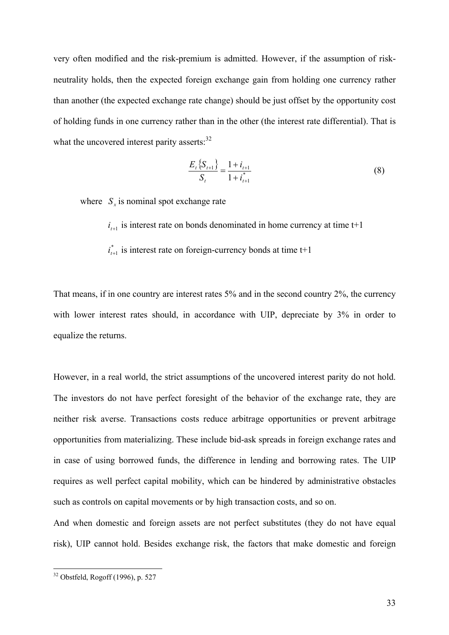very often modified and the risk-premium is admitted. However, if the assumption of riskneutrality holds, then the expected foreign exchange gain from holding one currency rather than another (the expected exchange rate change) should be just offset by the opportunity cost of holding funds in one currency rather than in the other (the interest rate differential). That is what the uncovered interest parity asserts:<sup>32</sup>

$$
\frac{E_t \{S_{t+1}\}}{S_t} = \frac{1 + i_{t+1}}{1 + i_{t+1}^*}
$$
(8)

where  $S<sub>x</sub>$  is nominal spot exchange rate

 $i_{t+1}$  is interest rate on bonds denominated in home currency at time  $t+1$ 

 $i_{t+1}^*$  is interest rate on foreign-currency bonds at time  $t+1$ 

That means, if in one country are interest rates 5% and in the second country 2%, the currency with lower interest rates should, in accordance with UIP, depreciate by 3% in order to equalize the returns.

However, in a real world, the strict assumptions of the uncovered interest parity do not hold. The investors do not have perfect foresight of the behavior of the exchange rate, they are neither risk averse. Transactions costs reduce arbitrage opportunities or prevent arbitrage opportunities from materializing. These include bid-ask spreads in foreign exchange rates and in case of using borrowed funds, the difference in lending and borrowing rates. The UIP requires as well perfect capital mobility, which can be hindered by administrative obstacles such as controls on capital movements or by high transaction costs, and so on.

And when domestic and foreign assets are not perfect substitutes (they do not have equal risk), UIP cannot hold. Besides exchange risk, the factors that make domestic and foreign

 $\overline{a}$ 

 $32$  Obstfeld, Rogoff (1996), p. 527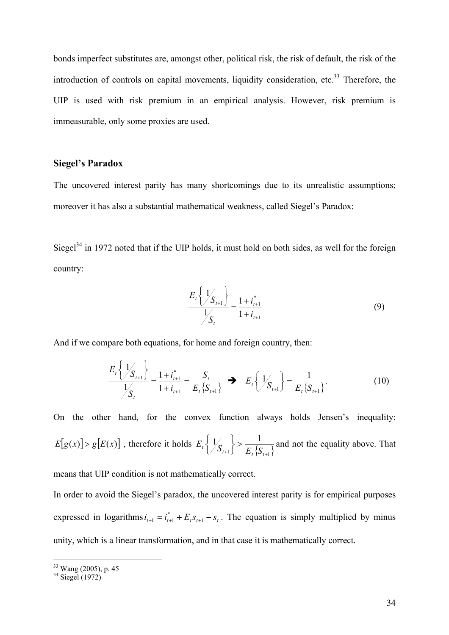bonds imperfect substitutes are, amongst other, political risk, the risk of default, the risk of the introduction of controls on capital movements, liquidity consideration, etc.<sup>33</sup> Therefore, the UIP is used with risk premium in an empirical analysis. However, risk premium is immeasurable, only some proxies are used.

#### **Siegel's Paradox**

The uncovered interest parity has many shortcomings due to its unrealistic assumptions; moreover it has also a substantial mathematical weakness, called Siegel's Paradox:

Siegel $34$  in 1972 noted that if the UIP holds, it must hold on both sides, as well for the foreign country:

$$
\frac{E_t\left\{\frac{1}{S_{t+1}}\right\}}{\frac{1}{S_t}} = \frac{1 + i_{t+1}^*}{1 + i_{t+1}}
$$
(9)

And if we compare both equations, for home and foreign country, then:

$$
\frac{E_t\left\{\mathcal{Y}_{S_{t+1}}\right\}}{\mathcal{Y}_{S_t}} = \frac{1 + i_{t+1}^*}{1 + i_{t+1}} = \frac{S_t}{E_t\{S_{t+1}\}} \implies E_t\left\{\mathcal{Y}_{S_{t+1}}\right\} = \frac{1}{E_t\{S_{t+1}\}}.
$$
\n(10)

On the other hand, for the convex function always holds Jensen's inequality:  $E[g(x)] > g[E(x)]$ , therefore it holds  $E_t\left\{\frac{1}{S_{t+1}}\right\} > \frac{1}{E_t\left\{S_{t+1}\right\}}$ +1  $\int_{t_1}^{t_2} B_{t_2}$ >  $\begin{cases} \end{cases}$  $E_t\left\{\frac{1}{S_{t+1}}\right\} > \frac{1}{E_t\left\{S_{t+1}\right\}}$  and not the equality above. That

means that UIP condition is not mathematically correct.

In order to avoid the Siegel's paradox, the uncovered interest parity is for empirical purposes expressed in logarithms  $i_{t+1} = i_{t+1}^* + E_t s_{t+1} - s_t$ . The equation is simply multiplied by minus unity, which is a linear transformation, and in that case it is mathematically correct.

 $\overline{a}$ 33 Wang (2005), p. 45

 $34$  Siegel (1972)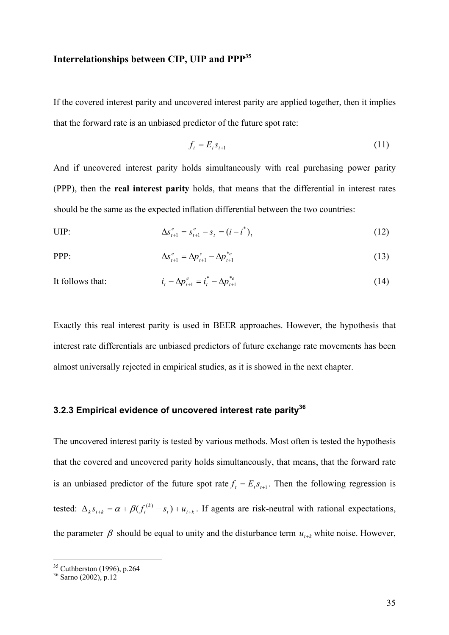### **Interrelationships between CIP, UIP and PPP35**

If the covered interest parity and uncovered interest parity are applied together, then it implies that the forward rate is an unbiased predictor of the future spot rate:

$$
f_t = E_t s_{t+1} \tag{11}
$$

And if uncovered interest parity holds simultaneously with real purchasing power parity (PPP), then the **real interest parity** holds, that means that the differential in interest rates should be the same as the expected inflation differential between the two countries:

UIP: 
$$
\Delta s_{t+1}^e = s_{t+1}^e - s_t = (i - i^*)_t \tag{12}
$$

$$
\Delta s_{t+1}^e = \Delta p_{t+1}^e - \Delta p_{t+1}^{*_e}
$$
 (13)

It follows that:  $i$ 

$$
i_{t} - \Delta p_{t+1}^{e} = i_{t}^{*} - \Delta p_{t+1}^{*e}
$$
 (14)

Exactly this real interest parity is used in BEER approaches. However, the hypothesis that interest rate differentials are unbiased predictors of future exchange rate movements has been almost universally rejected in empirical studies, as it is showed in the next chapter.

### **3.2.3 Empirical evidence of uncovered interest rate parity36**

The uncovered interest parity is tested by various methods. Most often is tested the hypothesis that the covered and uncovered parity holds simultaneously, that means, that the forward rate is an unbiased predictor of the future spot rate  $f_t = E_t s_{t+1}$ . Then the following regression is tested:  $\Delta_k s_{t+k} = \alpha + \beta (f_t^{(k)} - s_t) + u_{t+k}$ . If agents are risk-neutral with rational expectations, the parameter  $\beta$  should be equal to unity and the disturbance term  $u_{t+k}$  white noise. However,

 $\overline{a}$ 

 $35$  Cuthberston (1996), p.264

<sup>36</sup> Sarno (2002), p.12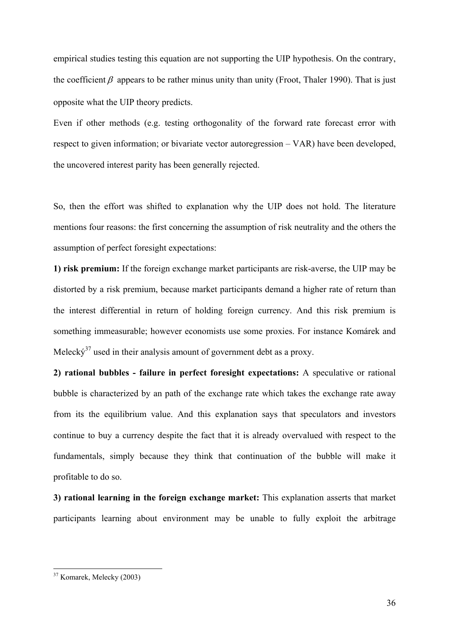empirical studies testing this equation are not supporting the UIP hypothesis. On the contrary, the coefficient  $\beta$  appears to be rather minus unity than unity (Froot, Thaler 1990). That is just opposite what the UIP theory predicts.

Even if other methods (e.g. testing orthogonality of the forward rate forecast error with respect to given information; or bivariate vector autoregression – VAR) have been developed, the uncovered interest parity has been generally rejected.

So, then the effort was shifted to explanation why the UIP does not hold. The literature mentions four reasons: the first concerning the assumption of risk neutrality and the others the assumption of perfect foresight expectations:

**1) risk premium:** If the foreign exchange market participants are risk-averse, the UIP may be distorted by a risk premium, because market participants demand a higher rate of return than the interest differential in return of holding foreign currency. And this risk premium is something immeasurable; however economists use some proxies. For instance Komárek and Meleck $\acute{v}^{37}$  used in their analysis amount of government debt as a proxy.

**2) rational bubbles - failure in perfect foresight expectations:** A speculative or rational bubble is characterized by an path of the exchange rate which takes the exchange rate away from its the equilibrium value. And this explanation says that speculators and investors continue to buy a currency despite the fact that it is already overvalued with respect to the fundamentals, simply because they think that continuation of the bubble will make it profitable to do so.

**3) rational learning in the foreign exchange market:** This explanation asserts that market participants learning about environment may be unable to fully exploit the arbitrage

 $\overline{a}$ 

<sup>37</sup> Komarek, Melecky (2003)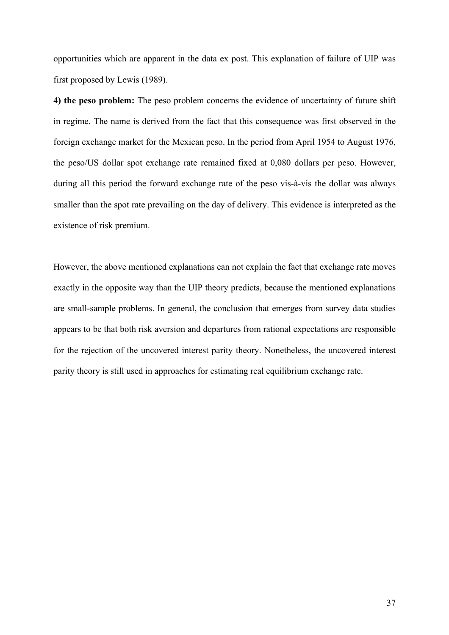opportunities which are apparent in the data ex post. This explanation of failure of UIP was first proposed by Lewis (1989).

**4) the peso problem:** The peso problem concerns the evidence of uncertainty of future shift in regime. The name is derived from the fact that this consequence was first observed in the foreign exchange market for the Mexican peso. In the period from April 1954 to August 1976, the peso/US dollar spot exchange rate remained fixed at 0,080 dollars per peso. However, during all this period the forward exchange rate of the peso vis-à-vis the dollar was always smaller than the spot rate prevailing on the day of delivery. This evidence is interpreted as the existence of risk premium.

However, the above mentioned explanations can not explain the fact that exchange rate moves exactly in the opposite way than the UIP theory predicts, because the mentioned explanations are small-sample problems. In general, the conclusion that emerges from survey data studies appears to be that both risk aversion and departures from rational expectations are responsible for the rejection of the uncovered interest parity theory. Nonetheless, the uncovered interest parity theory is still used in approaches for estimating real equilibrium exchange rate.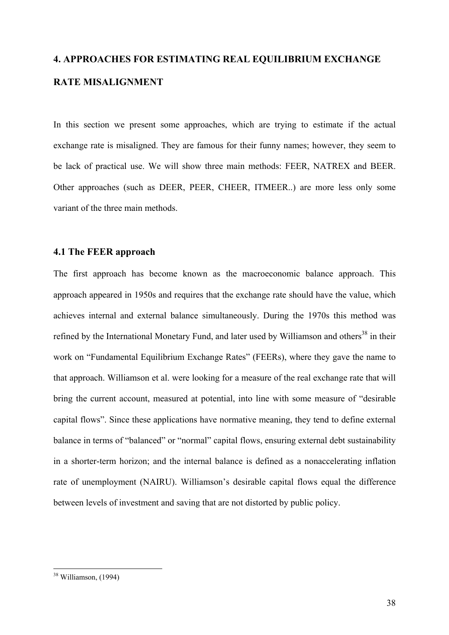# **4. APPROACHES FOR ESTIMATING REAL EQUILIBRIUM EXCHANGE RATE MISALIGNMENT**

In this section we present some approaches, which are trying to estimate if the actual exchange rate is misaligned. They are famous for their funny names; however, they seem to be lack of practical use. We will show three main methods: FEER, NATREX and BEER. Other approaches (such as DEER, PEER, CHEER, ITMEER..) are more less only some variant of the three main methods.

### **4.1 The FEER approach**

The first approach has become known as the macroeconomic balance approach. This approach appeared in 1950s and requires that the exchange rate should have the value, which achieves internal and external balance simultaneously. During the 1970s this method was refined by the International Monetary Fund, and later used by Williamson and others<sup>38</sup> in their work on "Fundamental Equilibrium Exchange Rates" (FEERs), where they gave the name to that approach. Williamson et al. were looking for a measure of the real exchange rate that will bring the current account, measured at potential, into line with some measure of "desirable capital flows". Since these applications have normative meaning, they tend to define external balance in terms of "balanced" or "normal" capital flows, ensuring external debt sustainability in a shorter-term horizon; and the internal balance is defined as a nonaccelerating inflation rate of unemployment (NAIRU). Williamson's desirable capital flows equal the difference between levels of investment and saving that are not distorted by public policy.

 $\overline{a}$ 

<sup>&</sup>lt;sup>38</sup> Williamson, (1994)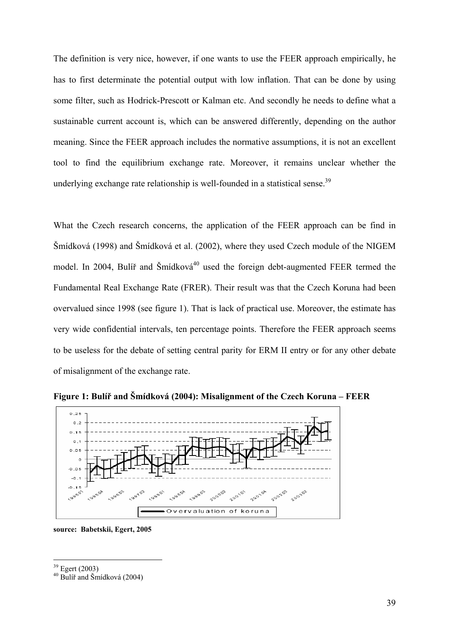The definition is very nice, however, if one wants to use the FEER approach empirically, he has to first determinate the potential output with low inflation. That can be done by using some filter, such as Hodrick-Prescott or Kalman etc. And secondly he needs to define what a sustainable current account is, which can be answered differently, depending on the author meaning. Since the FEER approach includes the normative assumptions, it is not an excellent tool to find the equilibrium exchange rate. Moreover, it remains unclear whether the underlying exchange rate relationship is well-founded in a statistical sense.<sup>39</sup>

What the Czech research concerns, the application of the FEER approach can be find in Šmídková (1998) and Šmídková et al. (2002), where they used Czech module of the NIGEM model. In 2004, Bulíř and Šmídková $40$  used the foreign debt-augmented FEER termed the Fundamental Real Exchange Rate (FRER). Their result was that the Czech Koruna had been overvalued since 1998 (see figure 1). That is lack of practical use. Moreover, the estimate has very wide confidential intervals, ten percentage points. Therefore the FEER approach seems to be useless for the debate of setting central parity for ERM II entry or for any other debate of misalignment of the exchange rate.



**Figure 1: Bulíř and Šmídková (2004): Misalignment of the Czech Koruna – FEER** 

**source: Babetskii, Egert, 2005** 

1

<sup>39</sup> Egert (2003)

 $40$  Bulíř and Šmídková (2004)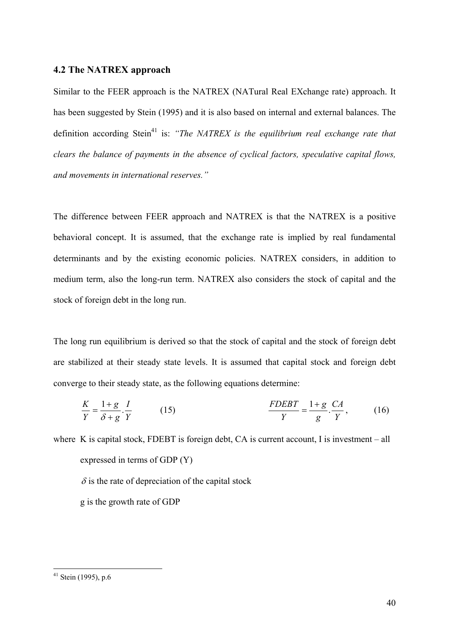#### **4.2 The NATREX approach**

Similar to the FEER approach is the NATREX (NATural Real EXchange rate) approach. It has been suggested by Stein (1995) and it is also based on internal and external balances. The definition according Stein<sup>41</sup> is: *"The NATREX is the equilibrium real exchange rate that clears the balance of payments in the absence of cyclical factors, speculative capital flows, and movements in international reserves."* 

The difference between FEER approach and NATREX is that the NATREX is a positive behavioral concept. It is assumed, that the exchange rate is implied by real fundamental determinants and by the existing economic policies. NATREX considers, in addition to medium term, also the long-run term. NATREX also considers the stock of capital and the stock of foreign debt in the long run.

The long run equilibrium is derived so that the stock of capital and the stock of foreign debt are stabilized at their steady state levels. It is assumed that capital stock and foreign debt converge to their steady state, as the following equations determine:

$$
\frac{K}{Y} = \frac{1+g}{\delta+g} \cdot \frac{I}{Y} \tag{15}
$$
\n
$$
\frac{FDEBT}{Y} = \frac{1+g}{g} \cdot \frac{CA}{Y}, \tag{16}
$$

where K is capital stock, FDEBT is foreign debt, CA is current account, I is investment – all expressed in terms of GDP (Y)

 $\delta$  is the rate of depreciation of the capital stock

g is the growth rate of GDP

 $\overline{a}$ 

 $41$  Stein (1995), p.6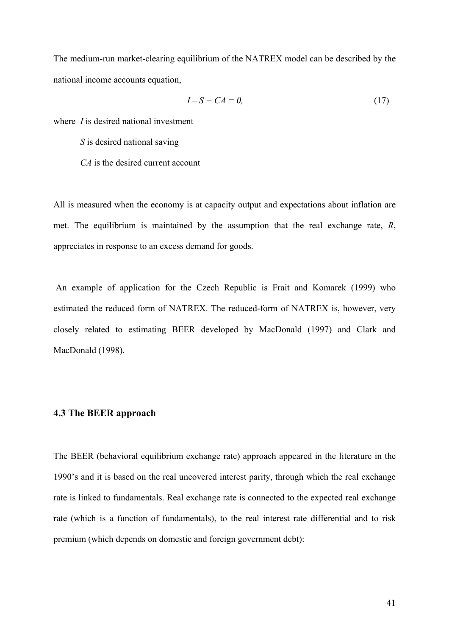The medium-run market-clearing equilibrium of the NATREX model can be described by the national income accounts equation,

$$
I - S + CA = 0,\t(17)
$$

where *I* is desired national investment

*S* is desired national saving

*CA* is the desired current account

All is measured when the economy is at capacity output and expectations about inflation are met. The equilibrium is maintained by the assumption that the real exchange rate, *R*, appreciates in response to an excess demand for goods.

 An example of application for the Czech Republic is Frait and Komarek (1999) who estimated the reduced form of NATREX. The reduced-form of NATREX is, however, very closely related to estimating BEER developed by MacDonald (1997) and Clark and MacDonald (1998).

#### **4.3 The BEER approach**

The BEER (behavioral equilibrium exchange rate) approach appeared in the literature in the 1990's and it is based on the real uncovered interest parity, through which the real exchange rate is linked to fundamentals. Real exchange rate is connected to the expected real exchange rate (which is a function of fundamentals), to the real interest rate differential and to risk premium (which depends on domestic and foreign government debt):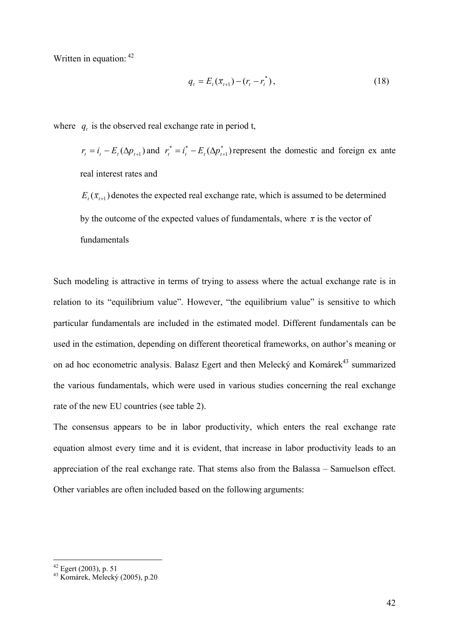Written in equation:  $42$ 

$$
q_{t} = E_{t}(\bar{x}_{t+1}) - (r_{t} - r_{t}^{*}),
$$
\n(18)

where  $q_t$  is the observed real exchange rate in period t,

 $r_t = i_t - E_t(\Delta p_{t+1})$  and  $r_t^* = i_t^* - E_t(\Delta p_{t+1}^*)$  $r_t^* = i_t^* - E_t(\Delta p_{t+1}^*)$  represent the domestic and foreign ex ante real interest rates and

 $E_t(\bar{x}_{t+1})$  denotes the expected real exchange rate, which is assumed to be determined by the outcome of the expected values of fundamentals, where  $\bar{x}$  is the vector of fundamentals

Such modeling is attractive in terms of trying to assess where the actual exchange rate is in relation to its "equilibrium value". However, "the equilibrium value" is sensitive to which particular fundamentals are included in the estimated model. Different fundamentals can be used in the estimation, depending on different theoretical frameworks, on author's meaning or on ad hoc econometric analysis. Balasz Egert and then Melecký and Komárek<sup>43</sup> summarized the various fundamentals, which were used in various studies concerning the real exchange rate of the new EU countries (see table 2).

The consensus appears to be in labor productivity, which enters the real exchange rate equation almost every time and it is evident, that increase in labor productivity leads to an appreciation of the real exchange rate. That stems also from the Balassa – Samuelson effect. Other variables are often included based on the following arguments:

1

 $42$  Egert (2003), p. 51

<sup>43</sup> Komárek, Melecký (2005), p.20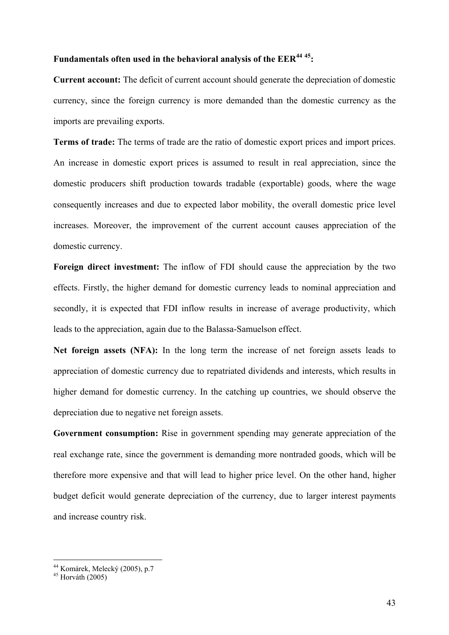### **Fundamentals often used in the behavioral analysis of the EER<sup>44</sup> 45:**

**Current account:** The deficit of current account should generate the depreciation of domestic currency, since the foreign currency is more demanded than the domestic currency as the imports are prevailing exports.

**Terms of trade:** The terms of trade are the ratio of domestic export prices and import prices. An increase in domestic export prices is assumed to result in real appreciation, since the domestic producers shift production towards tradable (exportable) goods, where the wage consequently increases and due to expected labor mobility, the overall domestic price level increases. Moreover, the improvement of the current account causes appreciation of the domestic currency.

**Foreign direct investment:** The inflow of FDI should cause the appreciation by the two effects. Firstly, the higher demand for domestic currency leads to nominal appreciation and secondly, it is expected that FDI inflow results in increase of average productivity, which leads to the appreciation, again due to the Balassa-Samuelson effect.

**Net foreign assets (NFA):** In the long term the increase of net foreign assets leads to appreciation of domestic currency due to repatriated dividends and interests, which results in higher demand for domestic currency. In the catching up countries, we should observe the depreciation due to negative net foreign assets.

**Government consumption:** Rise in government spending may generate appreciation of the real exchange rate, since the government is demanding more nontraded goods, which will be therefore more expensive and that will lead to higher price level. On the other hand, higher budget deficit would generate depreciation of the currency, due to larger interest payments and increase country risk.

 $\overline{a}$ 

<sup>44</sup> Komárek, Melecký (2005), p.7

 $45$  Horváth (2005)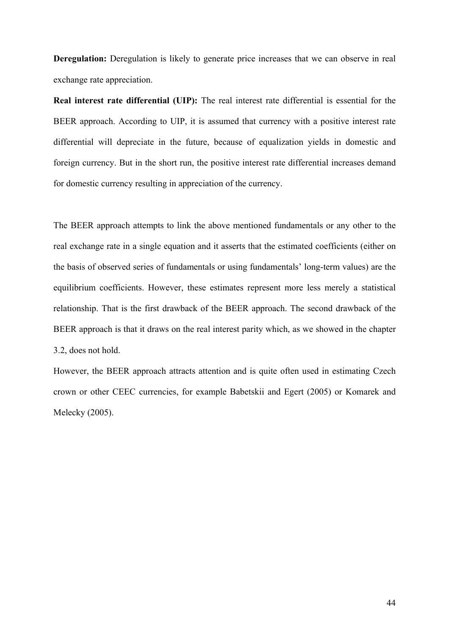**Deregulation:** Deregulation is likely to generate price increases that we can observe in real exchange rate appreciation.

**Real interest rate differential (UIP):** The real interest rate differential is essential for the BEER approach. According to UIP, it is assumed that currency with a positive interest rate differential will depreciate in the future, because of equalization yields in domestic and foreign currency. But in the short run, the positive interest rate differential increases demand for domestic currency resulting in appreciation of the currency.

The BEER approach attempts to link the above mentioned fundamentals or any other to the real exchange rate in a single equation and it asserts that the estimated coefficients (either on the basis of observed series of fundamentals or using fundamentals' long-term values) are the equilibrium coefficients. However, these estimates represent more less merely a statistical relationship. That is the first drawback of the BEER approach. The second drawback of the BEER approach is that it draws on the real interest parity which, as we showed in the chapter 3.2, does not hold.

However, the BEER approach attracts attention and is quite often used in estimating Czech crown or other CEEC currencies, for example Babetskii and Egert (2005) or Komarek and Melecky (2005).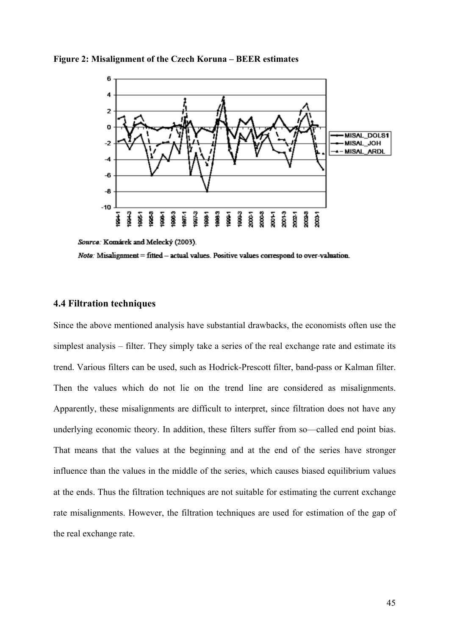

**Figure 2: Misalignment of the Czech Koruna – BEER estimates** 

Note: Misalignment = fitted - actual values. Positive values correspond to over-valuation.

### **4.4 Filtration techniques**

Since the above mentioned analysis have substantial drawbacks, the economists often use the simplest analysis – filter. They simply take a series of the real exchange rate and estimate its trend. Various filters can be used, such as Hodrick-Prescott filter, band-pass or Kalman filter. Then the values which do not lie on the trend line are considered as misalignments. Apparently, these misalignments are difficult to interpret, since filtration does not have any underlying economic theory. In addition, these filters suffer from so—called end point bias. That means that the values at the beginning and at the end of the series have stronger influence than the values in the middle of the series, which causes biased equilibrium values at the ends. Thus the filtration techniques are not suitable for estimating the current exchange rate misalignments. However, the filtration techniques are used for estimation of the gap of the real exchange rate.

Source: Komárek and Melecký (2003).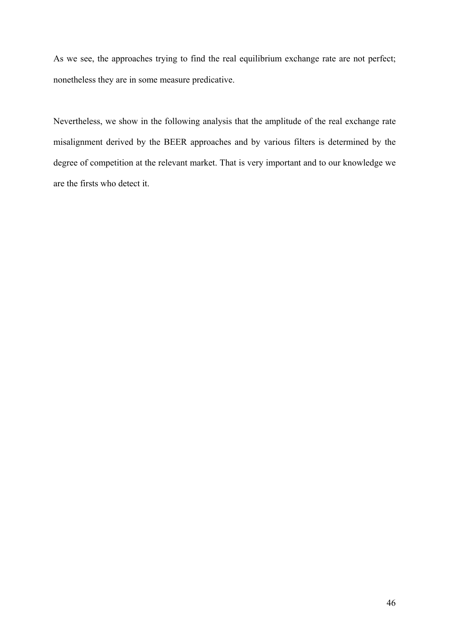As we see, the approaches trying to find the real equilibrium exchange rate are not perfect; nonetheless they are in some measure predicative.

Nevertheless, we show in the following analysis that the amplitude of the real exchange rate misalignment derived by the BEER approaches and by various filters is determined by the degree of competition at the relevant market. That is very important and to our knowledge we are the firsts who detect it.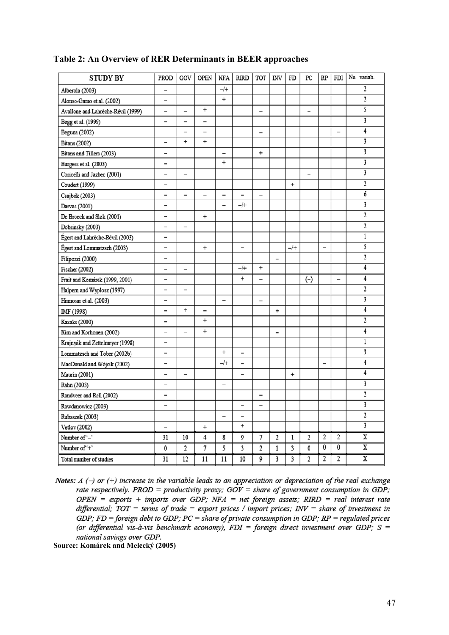| <b>STUDY BY</b>                    | PROD                     | GOV                      | <b>OPEN</b>              | NFA                      | <b>RIRD</b>              | TOT                      | <b>INV</b>               | FD        | $_{\rm PC}$              | <b>RP</b>                | FDI                      | No. variab.             |
|------------------------------------|--------------------------|--------------------------|--------------------------|--------------------------|--------------------------|--------------------------|--------------------------|-----------|--------------------------|--------------------------|--------------------------|-------------------------|
| Alberola (2003)                    | -                        |                          |                          | $-$ /+                   |                          |                          |                          |           |                          |                          |                          | 2                       |
| Alonso-Gamo et al. (2002)          | -                        |                          |                          | $\ddot{}$                |                          |                          |                          |           |                          |                          |                          | $\overline{c}$          |
| Avallone and Lahrèche-Révil (1999) | -                        | -                        | $\ddot{}$                |                          |                          | $\overline{\phantom{0}}$ |                          |           | $\qquad \qquad -$        |                          |                          | 5                       |
| Begg et al. (1999)                 | -                        | -                        | $\overline{\phantom{0}}$ |                          |                          |                          |                          |           |                          |                          |                          | $\overline{\mathbf{3}}$ |
| Beguna (2002)                      |                          | -                        | -                        |                          |                          | $\overline{\phantom{0}}$ |                          |           |                          |                          | $\overline{\phantom{0}}$ | $\overline{4}$          |
| <b>Bitans</b> (2002)               | -                        | $^{+}$                   | $\ddot{}$                |                          |                          |                          |                          |           |                          |                          |                          | 3                       |
| Bitans and Tillers (2003)          | -                        |                          |                          | -                        |                          | $\ddot{}$                |                          |           |                          |                          |                          | 3                       |
| Burgess et al. (2003)              | -                        |                          |                          | $\ddot{}$                |                          |                          |                          |           |                          |                          |                          | 3                       |
| Coricelli and Jazbec (2001)        | -                        | $\overline{\phantom{0}}$ |                          |                          |                          |                          |                          |           | $\overline{\phantom{0}}$ |                          |                          |                         |
| Coudert (1999)                     | -                        |                          |                          |                          |                          |                          |                          | $\ddot{}$ |                          |                          |                          | $\overline{2}$          |
| Csajbók (2003)                     | -                        | $\overline{\phantom{0}}$ |                          | —                        | -                        | $\qquad \qquad -$        |                          |           |                          |                          |                          | 6                       |
| Darvas (2001)                      | $\overline{a}$           |                          |                          | $\overline{\phantom{0}}$ | $-$ /+                   |                          |                          |           |                          |                          |                          | 3                       |
| De Broeck and Sløk (2001)          | -                        |                          | $\ddot{}$                |                          |                          |                          |                          |           |                          |                          |                          | $\overline{c}$          |
| Dobrinsky (2003)                   | -                        |                          |                          |                          |                          |                          |                          |           |                          |                          |                          | $\overline{2}$          |
| Égert and Lahrèche-Révil (2003)    | -                        |                          |                          |                          |                          |                          |                          |           |                          |                          |                          | 1                       |
| Égert and Lommatzsch (2003)        | -                        |                          | $\ddot{}$                |                          | -                        |                          |                          | $-$ /+    |                          | $\overline{\phantom{0}}$ |                          | 5                       |
| Filipozzi (2000)                   | -                        |                          |                          |                          |                          |                          | $\overline{\phantom{0}}$ |           |                          |                          |                          | $\overline{2}$          |
| Fischer (2002)                     | -                        | $\overline{\phantom{0}}$ |                          |                          | $-$ /+                   | $\ddot{}$                |                          |           |                          |                          |                          | 4                       |
| Frait and Komárek (1999, 2001)     | -                        |                          |                          |                          | $\ddot{}$                | -                        |                          |           | $(-)$                    |                          | $\qquad \qquad =$        | 4                       |
| Halpern and Wyplosz (1997)         | -                        | $\overline{\phantom{0}}$ |                          |                          |                          |                          |                          |           |                          |                          |                          | $\overline{2}$          |
| Hinnosar et al. (2003)             | -                        |                          |                          | $\overline{\phantom{0}}$ |                          | $\overline{a}$           |                          |           |                          |                          |                          | $\overline{\mathbf{3}}$ |
| IMF (1998)                         | -                        | $\ddot{}$                | $\overline{\phantom{0}}$ |                          |                          |                          | $\ddot{}$                |           |                          |                          |                          | 4                       |
| <b>Kazaks</b> (2000)               | -                        |                          | $^{+}$                   |                          |                          |                          |                          |           |                          |                          |                          | $\overline{2}$          |
| Kim and Korhonen (2002)            | -                        | $\overline{\phantom{0}}$ | $\ddot{}$                |                          |                          |                          | -                        |           |                          |                          |                          | 4                       |
| Krajnyák and Zettelmeyer (1998)    | -                        |                          |                          |                          |                          |                          |                          |           |                          |                          |                          | 1                       |
| Lommatzsch and Tober (2002b)       | -                        |                          |                          | $^{+}$                   | -                        |                          |                          |           |                          |                          |                          | 3                       |
| MacDonald and Wójcik (2002)        | -                        |                          |                          | $-$ /+                   | -                        |                          |                          |           |                          | $\overline{\phantom{0}}$ |                          | 4                       |
| Maurin (2001)                      | -                        | $\overline{\phantom{0}}$ |                          |                          | $\overline{\phantom{0}}$ |                          |                          | $\ddot{}$ |                          |                          |                          | 4                       |
| Rahn (2003)                        | -                        |                          |                          | $\overline{\phantom{0}}$ |                          |                          |                          |           |                          |                          |                          | 3                       |
| Randveer and Rell (2002)           | -                        |                          |                          |                          |                          | $\overline{\phantom{0}}$ |                          |           |                          |                          |                          | $\overline{c}$          |
| Rawdanowicz (2003)                 | $\overline{\phantom{0}}$ |                          |                          |                          | $\overline{a}$           | $\overline{\phantom{0}}$ |                          |           |                          |                          |                          | $\overline{\mathbf{3}}$ |
| Rubaszek (2003)                    |                          |                          |                          | $\overline{\phantom{0}}$ | $\overline{\phantom{0}}$ |                          |                          |           |                          |                          |                          | $\overline{2}$          |
| Vetlov (2002)                      | $\overline{a}$           |                          | $\ddot{}$                |                          | $\ddot{}$                |                          |                          |           |                          |                          |                          | 3                       |
| Number of '-'                      | 31                       | 10                       | 4                        | 8                        | 9                        | 7                        | $\overline{2}$           | 1         | $\overline{\mathbf{2}}$  | $\overline{2}$           | $\overline{2}$           | $\overline{\textbf{x}}$ |
| Number of '+'                      | 0                        | $\overline{c}$           | 7                        | 5                        | 3                        | $\overline{\mathbf{c}}$  | 1                        | 3         | 0                        | 0                        | 0                        | $\overline{\mathbf{x}}$ |
| Total number of studies            | 31                       | 12                       | 11                       | $\overline{11}$          | 10                       | 9                        | 3                        | 3         | $\overline{2}$           | $\overline{2}$           | $\overline{2}$           | $\overline{\mathbf{x}}$ |

### **Table 2: An Overview of RER Determinants in BEER approaches**

Notes:  $A(\rightarrow or (+)$  increase in the variable leads to an appreciation or depreciation of the real exchange rate respectively. PROD = productivity proxy;  $GOV = share$  of government consumption in GDP; OPEN = exports + imports over GDP; NFA = net foreign assets; RIRD = real interest rate differential;  $TOT = terms of trade = export prices / import prices; INV = share of investment in$ GDP; FD = foreign debt to GDP; PC = share of private consumption in GDP;  $RP$  = regulated prices (or differential vis-à-vis benchmark economy),  $FDI = foreign$  direct investment over GDP; S = national savings over GDP.

**Source: Komárek and Melecký (2005)**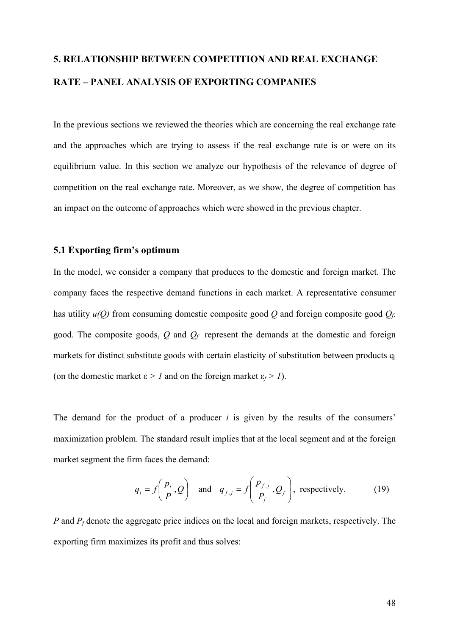# **5. RELATIONSHIP BETWEEN COMPETITION AND REAL EXCHANGE RATE – PANEL ANALYSIS OF EXPORTING COMPANIES**

In the previous sections we reviewed the theories which are concerning the real exchange rate and the approaches which are trying to assess if the real exchange rate is or were on its equilibrium value. In this section we analyze our hypothesis of the relevance of degree of competition on the real exchange rate. Moreover, as we show, the degree of competition has an impact on the outcome of approaches which were showed in the previous chapter.

#### **5.1 Exporting firm's optimum**

In the model, we consider a company that produces to the domestic and foreign market. The company faces the respective demand functions in each market. A representative consumer has utility  $u(Q)$  from consuming domestic composite good  $Q$  and foreign composite good  $Q_f$ . good. The composite goods, *Q* and *Qf* represent the demands at the domestic and foreign markets for distinct substitute goods with certain elasticity of substitution between products q<sub>i</sub> (on the domestic market  $\varepsilon > 1$  and on the foreign market  $\varepsilon_f > 1$ ).

The demand for the product of a producer *i* is given by the results of the consumers' maximization problem. The standard result implies that at the local segment and at the foreign market segment the firm faces the demand:

$$
q_i = f\left(\frac{p_i}{P}, Q\right)
$$
 and  $q_{f,j} = f\left(\frac{p_{f,j}}{P_f}, Q_f\right)$ , respectively. (19)

*P* and  $P_f$  denote the aggregate price indices on the local and foreign markets, respectively. The exporting firm maximizes its profit and thus solves: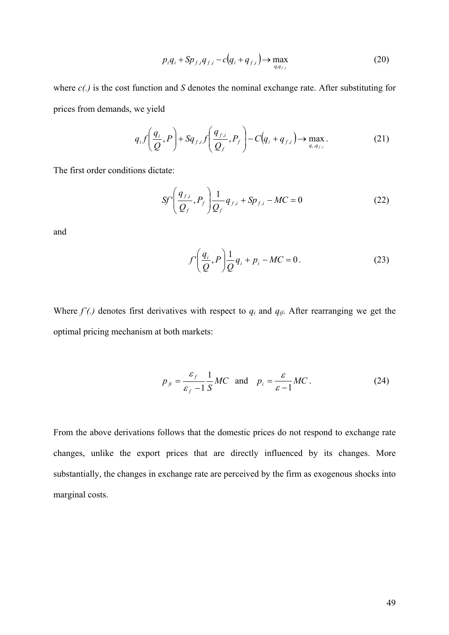$$
p_i q_i + \mathrm{Sp}_{f,i} q_{f,i} - c \left( q_i + q_{f,i} \right) \to \max_{q_i q_{f,i}} \tag{20}
$$

where *c(.)* is the cost function and *S* denotes the nominal exchange rate. After substituting for prices from demands, we yield

$$
q_i f\left(\frac{q_i}{Q}, P\right) + Sq_{f,i} f\left(\frac{q_{f,i}}{Q_f}, P_f\right) - C\left(q_i + q_{f,i}\right) \to \max_{q_i, q_{f,i}}.
$$
\n(21)

The first order conditions dictate:

$$
Sf'\left(\frac{q_{f,i}}{Q_f}, P_f\right)\frac{1}{Q_f}q_{f,i} + Sp_{f,i} - MC = 0
$$
 (22)

and

$$
f'\left(\frac{q_i}{Q}, P\right) \frac{1}{Q} q_i + p_i - MC = 0.
$$
 (23)

Where  $f'$ .) denotes first derivatives with respect to  $q_i$  and  $q_{if}$ . After rearranging we get the optimal pricing mechanism at both markets:

$$
p_{fi} = \frac{\varepsilon_f}{\varepsilon_f - 1} \frac{1}{S} MC \text{ and } p_i = \frac{\varepsilon}{\varepsilon - 1} MC. \tag{24}
$$

From the above derivations follows that the domestic prices do not respond to exchange rate changes, unlike the export prices that are directly influenced by its changes. More substantially, the changes in exchange rate are perceived by the firm as exogenous shocks into marginal costs.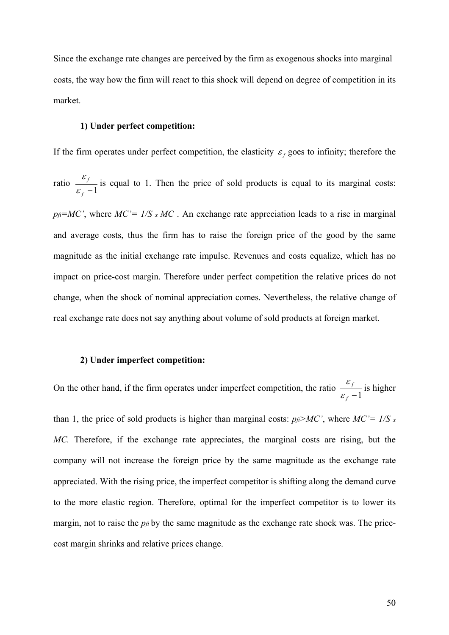Since the exchange rate changes are perceived by the firm as exogenous shocks into marginal costs, the way how the firm will react to this shock will depend on degree of competition in its market.

#### **1) Under perfect competition:**

If the firm operates under perfect competition, the elasticity  $\varepsilon_f$  goes to infinity; therefore the ratio *<sup>f</sup>* −1 *f* ε  $\frac{\varepsilon_f}{\sqrt{2}}$  is equal to 1. Then the price of sold products is equal to its marginal costs:  $p_f = MC'$ , where  $MC' = 1/S \times MC$ . An exchange rate appreciation leads to a rise in marginal and average costs, thus the firm has to raise the foreign price of the good by the same magnitude as the initial exchange rate impulse. Revenues and costs equalize, which has no impact on price-cost margin. Therefore under perfect competition the relative prices do not change, when the shock of nominal appreciation comes. Nevertheless, the relative change of real exchange rate does not say anything about volume of sold products at foreign market.

#### **2) Under imperfect competition:**

On the other hand, if the firm operates under imperfect competition, the ratio *<sup>f</sup>* −1 *f* ε  $\frac{\varepsilon_f}{\cdot}$  is higher than 1, the price of sold products is higher than marginal costs:  $p_f > MC'$ , where  $MC' = 1/S$  x *MC.* Therefore, if the exchange rate appreciates, the marginal costs are rising, but the company will not increase the foreign price by the same magnitude as the exchange rate appreciated. With the rising price, the imperfect competitor is shifting along the demand curve to the more elastic region. Therefore, optimal for the imperfect competitor is to lower its margin, not to raise the *pfi* by the same magnitude as the exchange rate shock was. The pricecost margin shrinks and relative prices change.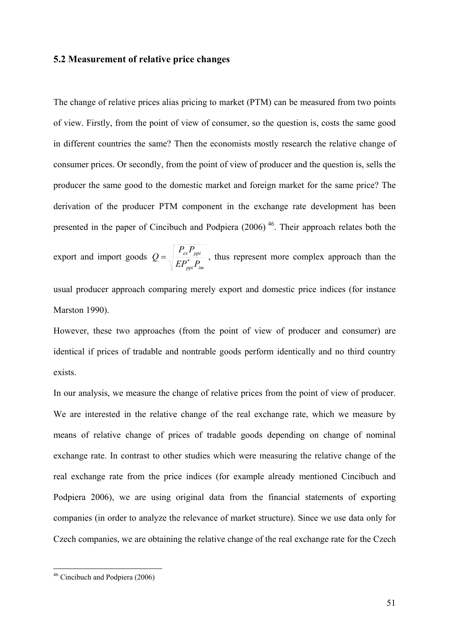### **5.2 Measurement of relative price changes**

The change of relative prices alias pricing to market (PTM) can be measured from two points of view. Firstly, from the point of view of consumer, so the question is, costs the same good in different countries the same? Then the economists mostly research the relative change of consumer prices. Or secondly, from the point of view of producer and the question is, sells the producer the same good to the domestic market and foreign market for the same price? The derivation of the producer PTM component in the exchange rate development has been presented in the paper of Cincibuch and Podpiera  $(2006)$ <sup>46</sup>. Their approach relates both the

export and import goods *ppi im ex ppi*  $EP_{nni}^*P_i$  $P_{\alpha}P$  $Q = \sqrt{\frac{P}{ED^* \cdot D}}$ , thus represent more complex approach than the

usual producer approach comparing merely export and domestic price indices (for instance Marston 1990).

However, these two approaches (from the point of view of producer and consumer) are identical if prices of tradable and nontrable goods perform identically and no third country exists.

In our analysis, we measure the change of relative prices from the point of view of producer. We are interested in the relative change of the real exchange rate, which we measure by means of relative change of prices of tradable goods depending on change of nominal exchange rate. In contrast to other studies which were measuring the relative change of the real exchange rate from the price indices (for example already mentioned Cincibuch and Podpiera 2006), we are using original data from the financial statements of exporting companies (in order to analyze the relevance of market structure). Since we use data only for Czech companies, we are obtaining the relative change of the real exchange rate for the Czech

1

<sup>&</sup>lt;sup>46</sup> Cincibuch and Podpiera (2006)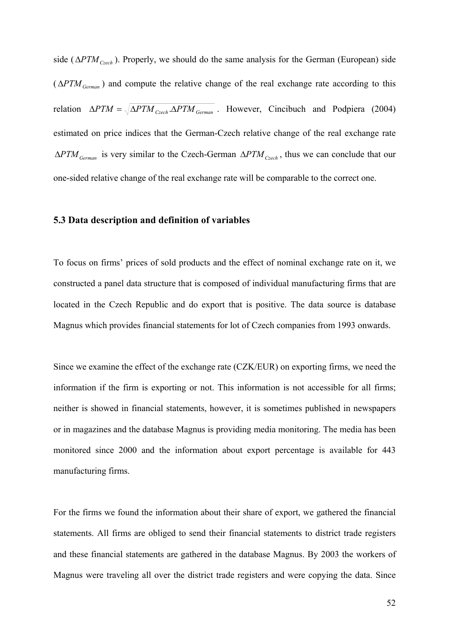side (Δ*PTM<sub>Czech</sub>*). Properly, we should do the same analysis for the German (European) side  $(\triangle PTM_{German})$  and compute the relative change of the real exchange rate according to this relation  $\Delta PTM = \sqrt{\Delta PTM_{Czech} \cdot \Delta PTM_{German}}$ . However, Cincibuch and Podpiera (2004) estimated on price indices that the German-Czech relative change of the real exchange rate  $ΔPTM<sub>German</sub>$  is very similar to the Czech-German  $ΔPTM<sub>Czech</sub>$ , thus we can conclude that our one-sided relative change of the real exchange rate will be comparable to the correct one.

#### **5.3 Data description and definition of variables**

To focus on firms' prices of sold products and the effect of nominal exchange rate on it, we constructed a panel data structure that is composed of individual manufacturing firms that are located in the Czech Republic and do export that is positive. The data source is database Magnus which provides financial statements for lot of Czech companies from 1993 onwards.

Since we examine the effect of the exchange rate (CZK/EUR) on exporting firms, we need the information if the firm is exporting or not. This information is not accessible for all firms; neither is showed in financial statements, however, it is sometimes published in newspapers or in magazines and the database Magnus is providing media monitoring. The media has been monitored since 2000 and the information about export percentage is available for 443 manufacturing firms.

For the firms we found the information about their share of export, we gathered the financial statements. All firms are obliged to send their financial statements to district trade registers and these financial statements are gathered in the database Magnus. By 2003 the workers of Magnus were traveling all over the district trade registers and were copying the data. Since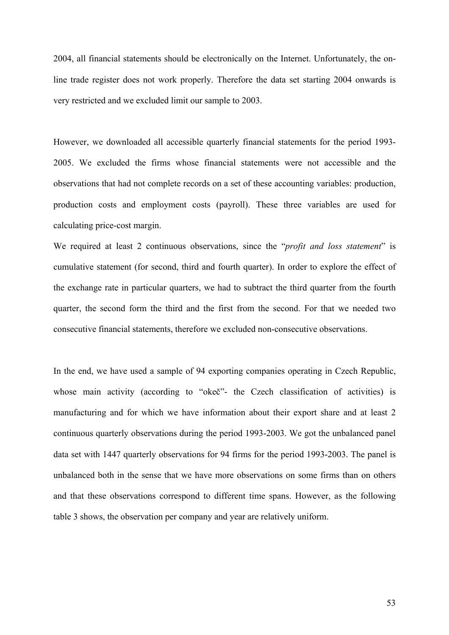2004, all financial statements should be electronically on the Internet. Unfortunately, the online trade register does not work properly. Therefore the data set starting 2004 onwards is very restricted and we excluded limit our sample to 2003.

However, we downloaded all accessible quarterly financial statements for the period 1993- 2005. We excluded the firms whose financial statements were not accessible and the observations that had not complete records on a set of these accounting variables: production, production costs and employment costs (payroll). These three variables are used for calculating price-cost margin.

We required at least 2 continuous observations, since the "*profit and loss statement*" is cumulative statement (for second, third and fourth quarter). In order to explore the effect of the exchange rate in particular quarters, we had to subtract the third quarter from the fourth quarter, the second form the third and the first from the second. For that we needed two consecutive financial statements, therefore we excluded non-consecutive observations.

In the end, we have used a sample of 94 exporting companies operating in Czech Republic, whose main activity (according to "okeč"- the Czech classification of activities) is manufacturing and for which we have information about their export share and at least 2 continuous quarterly observations during the period 1993-2003. We got the unbalanced panel data set with 1447 quarterly observations for 94 firms for the period 1993-2003. The panel is unbalanced both in the sense that we have more observations on some firms than on others and that these observations correspond to different time spans. However, as the following table 3 shows, the observation per company and year are relatively uniform.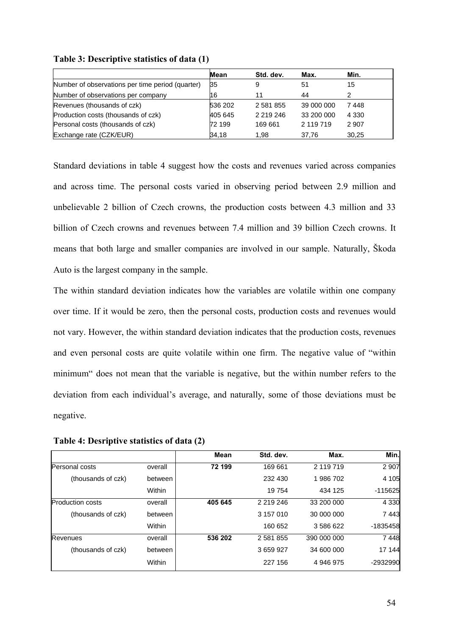|                                                  | Mean    | Std. dev. | Max.       | Min.    |
|--------------------------------------------------|---------|-----------|------------|---------|
| Number of observations per time period (quarter) | 35      | 9         | 51         | 15      |
| Number of observations per company               | 16      | 11        | 44         | ົ       |
| Revenues (thousands of czk)                      | 536 202 | 2 581 855 | 39 000 000 | 7448    |
| Production costs (thousands of czk)              | 405 645 | 2 219 246 | 33 200 000 | 4 3 3 0 |
| Personal costs (thousands of czk)                | 72 199  | 169 661   | 2 119 719  | 2 9 0 7 |
| Exchange rate (CZK/EUR)                          | 34,18   | 1.98      | 37,76      | 30,25   |

**Table 3: Descriptive statistics of data (1)** 

Standard deviations in table 4 suggest how the costs and revenues varied across companies and across time. The personal costs varied in observing period between 2.9 million and unbelievable 2 billion of Czech crowns, the production costs between 4.3 million and 33 billion of Czech crowns and revenues between 7.4 million and 39 billion Czech crowns. It means that both large and smaller companies are involved in our sample. Naturally, Škoda Auto is the largest company in the sample.

The within standard deviation indicates how the variables are volatile within one company over time. If it would be zero, then the personal costs, production costs and revenues would not vary. However, the within standard deviation indicates that the production costs, revenues and even personal costs are quite volatile within one firm. The negative value of "within minimum" does not mean that the variable is negative, but the within number refers to the deviation from each individual's average, and naturally, some of those deviations must be negative.

|  | Table 4: Desriptive statistics of data (2) |  |  |  |
|--|--------------------------------------------|--|--|--|
|--|--------------------------------------------|--|--|--|

|                         |         | Mean    | Std. dev. | Max.        | Min.      |
|-------------------------|---------|---------|-----------|-------------|-----------|
| Personal costs          | overall | 72 199  | 169 661   | 2 119 719   | 2 9 0 7   |
| (thousands of czk)      | between |         | 232 430   | 1986702     | 4 1 0 5   |
|                         | Within  |         | 19754     | 434 125     | $-115625$ |
| <b>Production costs</b> | overall | 405 645 | 2 219 246 | 33 200 000  | 4 3 3 0   |
| (thousands of czk)      | between |         | 3 157 010 | 30 000 000  | 7443      |
|                         | Within  |         | 160 652   | 3 586 622   | -1835458  |
| Revenues                | overall | 536 202 | 2 581 855 | 390 000 000 | 7448      |
| (thousands of czk)      | between |         | 3 659 927 | 34 600 000  | 17 144    |
|                         | Within  |         | 227 156   | 4 946 975   | -2932990  |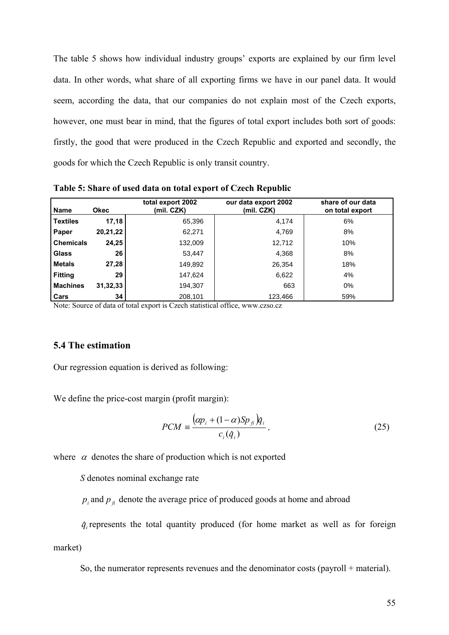The table 5 shows how individual industry groups' exports are explained by our firm level data. In other words, what share of all exporting firms we have in our panel data. It would seem, according the data, that our companies do not explain most of the Czech exports, however, one must bear in mind, that the figures of total export includes both sort of goods: firstly, the good that were produced in the Czech Republic and exported and secondly, the goods for which the Czech Republic is only transit country.

| <b>Name</b>      | <b>Okec</b> | total export 2002<br>(mil. CZK) | our data export 2002<br>(mil. CZK) | share of our data<br>on total export |
|------------------|-------------|---------------------------------|------------------------------------|--------------------------------------|
| <b>Textiles</b>  | 17,18       | 65,396                          | 4,174                              | 6%                                   |
| Paper            | 20,21,22    | 62,271                          | 4,769                              | 8%                                   |
| <b>Chemicals</b> | 24,25       | 132,009                         | 12,712                             | 10%                                  |
| <b>Glass</b>     | 26          | 53,447                          | 4,368                              | 8%                                   |
| <b>Metals</b>    | 27,28       | 149,892                         | 26,354                             | 18%                                  |
| <b>Fitting</b>   | 29          | 147.624                         | 6,622                              | 4%                                   |
| <b>Machines</b>  | 31,32,33    | 194,307                         | 663                                | $0\%$                                |
| Cars             | 34          | 208,101                         | 123,466                            | 59%                                  |

**Table 5: Share of used data on total export of Czech Republic** 

Note: Source of data of total export is Czech statistical office, www.czso.cz

## **5.4 The estimation**

Our regression equation is derived as following:

We define the price-cost margin (profit margin):

$$
PCM = \frac{\left(\alpha p_i + (1 - \alpha)Sp_{fi}\right) \hat{q}_i}{c_i(\hat{q}_i)},
$$
\n(25)

where  $\alpha$  denotes the share of production which is not exported

*S* denotes nominal exchange rate

 $p_i$  and  $p_f$  denote the average price of produced goods at home and abroad

 $\hat{q}$  represents the total quantity produced (for home market as well as for foreign

market)

So, the numerator represents revenues and the denominator costs (payroll + material).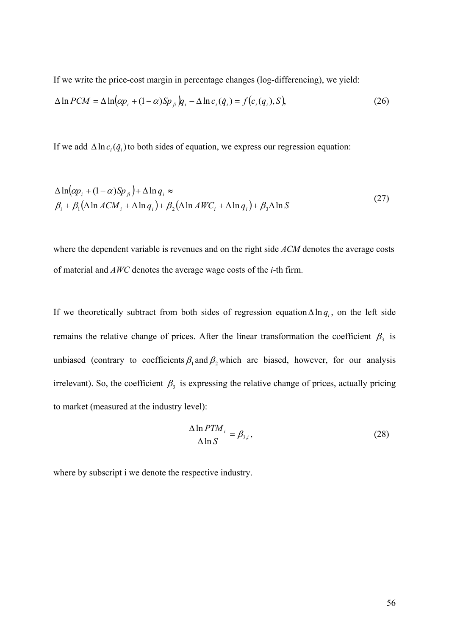If we write the price-cost margin in percentage changes (log-differencing), we yield:

$$
\Delta \ln PCM = \Delta \ln(\alpha p_i + (1 - \alpha)Sp_{\hat{B}})q_i - \Delta \ln c_i(\hat{q}_i) = f(c_i(q_i), S),
$$
\n(26)

If we add  $\Delta \ln c_i(\hat{q}_i)$  to both sides of equation, we express our regression equation:

$$
\Delta \ln(\alpha p_i + (1 - \alpha)Sp_{\beta}) + \Delta \ln q_i \approx
$$
\n
$$
\beta_i + \beta_1 (\Delta \ln ACM_i + \Delta \ln q_i) + \beta_2 (\Delta \ln AWC_i + \Delta \ln q_i) + \beta_3 \Delta \ln S
$$
\n(27)

where the dependent variable is revenues and on the right side *ACM* denotes the average costs of material and *AWC* denotes the average wage costs of the *i*-th firm.

If we theoretically subtract from both sides of regression equation  $\Delta \ln q_i$ , on the left side remains the relative change of prices. After the linear transformation the coefficient  $\beta_3$  is unbiased (contrary to coefficients  $\beta_1$  and  $\beta_2$ , which are biased, however, for our analysis irrelevant). So, the coefficient  $\beta_3$  is expressing the relative change of prices, actually pricing to market (measured at the industry level):

$$
\frac{\Delta \ln PTM_i}{\Delta \ln S} = \beta_{3,i},\tag{28}
$$

where by subscript i we denote the respective industry.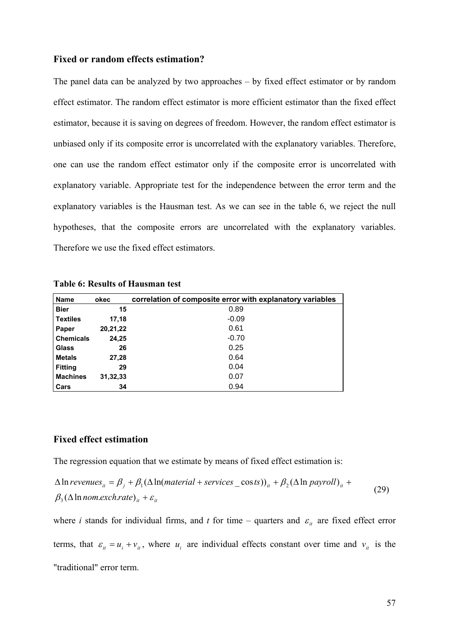#### **Fixed or random effects estimation?**

The panel data can be analyzed by two approaches – by fixed effect estimator or by random effect estimator. The random effect estimator is more efficient estimator than the fixed effect estimator, because it is saving on degrees of freedom. However, the random effect estimator is unbiased only if its composite error is uncorrelated with the explanatory variables. Therefore, one can use the random effect estimator only if the composite error is uncorrelated with explanatory variable. Appropriate test for the independence between the error term and the explanatory variables is the Hausman test. As we can see in the table 6, we reject the null hypotheses, that the composite errors are uncorrelated with the explanatory variables. Therefore we use the fixed effect estimators.

| <b>Name</b>      | okec     | correlation of composite error with explanatory variables |
|------------------|----------|-----------------------------------------------------------|
| <b>Bier</b>      | 15       | 0.89                                                      |
| <b>Textiles</b>  | 17,18    | $-0.09$                                                   |
| Paper            | 20,21,22 | 0.61                                                      |
| <b>Chemicals</b> | 24,25    | $-0.70$                                                   |
| <b>Glass</b>     | 26       | 0.25                                                      |
| <b>Metals</b>    | 27,28    | 0.64                                                      |
| <b>Fitting</b>   | 29       | 0.04                                                      |
| <b>Machines</b>  | 31,32,33 | 0.07                                                      |
| Cars             | 34       | 0.94                                                      |

**Table 6: Results of Hausman test** 

### **Fixed effect estimation**

The regression equation that we estimate by means of fixed effect estimation is:

$$
\Delta \ln \text{revenues}_{it} = \beta_j + \beta_1 (\Delta \ln(\text{material} + \text{ services} - \text{costs}))_{it} + \beta_2 (\Delta \ln \text{payroll})_{it} +
$$
  

$$
\beta_3 (\Delta \ln \text{nom.} \text{exch.} \text{rate})_{it} + \varepsilon_{it}
$$
 (29)

where *i* stands for individual firms, and *t* for time – quarters and  $\varepsilon$ <sub>*it*</sub> are fixed effect error terms, that  $\varepsilon_{ii} = u_i + v_{ii}$ , where  $u_i$  are individual effects constant over time and  $v_{ii}$  is the "traditional" error term.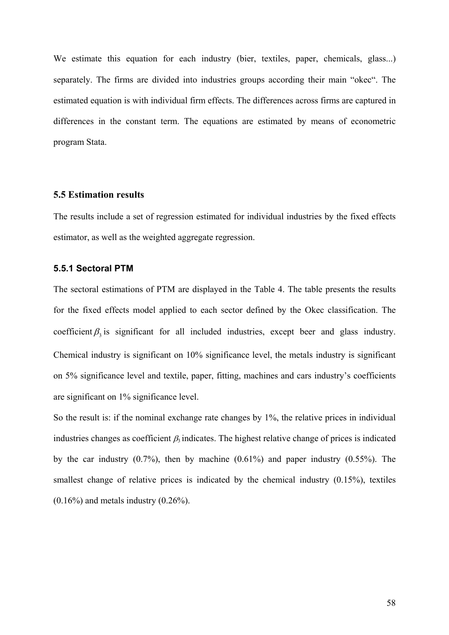We estimate this equation for each industry (bier, textiles, paper, chemicals, glass...) separately. The firms are divided into industries groups according their main "okec". The estimated equation is with individual firm effects. The differences across firms are captured in differences in the constant term. The equations are estimated by means of econometric program Stata.

#### **5.5 Estimation results**

The results include a set of regression estimated for individual industries by the fixed effects estimator, as well as the weighted aggregate regression.

### **5.5.1 Sectoral PTM**

The sectoral estimations of PTM are displayed in the Table 4. The table presents the results for the fixed effects model applied to each sector defined by the Okec classification. The coefficient  $\beta_3$  is significant for all included industries, except beer and glass industry. Chemical industry is significant on 10% significance level, the metals industry is significant on 5% significance level and textile, paper, fitting, machines and cars industry's coefficients are significant on 1% significance level.

So the result is: if the nominal exchange rate changes by 1%, the relative prices in individual industries changes as coefficient  $\beta_3$  indicates. The highest relative change of prices is indicated by the car industry  $(0.7\%)$ , then by machine  $(0.61\%)$  and paper industry  $(0.55\%)$ . The smallest change of relative prices is indicated by the chemical industry  $(0.15\%)$ , textiles  $(0.16\%)$  and metals industry  $(0.26\%)$ .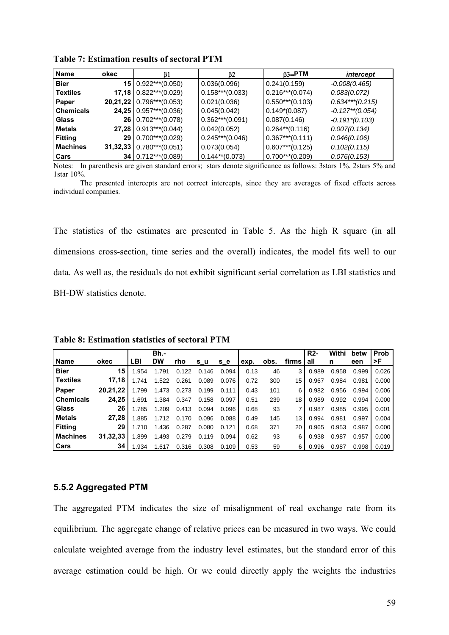| <b>Name</b>      | okec     | 61                         | ß2                | $\beta$ 3=PTM      | intercept          |
|------------------|----------|----------------------------|-------------------|--------------------|--------------------|
| <b>Bier</b>      | 15       | $0.922***$ (0.050)         | 0.036(0.096)      | 0.241(0.159)       | $-0.008(0.465)$    |
| <b>Textiles</b>  |          | $17,18$ 0.822***(0.029)    | $0.158***(0.033)$ | $0.216***(0.074)$  | 0.083(0.072)       |
| Paper            |          | $20,21,22$ 0.796***(0.053) | 0.021(0.036)      | $0.550***(0.103)$  | $0.634***(0.215)$  |
| <b>Chemicals</b> |          | $24,25$ 0.957***(0.036)    | 0.045(0.042)      | $0.149*(0.087)$    | $-0.127**$ (0.054) |
| Glass            | 26       | $0.702***(0.078)$          | $0.362***(0.091)$ | 0.087(0.146)       | $-0.191*(0.103)$   |
| <b>Metals</b>    |          | $27,28$ 0.913***(0.044)    | 0.042(0.052)      | $0.264**$ (0.116)  | 0.007(0.134)       |
| <b>Fitting</b>   | 29       | $0.700***$ (0.029)         | $0.245***(0.046)$ | $0.367***(0.111)$  | 0.046(0.106)       |
| <b>Machines</b>  | 31,32,33 | $0.780***$ (0.051)         | 0.073(0.054)      | $0.607***(0.125)$  | 0.102(0.115)       |
| Cars             | 34       | $0.712***$ (0.089)         | $0.144**$ (0.073) | $0.700***$ (0.209) | 0.076(0.153)       |

**Table 7: Estimation results of sectoral PTM** 

Notes: In parenthesis are given standard errors; stars denote significance as follows: 3stars 1%, 2stars 5% and 1star 10%.

 The presented intercepts are not correct intercepts, since they are averages of fixed effects across individual companies.

The statistics of the estimates are presented in Table 5. As the high R square (in all dimensions cross-section, time series and the overall) indicates, the model fits well to our data. As well as, the residuals do not exhibit significant serial correlation as LBI statistics and BH-DW statistics denote.

|                  |          |       | Bh.-      |       |       |       |      |      |       | $R2-$ | Withi | betw  | Prob  |
|------------------|----------|-------|-----------|-------|-------|-------|------|------|-------|-------|-------|-------|-------|
| <b>Name</b>      | okec     | LBI   | <b>DW</b> | rho   | s u   | s e   | exp. | obs. | firms | all   | n     | een   | >F    |
| <b>Bier</b>      | 15       | 1.954 | 1.791     | 0.122 | 0.146 | 0.094 | 0.13 | 46   | 3     | 0.989 | 0.958 | 0.999 | 0.026 |
| Textiles         | 17.18    | 1.741 | 1.522     | 0.261 | 0.089 | 0.076 | 0.72 | 300  | 15    | 0.967 | 0.984 | 0.981 | 0.000 |
| Paper            | 20.21.22 | 1.799 | 1.473     | 0.273 | 0.199 | 0.111 | 0.43 | 101  | 6     | 0.982 | 0.956 | 0.994 | 0.006 |
| <b>Chemicals</b> | 24.25    | 1.691 | 1.384     | 0.347 | 0.158 | 0.097 | 0.51 | 239  | 18    | 0.989 | 0.992 | 0.994 | 0.000 |
| <b>Glass</b>     | 26       | 1.785 | 1.209     | 0.413 | 0.094 | 0.096 | 0.68 | 93   | 7     | 0.987 | 0.985 | 0.995 | 0.001 |
| <b>Metals</b>    | 27.28    | 1.885 | 1.712     | 0.170 | 0.096 | 0.088 | 0.49 | 145  | 13    | 0.994 | 0.981 | 0.997 | 0.004 |
| <b>Fitting</b>   | 29       | 1.710 | 1.436     | 0.287 | 0.080 | 0.121 | 0.68 | 371  | 20    | 0.965 | 0.953 | 0.987 | 0.000 |
| <b>Machines</b>  | 31.32.33 | 1.899 | 1.493     | 0.279 | 0.119 | 0.094 | 0.62 | 93   | 6     | 0.938 | 0.987 | 0.957 | 0.000 |
| Cars             | 34       | .934  | 1.617     | 0.316 | 0.308 | 0.109 | 0.53 | 59   | 6     | 0.996 | 0.987 | 0.998 | 0.019 |

**Table 8: Estimation statistics of sectoral PTM** 

#### **5.5.2 Aggregated PTM**

The aggregated PTM indicates the size of misalignment of real exchange rate from its equilibrium. The aggregate change of relative prices can be measured in two ways. We could calculate weighted average from the industry level estimates, but the standard error of this average estimation could be high. Or we could directly apply the weights the industries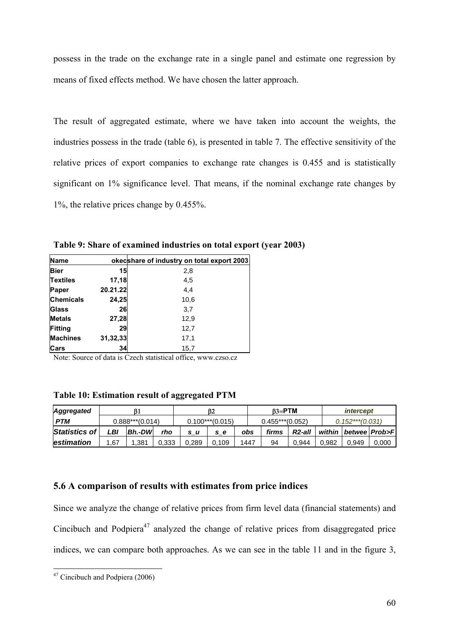possess in the trade on the exchange rate in a single panel and estimate one regression by means of fixed effects method. We have chosen the latter approach.

The result of aggregated estimate, where we have taken into account the weights, the industries possess in the trade (table 6), is presented in table 7. The effective sensitivity of the relative prices of export companies to exchange rate changes is 0.455 and is statistically significant on 1% significance level. That means, if the nominal exchange rate changes by 1%, the relative prices change by 0.455%.

**Table 9: Share of examined industries on total export (year 2003)** 

| <b>Name</b>      |          | okecshare of industry on total export 2003 |
|------------------|----------|--------------------------------------------|
| Bier             | 15       | 2,8                                        |
| <b>Textiles</b>  | 17,18    | 4,5                                        |
| Paper            | 20.21.22 | 4,4                                        |
| <b>Chemicals</b> | 24,25    | 10,6                                       |
| Glass            | 26       | 3,7                                        |
| <b>Metals</b>    | 27,28    | 12,9                                       |
| Fitting          | 29       | 12,7                                       |
| <b>Machines</b>  | 31,32,33 | 17,1                                       |
| <b>Cars</b>      | 34       | 15,7                                       |

Note: Source of data is Czech statistical office, www.czso.cz

**Table 10: Estimation result of aggregated PTM** 

| <b>Aggregated</b> | ß1  |                   |       | <b>B2</b> |                   |      | $B3 = PTM$        |        |       | <i>intercept</i>   |                          |  |
|-------------------|-----|-------------------|-------|-----------|-------------------|------|-------------------|--------|-------|--------------------|--------------------------|--|
| <b>PTM</b>        |     | $0.888***(0.014)$ |       |           | $0.100***(0.015)$ |      | $0.455***(0.052)$ |        |       | $0.152***$ (0.031) |                          |  |
| Statistics of     | _BI | <b>Bh.-DW</b>     | rho   | s u       | s e               | obs  | firms             | R2-all |       |                    | within   betwee   Prob>F |  |
| <b>estimation</b> | .67 | .381              | 0.333 | 0.289     | 0.109             | 1447 | 94                | 0.944  | 0.982 | 0.949              | 0,000                    |  |

### **5.6 A comparison of results with estimates from price indices**

Since we analyze the change of relative prices from firm level data (financial statements) and Cincibuch and Podpiera<sup>47</sup> analyzed the change of relative prices from disaggregated price indices, we can compare both approaches. As we can see in the table 11 and in the figure 3,

<sup>1</sup>  $47$  Cincibuch and Podpiera (2006)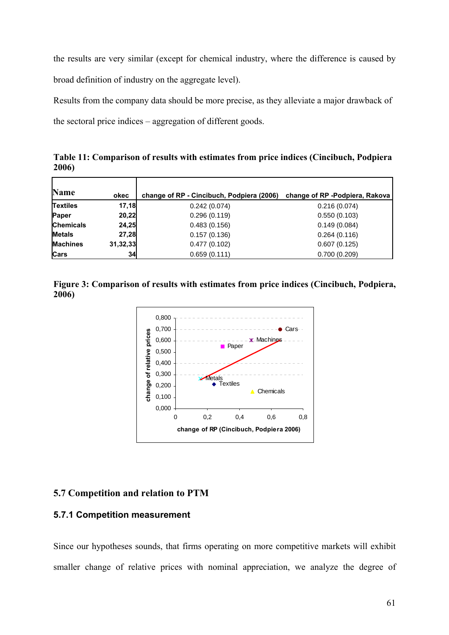the results are very similar (except for chemical industry, where the difference is caused by broad definition of industry on the aggregate level).

Results from the company data should be more precise, as they alleviate a major drawback of the sectoral price indices – aggregation of different goods.

**Table 11: Comparison of results with estimates from price indices (Cincibuch, Podpiera 2006)** 

| <b>Name</b>      | okec     | change of RP - Cincibuch, Podpiera (2006) | change of RP -Podpiera, Rakova |
|------------------|----------|-------------------------------------------|--------------------------------|
| <b>Textiles</b>  | 17,18    | 0.242(0.074)                              | 0.216(0.074)                   |
| Paper            | 20,22    | 0.296(0.119)                              | 0.550(0.103)                   |
| <b>Chemicals</b> | 24,25    | 0.483(0.156)                              | 0.149(0.084)                   |
| <b>Metals</b>    | 27,28    | 0.157(0.136)                              | 0.264(0.116)                   |
| <b>Machines</b>  | 31,32,33 | 0.477(0.102)                              | 0.607(0.125)                   |
| <b>Cars</b>      | 34       | 0.659(0.111)                              | 0.700(0.209)                   |

**Figure 3: Comparison of results with estimates from price indices (Cincibuch, Podpiera, 2006)** 



## **5.7 Competition and relation to PTM**

## **5.7.1 Competition measurement**

Since our hypotheses sounds, that firms operating on more competitive markets will exhibit smaller change of relative prices with nominal appreciation, we analyze the degree of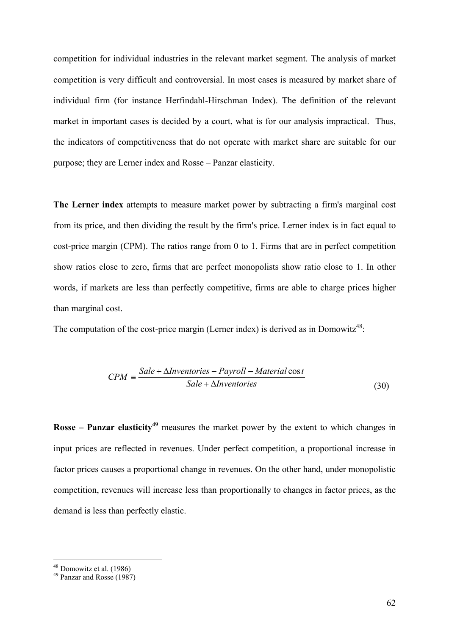competition for individual industries in the relevant market segment. The analysis of market competition is very difficult and controversial. In most cases is measured by market share of individual firm (for instance Herfindahl-Hirschman Index). The definition of the relevant market in important cases is decided by a court, what is for our analysis impractical. Thus, the indicators of competitiveness that do not operate with market share are suitable for our purpose; they are Lerner index and Rosse – Panzar elasticity.

**The Lerner index** attempts to measure market power by subtracting a firm's marginal cost from its price, and then dividing the result by the firm's price. Lerner index is in fact equal to cost-price margin (CPM). The ratios range from 0 to 1. Firms that are in perfect competition show ratios close to zero, firms that are perfect monopolists show ratio close to 1. In other words, if markets are less than perfectly competitive, firms are able to charge prices higher than marginal cost.

The computation of the cost-price margin (Lerner index) is derived as in Domowitz<sup>48</sup>:

$$
CPM \equiv \frac{Sale + \Delta Inventories - Payroll - Material \cos t}{Sale + \Delta Inventories}
$$
\n(30)

**Rosse – Panzar elasticity<sup>49</sup>** measures the market power by the extent to which changes in input prices are reflected in revenues. Under perfect competition, a proportional increase in factor prices causes a proportional change in revenues. On the other hand, under monopolistic competition, revenues will increase less than proportionally to changes in factor prices, as the demand is less than perfectly elastic.

1

 $48$  Domowitz et al. (1986)

<sup>49</sup> Panzar and Rosse (1987)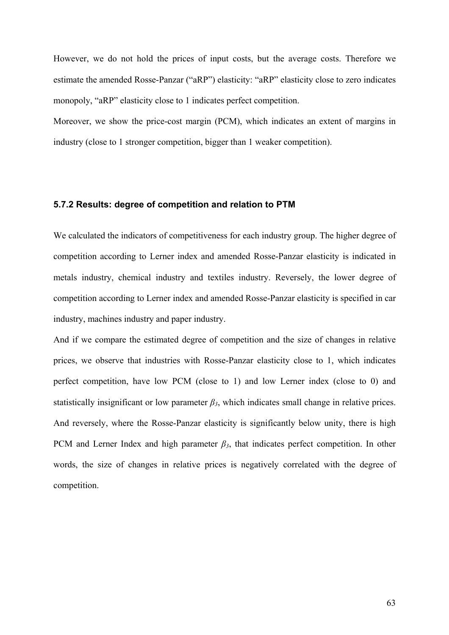However, we do not hold the prices of input costs, but the average costs. Therefore we estimate the amended Rosse-Panzar ("aRP") elasticity: "aRP" elasticity close to zero indicates monopoly, "aRP" elasticity close to 1 indicates perfect competition.

Moreover, we show the price-cost margin (PCM), which indicates an extent of margins in industry (close to 1 stronger competition, bigger than 1 weaker competition).

#### **5.7.2 Results: degree of competition and relation to PTM**

We calculated the indicators of competitiveness for each industry group. The higher degree of competition according to Lerner index and amended Rosse-Panzar elasticity is indicated in metals industry, chemical industry and textiles industry. Reversely, the lower degree of competition according to Lerner index and amended Rosse-Panzar elasticity is specified in car industry, machines industry and paper industry.

And if we compare the estimated degree of competition and the size of changes in relative prices, we observe that industries with Rosse-Panzar elasticity close to 1, which indicates perfect competition, have low PCM (close to 1) and low Lerner index (close to 0) and statistically insignificant or low parameter  $\beta_3$ , which indicates small change in relative prices. And reversely, where the Rosse-Panzar elasticity is significantly below unity, there is high PCM and Lerner Index and high parameter  $\beta_3$ , that indicates perfect competition. In other words, the size of changes in relative prices is negatively correlated with the degree of competition.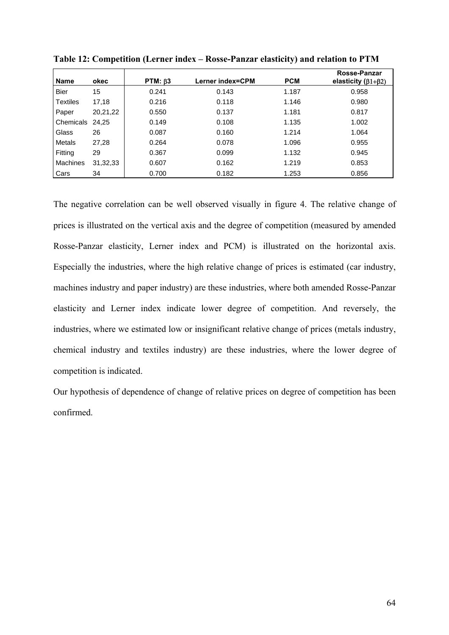| <b>Name</b>     | okec       | $PTM: \beta3$ | Lerner index=CPM | <b>PCM</b> | Rosse-Panzar<br>elasticity $(\beta1+\beta2)$ |
|-----------------|------------|---------------|------------------|------------|----------------------------------------------|
| <b>Bier</b>     | 15         | 0.241         | 0.143            | 1.187      | 0.958                                        |
| <b>Textiles</b> | 17,18      | 0.216         | 0.118            | 1.146      | 0.980                                        |
| Paper           | 20,21,22   | 0.550         | 0.137            | 1.181      | 0.817                                        |
| Chemicals       | 24.25      | 0.149         | 0.108            | 1.135      | 1.002                                        |
| Glass           | 26         | 0.087         | 0.160            | 1.214      | 1.064                                        |
| Metals          | 27,28      | 0.264         | 0.078            | 1.096      | 0.955                                        |
| Fitting         | 29         | 0.367         | 0.099            | 1.132      | 0.945                                        |
| <b>Machines</b> | 31, 32, 33 | 0.607         | 0.162            | 1.219      | 0.853                                        |
| Cars            | 34         | 0.700         | 0.182            | 1.253      | 0.856                                        |

**Table 12: Competition (Lerner index – Rosse-Panzar elasticity) and relation to PTM** 

The negative correlation can be well observed visually in figure 4. The relative change of prices is illustrated on the vertical axis and the degree of competition (measured by amended Rosse-Panzar elasticity, Lerner index and PCM) is illustrated on the horizontal axis. Especially the industries, where the high relative change of prices is estimated (car industry, machines industry and paper industry) are these industries, where both amended Rosse-Panzar elasticity and Lerner index indicate lower degree of competition. And reversely, the industries, where we estimated low or insignificant relative change of prices (metals industry, chemical industry and textiles industry) are these industries, where the lower degree of competition is indicated.

Our hypothesis of dependence of change of relative prices on degree of competition has been confirmed.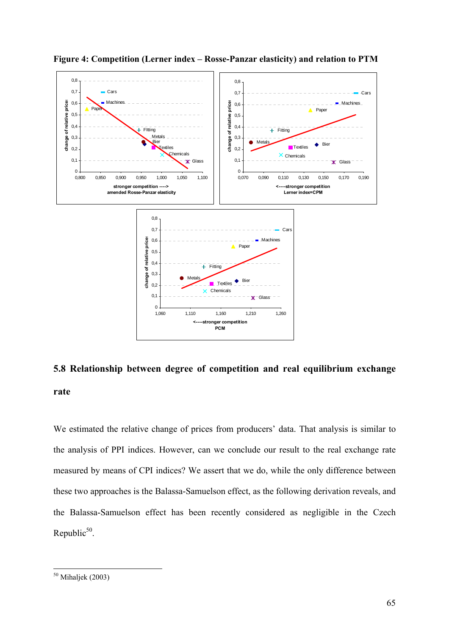

**Figure 4: Competition (Lerner index – Rosse-Panzar elasticity) and relation to PTM** 

# **5.8 Relationship between degree of competition and real equilibrium exchange rate**

We estimated the relative change of prices from producers' data. That analysis is similar to the analysis of PPI indices. However, can we conclude our result to the real exchange rate measured by means of CPI indices? We assert that we do, while the only difference between these two approaches is the Balassa-Samuelson effect, as the following derivation reveals, and the Balassa-Samuelson effect has been recently considered as negligible in the Czech Republic $50$ .

 $\overline{a}$ 

 $50$  Mihaljek (2003)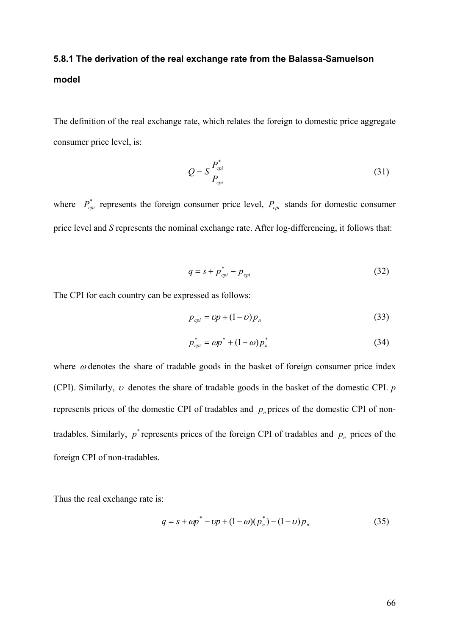# **5.8.1 The derivation of the real exchange rate from the Balassa-Samuelson model**

The definition of the real exchange rate, which relates the foreign to domestic price aggregate consumer price level, is:

$$
Q = S \frac{P_{\text{cpi}}^*}{P_{\text{cpi}}} \tag{31}
$$

where  $P_{cpi}^*$  represents the foreign consumer price level,  $P_{cpi}$  stands for domestic consumer price level and *S* represents the nominal exchange rate. After log-differencing, it follows that:

$$
q = s + p_{\text{cpi}}^* - p_{\text{cpi}} \tag{32}
$$

The CPI for each country can be expressed as follows:

$$
p_{\text{cpi}} = \nu p + (1 - \nu) p_n \tag{33}
$$

$$
p_{\text{cpi}}^* = \omega p^* + (1 - \omega) p_n^* \tag{34}
$$

where  $\omega$  denotes the share of tradable goods in the basket of foreign consumer price index (CPI). Similarly, υ denotes the share of tradable goods in the basket of the domestic CPI. *p* represents prices of the domestic CPI of tradables and  $p_n$  prices of the domestic CPI of nontradables. Similarly,  $p^*$  represents prices of the foreign CPI of tradables and  $p_n$  prices of the foreign CPI of non-tradables.

Thus the real exchange rate is:

$$
q = s + \omega p^* - \omega p + (1 - \omega)(p_n^*) - (1 - \omega)p_n \tag{35}
$$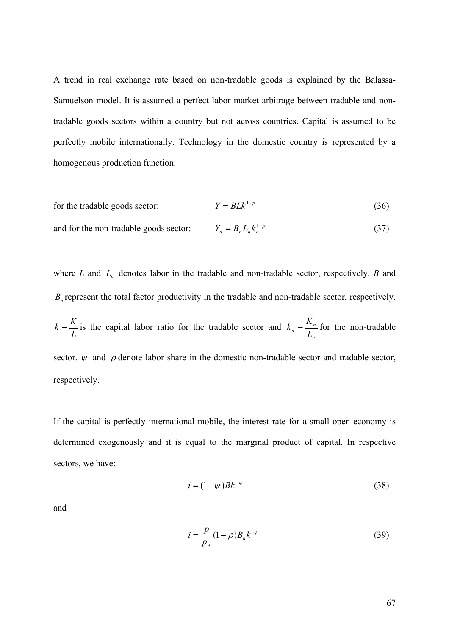A trend in real exchange rate based on non-tradable goods is explained by the Balassa-Samuelson model. It is assumed a perfect labor market arbitrage between tradable and nontradable goods sectors within a country but not across countries. Capital is assumed to be perfectly mobile internationally. Technology in the domestic country is represented by a homogenous production function:

for the tradable goods sector: 
$$
Y = BLk^{1-\psi}
$$
 (36)

and for the non-tradable goods sector: 
$$
Y_n = B_n L_n k_n^{1-\rho}
$$
 (37)

where  $L$  and  $L_n$  denotes labor in the tradable and non-tradable sector, respectively.  $B$  and  $B<sub>n</sub>$  represent the total factor productivity in the tradable and non-tradable sector, respectively. *L*  $k = \frac{K}{I}$  is the capital labor ratio for the tradable sector and *n*  $n = \frac{R_n}{L_n}$  $k_n \equiv \frac{K_n}{I_n}$  for the non-tradable sector.  $\psi$  and  $\rho$  denote labor share in the domestic non-tradable sector and tradable sector, respectively.

If the capital is perfectly international mobile, the interest rate for a small open economy is determined exogenously and it is equal to the marginal product of capital. In respective sectors, we have:

$$
i = (1 - \psi)Bk^{-\psi} \tag{38}
$$

and

$$
i = \frac{p}{p_n} (1 - \rho) B_n k^{-\rho}
$$
 (39)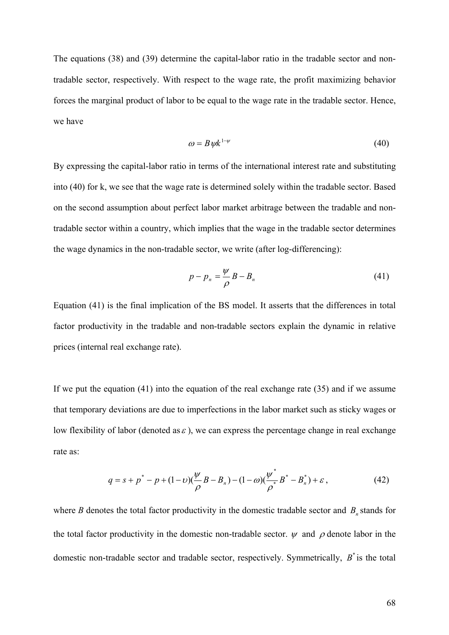The equations (38) and (39) determine the capital-labor ratio in the tradable sector and nontradable sector, respectively. With respect to the wage rate, the profit maximizing behavior forces the marginal product of labor to be equal to the wage rate in the tradable sector. Hence, we have

$$
\omega = B \psi k^{1-\psi} \tag{40}
$$

By expressing the capital-labor ratio in terms of the international interest rate and substituting into (40) for k, we see that the wage rate is determined solely within the tradable sector. Based on the second assumption about perfect labor market arbitrage between the tradable and nontradable sector within a country, which implies that the wage in the tradable sector determines the wage dynamics in the non-tradable sector, we write (after log-differencing):

$$
p - p_n = \frac{\psi}{\rho} B - B_n \tag{41}
$$

Equation (41) is the final implication of the BS model. It asserts that the differences in total factor productivity in the tradable and non-tradable sectors explain the dynamic in relative prices (internal real exchange rate).

If we put the equation (41) into the equation of the real exchange rate (35) and if we assume that temporary deviations are due to imperfections in the labor market such as sticky wages or low flexibility of labor (denoted as  $\varepsilon$ ), we can express the percentage change in real exchange rate as:

$$
q = s + p^* - p + (1 - v)\left(\frac{\psi}{\rho}B - B_n\right) - (1 - \omega)\left(\frac{\psi^*}{\rho^*}B^* - B_n^*\right) + \varepsilon\,,\tag{42}
$$

where *B* denotes the total factor productivity in the domestic tradable sector and  $B_n$  stands for the total factor productivity in the domestic non-tradable sector.  $\psi$  and  $\rho$  denote labor in the domestic non-tradable sector and tradable sector, respectively. Symmetrically,  $B^*$  is the total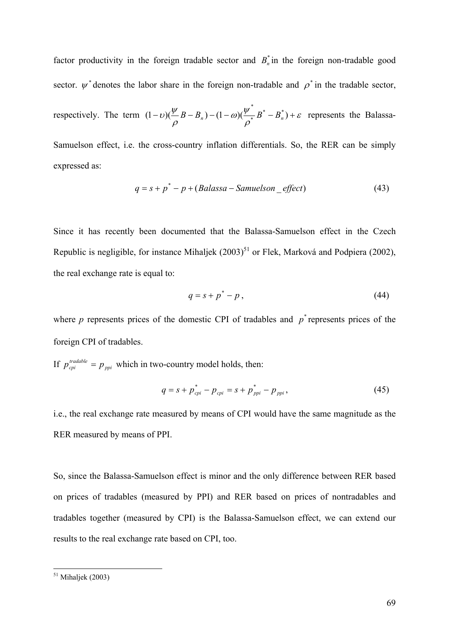factor productivity in the foreign tradable sector and  $B_n^*$  in the foreign non-tradable good sector.  $\psi^*$  denotes the labor share in the foreign non-tradable and  $\rho^*$  in the tradable sector,

respectively. The term  $(1-v)(\frac{\psi}{\phi}B-B_n)-(1-\omega)(\frac{\psi}{\phi}B^*-B_n^*)+\varepsilon$ ρ ω $\frac{\psi}{\psi}$ ρ  $(1-\nu)(\frac{\psi}{\rho}B-B_n)-(1-\omega)(\frac{\psi}{\rho^*}B^*-B_n^*)+$ \*  $(B - B_n) - (1 - \omega)(\frac{\omega}{\sigma} B^* - B_n^*) + \varepsilon$  represents the Balassa-

Samuelson effect, i.e. the cross-country inflation differentials. So, the RER can be simply expressed as:

$$
q = s + p^* - p + (Balassa - Samuelson\_effect)
$$
\n(43)

Since it has recently been documented that the Balassa-Samuelson effect in the Czech Republic is negligible, for instance Mihaliek  $(2003)^{51}$  or Flek, Marková and Podpiera (2002), the real exchange rate is equal to:

$$
q = s + p^* - p \tag{44}
$$

where  $p$  represents prices of the domestic CPI of tradables and  $p^*$  represents prices of the foreign CPI of tradables.

If  $p_{\text{cpi}}^{\text{tradable}} = p_{\text{ppi}}$  which in two-country model holds, then:

$$
q = s + p_{\text{cpi}}^* - p_{\text{cpi}} = s + p_{\text{ppi}}^* - p_{\text{ppi}}, \qquad (45)
$$

i.e., the real exchange rate measured by means of CPI would have the same magnitude as the RER measured by means of PPI.

So, since the Balassa-Samuelson effect is minor and the only difference between RER based on prices of tradables (measured by PPI) and RER based on prices of nontradables and tradables together (measured by CPI) is the Balassa-Samuelson effect, we can extend our results to the real exchange rate based on CPI, too.

 $\overline{a}$ 

 $51$  Mihaljek (2003)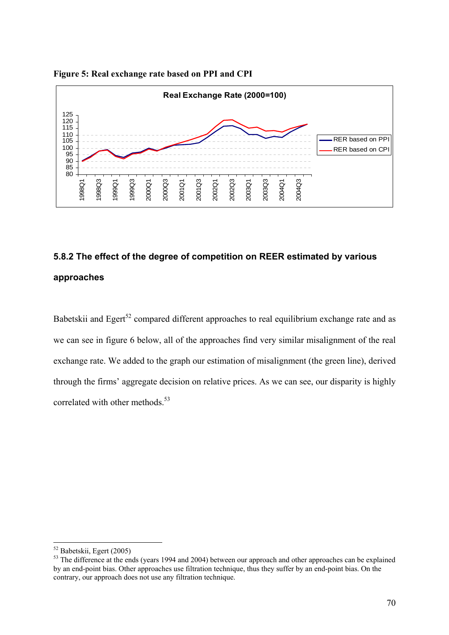

## **Figure 5: Real exchange rate based on PPI and CPI**

# **5.8.2 The effect of the degree of competition on REER estimated by various approaches**

Babetskii and Egert<sup>52</sup> compared different approaches to real equilibrium exchange rate and as we can see in figure 6 below, all of the approaches find very similar misalignment of the real exchange rate. We added to the graph our estimation of misalignment (the green line), derived through the firms' aggregate decision on relative prices. As we can see, our disparity is highly correlated with other methods.<sup>53</sup>

 $\overline{a}$ 

<sup>52</sup> Babetskii, Egert (2005)

<sup>&</sup>lt;sup>53</sup> The difference at the ends (years 1994 and 2004) between our approach and other approaches can be explained by an end-point bias. Other approaches use filtration technique, thus they suffer by an end-point bias. On the contrary, our approach does not use any filtration technique.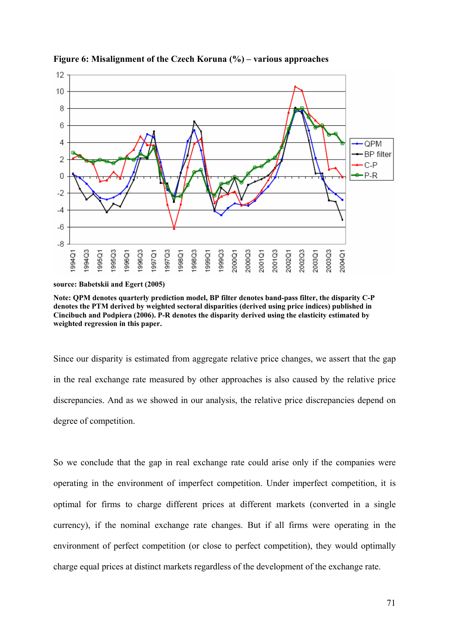

**Figure 6: Misalignment of the Czech Koruna (%) – various approaches** 

**source: Babetskii and Egert (2005)** 

**Note: QPM denotes quarterly prediction model, BP filter denotes band-pass filter, the disparity C-P denotes the PTM derived by weighted sectoral disparities (derived using price indices) published in Cincibuch and Podpiera (2006). P-R denotes the disparity derived using the elasticity estimated by weighted regression in this paper.** 

Since our disparity is estimated from aggregate relative price changes, we assert that the gap in the real exchange rate measured by other approaches is also caused by the relative price discrepancies. And as we showed in our analysis, the relative price discrepancies depend on degree of competition.

So we conclude that the gap in real exchange rate could arise only if the companies were operating in the environment of imperfect competition. Under imperfect competition, it is optimal for firms to charge different prices at different markets (converted in a single currency), if the nominal exchange rate changes. But if all firms were operating in the environment of perfect competition (or close to perfect competition), they would optimally charge equal prices at distinct markets regardless of the development of the exchange rate.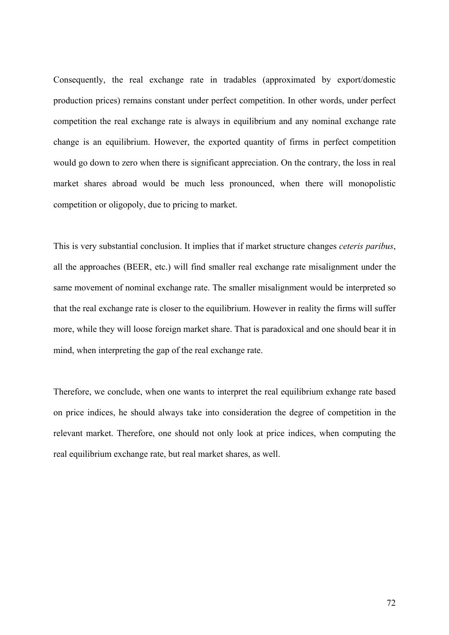Consequently, the real exchange rate in tradables (approximated by export/domestic production prices) remains constant under perfect competition. In other words, under perfect competition the real exchange rate is always in equilibrium and any nominal exchange rate change is an equilibrium. However, the exported quantity of firms in perfect competition would go down to zero when there is significant appreciation. On the contrary, the loss in real market shares abroad would be much less pronounced, when there will monopolistic competition or oligopoly, due to pricing to market.

This is very substantial conclusion. It implies that if market structure changes *ceteris paribus*, all the approaches (BEER, etc.) will find smaller real exchange rate misalignment under the same movement of nominal exchange rate. The smaller misalignment would be interpreted so that the real exchange rate is closer to the equilibrium. However in reality the firms will suffer more, while they will loose foreign market share. That is paradoxical and one should bear it in mind, when interpreting the gap of the real exchange rate.

Therefore, we conclude, when one wants to interpret the real equilibrium exhange rate based on price indices, he should always take into consideration the degree of competition in the relevant market. Therefore, one should not only look at price indices, when computing the real equilibrium exchange rate, but real market shares, as well.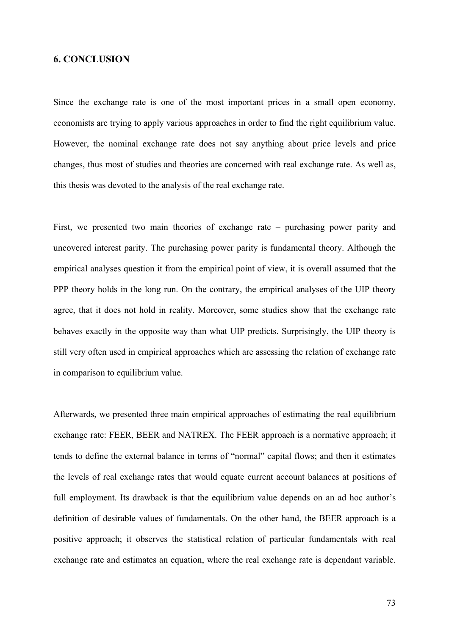## **6. CONCLUSION**

Since the exchange rate is one of the most important prices in a small open economy, economists are trying to apply various approaches in order to find the right equilibrium value. However, the nominal exchange rate does not say anything about price levels and price changes, thus most of studies and theories are concerned with real exchange rate. As well as, this thesis was devoted to the analysis of the real exchange rate.

First, we presented two main theories of exchange rate – purchasing power parity and uncovered interest parity. The purchasing power parity is fundamental theory. Although the empirical analyses question it from the empirical point of view, it is overall assumed that the PPP theory holds in the long run. On the contrary, the empirical analyses of the UIP theory agree, that it does not hold in reality. Moreover, some studies show that the exchange rate behaves exactly in the opposite way than what UIP predicts. Surprisingly, the UIP theory is still very often used in empirical approaches which are assessing the relation of exchange rate in comparison to equilibrium value.

Afterwards, we presented three main empirical approaches of estimating the real equilibrium exchange rate: FEER, BEER and NATREX. The FEER approach is a normative approach; it tends to define the external balance in terms of "normal" capital flows; and then it estimates the levels of real exchange rates that would equate current account balances at positions of full employment. Its drawback is that the equilibrium value depends on an ad hoc author's definition of desirable values of fundamentals. On the other hand, the BEER approach is a positive approach; it observes the statistical relation of particular fundamentals with real exchange rate and estimates an equation, where the real exchange rate is dependant variable.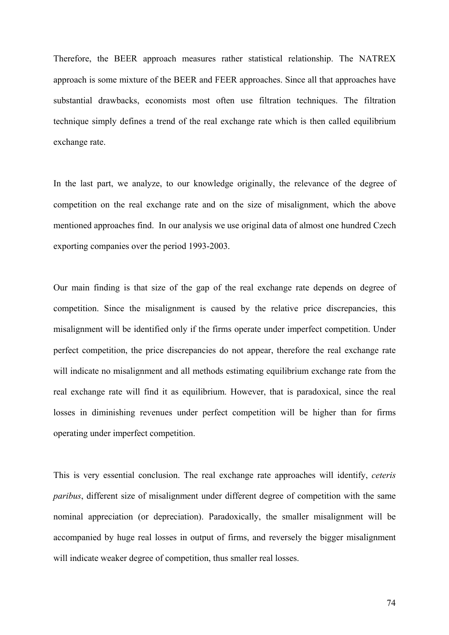Therefore, the BEER approach measures rather statistical relationship. The NATREX approach is some mixture of the BEER and FEER approaches. Since all that approaches have substantial drawbacks, economists most often use filtration techniques. The filtration technique simply defines a trend of the real exchange rate which is then called equilibrium exchange rate.

In the last part, we analyze, to our knowledge originally, the relevance of the degree of competition on the real exchange rate and on the size of misalignment, which the above mentioned approaches find. In our analysis we use original data of almost one hundred Czech exporting companies over the period 1993-2003.

Our main finding is that size of the gap of the real exchange rate depends on degree of competition. Since the misalignment is caused by the relative price discrepancies, this misalignment will be identified only if the firms operate under imperfect competition. Under perfect competition, the price discrepancies do not appear, therefore the real exchange rate will indicate no misalignment and all methods estimating equilibrium exchange rate from the real exchange rate will find it as equilibrium. However, that is paradoxical, since the real losses in diminishing revenues under perfect competition will be higher than for firms operating under imperfect competition.

This is very essential conclusion. The real exchange rate approaches will identify, *ceteris paribus*, different size of misalignment under different degree of competition with the same nominal appreciation (or depreciation). Paradoxically, the smaller misalignment will be accompanied by huge real losses in output of firms, and reversely the bigger misalignment will indicate weaker degree of competition, thus smaller real losses.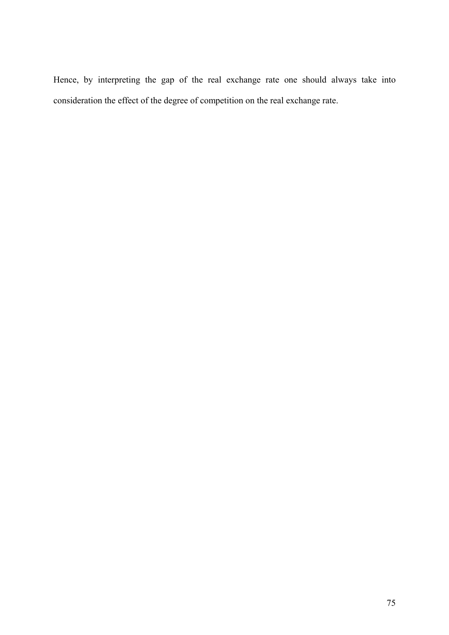Hence, by interpreting the gap of the real exchange rate one should always take into consideration the effect of the degree of competition on the real exchange rate.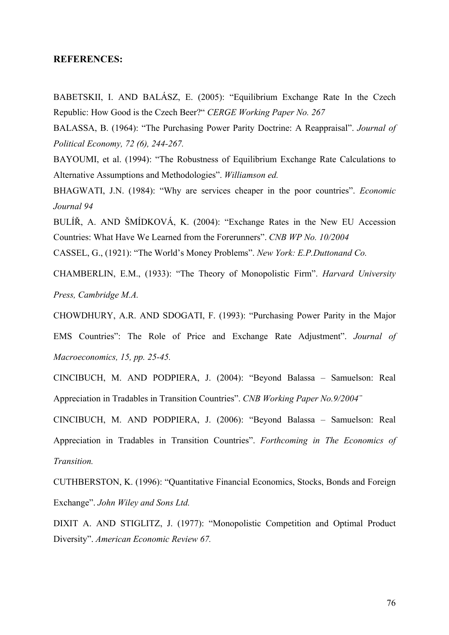## **REFERENCES:**

BABETSKII, I. AND BALÁSZ, E. (2005): "Equilibrium Exchange Rate In the Czech Republic: How Good is the Czech Beer?" *CERGE Working Paper No. 267* 

BALASSA, B. (1964): "The Purchasing Power Parity Doctrine: A Reappraisal". *Journal of Political Economy, 72 (6), 244-267.* 

BAYOUMI, et al. (1994): "The Robustness of Equilibrium Exchange Rate Calculations to Alternative Assumptions and Methodologies". *Williamson ed.*

BHAGWATI, J.N. (1984): "Why are services cheaper in the poor countries". *Economic Journal 94* 

BULÍŘ, A. AND ŠMÍDKOVÁ, K. (2004): "Exchange Rates in the New EU Accession Countries: What Have We Learned from the Forerunners". *CNB WP No. 10/2004* 

CASSEL, G., (1921): "The World's Money Problems". *New York: E.P.Duttonand Co.* 

CHAMBERLIN, E.M., (1933): "The Theory of Monopolistic Firm". *Harvard University Press, Cambridge M.A.*

CHOWDHURY, A.R. AND SDOGATI, F. (1993): "Purchasing Power Parity in the Major EMS Countries": The Role of Price and Exchange Rate Adjustment". *Journal of Macroeconomics, 15, pp. 25-45.* 

CINCIBUCH, M. AND PODPIERA, J. (2004): "Beyond Balassa – Samuelson: Real Appreciation in Tradables in Transition Countries". *CNB Working Paper No.9/2004¨* 

CINCIBUCH, M. AND PODPIERA, J. (2006): "Beyond Balassa – Samuelson: Real Appreciation in Tradables in Transition Countries". *Forthcoming in The Economics of Transition.* 

CUTHBERSTON, K. (1996): "Quantitative Financial Economics, Stocks, Bonds and Foreign Exchange". *John Wiley and Sons Ltd.*

DIXIT A. AND STIGLITZ, J. (1977): "Monopolistic Competition and Optimal Product Diversity". *American Economic Review 67.* 

76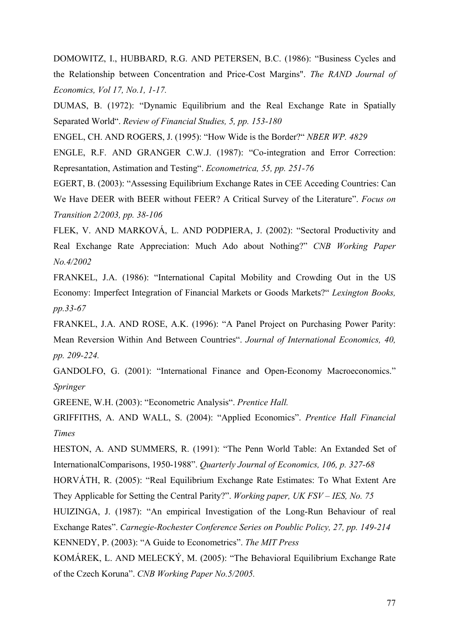DOMOWITZ, I., HUBBARD, R.G. AND PETERSEN, B.C. (1986): "Business Cycles and the Relationship between Concentration and Price-Cost Margins". *The RAND Journal of Economics, Vol 17, No.1, 1-17.*

DUMAS, B. (1972): "Dynamic Equilibrium and the Real Exchange Rate in Spatially Separated World". *Review of Financial Studies, 5, pp. 153-180* 

ENGEL, CH. AND ROGERS, J. (1995): "How Wide is the Border?" *NBER WP. 4829*

ENGLE, R.F. AND GRANGER C.W.J. (1987): "Co-integration and Error Correction: Represantation, Astimation and Testing". *Econometrica, 55, pp. 251-76* 

EGERT, B. (2003): "Assessing Equilibrium Exchange Rates in CEE Acceding Countries: Can We Have DEER with BEER without FEER? A Critical Survey of the Literature". *Focus on Transition 2/2003, pp. 38-106* 

FLEK, V. AND MARKOVÁ, L. AND PODPIERA, J. (2002): "Sectoral Productivity and Real Exchange Rate Appreciation: Much Ado about Nothing?" *CNB Working Paper No.4/2002*

FRANKEL, J.A. (1986): "International Capital Mobility and Crowding Out in the US Economy: Imperfect Integration of Financial Markets or Goods Markets?" *Lexington Books, pp.33-67* 

FRANKEL, J.A. AND ROSE, A.K. (1996): "A Panel Project on Purchasing Power Parity: Mean Reversion Within And Between Countries". *Journal of International Economics, 40, pp. 209-224.* 

GANDOLFO, G. (2001): "International Finance and Open-Economy Macroeconomics." *Springer*

GREENE, W.H. (2003): "Econometric Analysis". *Prentice Hall.* 

GRIFFITHS, A. AND WALL, S. (2004): "Applied Economics". *Prentice Hall Financial Times* 

HESTON, A. AND SUMMERS, R. (1991): "The Penn World Table: An Extanded Set of InternationalComparisons, 1950-1988". *Quarterly Journal of Economics, 106, p. 327-68*

HORVÁTH, R. (2005): "Real Equilibrium Exchange Rate Estimates: To What Extent Are They Applicable for Setting the Central Parity?". *Working paper, UK FSV – IES, No. 75* 

HUIZINGA, J. (1987): "An empirical Investigation of the Long-Run Behaviour of real Exchange Rates". *Carnegie-Rochester Conference Series on Poublic Policy, 27, pp. 149-214* 

KENNEDY, P. (2003): "A Guide to Econometrics". *The MIT Press* 

KOMÁREK, L. AND MELECKÝ, M. (2005): "The Behavioral Equilibrium Exchange Rate of the Czech Koruna". *CNB Working Paper No.5/2005.*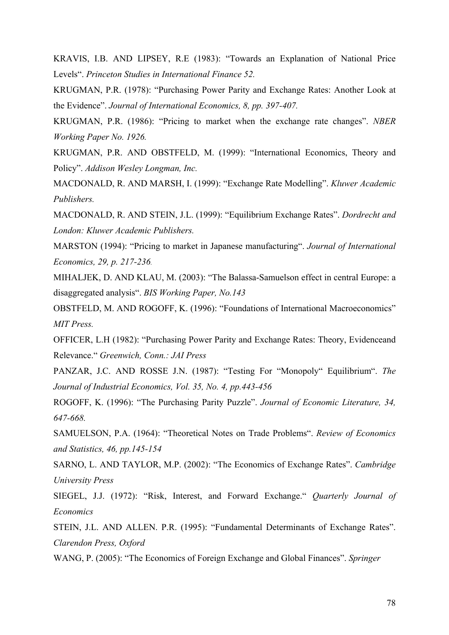KRAVIS, I.B. AND LIPSEY, R.E (1983): "Towards an Explanation of National Price Levels". *Princeton Studies in International Finance 52.* 

KRUGMAN, P.R. (1978): "Purchasing Power Parity and Exchange Rates: Another Look at the Evidence". *Journal of International Economics, 8, pp. 397-407.* 

KRUGMAN, P.R. (1986): "Pricing to market when the exchange rate changes". *NBER Working Paper No. 1926.* 

KRUGMAN, P.R. AND OBSTFELD, M. (1999): "International Economics, Theory and Policy". *Addison Wesley Longman, Inc.*

MACDONALD, R. AND MARSH, I. (1999): "Exchange Rate Modelling". *Kluwer Academic Publishers.* 

MACDONALD, R. AND STEIN, J.L. (1999): "Equilibrium Exchange Rates". *Dordrecht and London: Kluwer Academic Publishers.* 

MARSTON (1994): "Pricing to market in Japanese manufacturing". *Journal of International Economics, 29, p. 217-236.* 

MIHALJEK, D. AND KLAU, M. (2003): "The Balassa-Samuelson effect in central Europe: a disaggregated analysis". *BIS Working Paper, No.143*

OBSTFELD, M. AND ROGOFF, K. (1996): "Foundations of International Macroeconomics" *MIT Press.*

OFFICER, L.H (1982): "Purchasing Power Parity and Exchange Rates: Theory, Evidenceand Relevance." *Greenwich, Conn.: JAI Press* 

PANZAR, J.C. AND ROSSE J.N. (1987): "Testing For "Monopoly" Equilibrium". *The Journal of Industrial Economics, Vol. 35, No. 4, pp.443-456* 

ROGOFF, K. (1996): "The Purchasing Parity Puzzle". *Journal of Economic Literature, 34, 647-668.* 

SAMUELSON, P.A. (1964): "Theoretical Notes on Trade Problems". *Review of Economics and Statistics, 46, pp.145-154* 

SARNO, L. AND TAYLOR, M.P. (2002): "The Economics of Exchange Rates". *Cambridge University Press* 

SIEGEL, J.J. (1972): "Risk, Interest, and Forward Exchange." *Quarterly Journal of Economics* 

STEIN, J.L. AND ALLEN. P.R. (1995): "Fundamental Determinants of Exchange Rates". *Clarendon Press, Oxford*

WANG, P. (2005): "The Economics of Foreign Exchange and Global Finances". *Springer*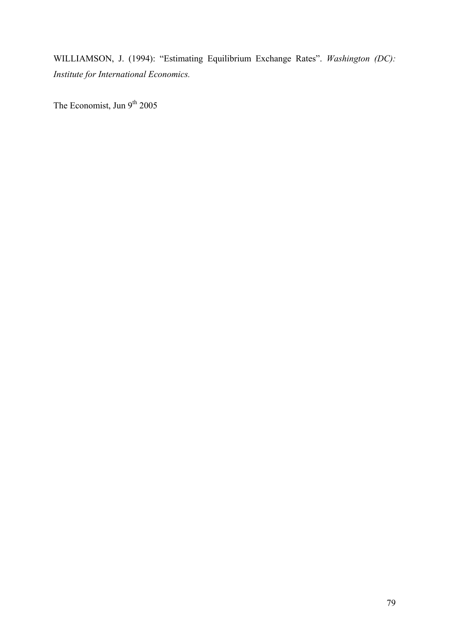WILLIAMSON, J. (1994): "Estimating Equilibrium Exchange Rates". *Washington (DC): Institute for International Economics.* 

The Economist, Jun 9<sup>th</sup> 2005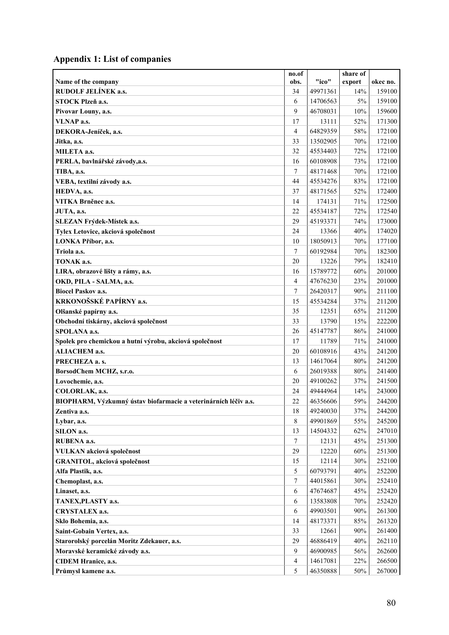## **Appendix 1: List of companies**

|                                                                 | no.of          |          | share of |          |
|-----------------------------------------------------------------|----------------|----------|----------|----------|
| Name of the company                                             | obs.           | "ico"    | export   | okec no. |
| RUDOLF JELÍNEK a.s.                                             | 34             | 49971361 | 14%      | 159100   |
| STOCK Plzeň a.s.                                                | 6              | 14706563 | 5%       | 159100   |
| Pivovar Louny, a.s.                                             | 9              | 46708031 | 10%      | 159600   |
| VLNAP a.s.                                                      | 17             | 13111    | 52%      | 171300   |
| DEKORA-Jeníček, a.s.                                            | $\overline{4}$ | 64829359 | 58%      | 172100   |
| Jitka, a.s.                                                     | 33             | 13502905 | 70%      | 172100   |
| MILETA a.s.                                                     | 32             | 45534403 | 72%      | 172100   |
| PERLA, bavlnářské závody,a.s.                                   | 16             | 60108908 | 73%      | 172100   |
| TIBA, a.s.                                                      | 7              | 48171468 | 70%      | 172100   |
| VEBA, textilní závody a.s.                                      | 44             | 45534276 | 83%      | 172100   |
| HEDVA, a.s.                                                     | 37             | 48171565 | 52%      | 172400   |
| VITKA Brněnec a.s.                                              | 14             | 174131   | 71%      | 172500   |
| JUTA, a.s.                                                      | 22             | 45534187 | 72%      | 172540   |
| SLEZAN Frýdek-Místek a.s.                                       | 29             | 45193371 | 74%      | 173000   |
| Tylex Letovice, akciová společnost                              | 24             | 13366    | 40%      | 174020   |
| LONKA Příbor, a.s.                                              | 10             | 18050913 | 70%      | 177100   |
| Triola a.s.                                                     | 7              | 60192984 | 70%      | 182300   |
| TONAK a.s.                                                      | 20             | 13226    | 79%      | 182410   |
| LIRA, obrazové lišty a rámy, a.s.                               | 16             | 15789772 | 60%      | 201000   |
| OKD, PILA - SALMA, a.s.                                         | $\overline{4}$ | 47676230 | 23%      | 201000   |
| <b>Biocel Paskov a.s.</b>                                       | 7              | 26420317 | 90%      | 211100   |
| KRKONOŠSKÉ PAPÍRNY a.s.                                         | 15             | 45534284 | 37%      | 211200   |
| Olšanské papírny a.s.                                           | 35             | 12351    | 65%      | 211200   |
| Obchodní tiskárny, akciová společnost                           | 33             | 13790    | 15%      | 222200   |
| SPOLANA a.s.                                                    | 26             | 45147787 | 86%      | 241000   |
| Spolek pro chemickou a hutní výrobu, akciová společnost         | 17             | 11789    | 71%      | 241000   |
| <b>ALIACHEM a.s.</b>                                            | 20             | 60108916 | 43%      | 241200   |
| PRECHEZA a. s.                                                  | 13             | 14617064 | 80%      | 241200   |
| BorsodChem MCHZ, s.r.o.                                         | 6              | 26019388 | 80%      | 241400   |
| Lovochemie, a.s.                                                | 20             | 49100262 | 37%      | 241500   |
| COLORLAK, a.s.                                                  | 24             | 49444964 | 14%      | 243000   |
| BIOPHARM, Výzkumný ústav biofarmacie a veterinárních léčiv a.s. | 22             | 46356606 | 59%      | 244200   |
| Zentiva a.s.                                                    | 18             | 49240030 | 37%      | 244200   |
| Lybar, a.s.                                                     | $\,8\,$        | 49901869 | 55%      | 245200   |
| SILON a.s.                                                      | 13             | 14504332 | 62%      | 247010   |
| RUBENA a.s.                                                     | 7              | 12131    | 45%      | 251300   |
| VULKAN akciová společnost                                       | 29             | 12220    | 60%      | 251300   |
| GRANITOL, akciová společnost                                    | 15             | 12114    | 30%      | 252100   |
| Alfa Plastik, a.s.                                              | 5              | 60793791 | 40%      | 252200   |
| Chemoplast, a.s.                                                | 7              | 44015861 | 30%      | 252410   |
| Linaset, a.s.                                                   | 6              | 47674687 | 45%      | 252420   |
| TANEX, PLASTY a.s.                                              | 6              | 13583808 | $70\%$   | 252420   |
| <b>CRYSTALEX a.s.</b>                                           | 6              | 49903501 | 90%      | 261300   |
| Sklo Bohemia, a.s.                                              | 14             | 48173371 | 85%      | 261320   |
| Saint-Gobain Vertex, a.s.                                       | 33             | 12661    | 90%      | 261400   |
| Starorolský porcelán Moritz Zdekauer, a.s.                      | 29             | 46886419 | 40%      | 262110   |
| Moravské keramické závody a.s.                                  | 9              | 46900985 | 56%      | 262600   |
| <b>CIDEM Hranice, a.s.</b>                                      | $\overline{4}$ | 14617081 | 22%      | 266500   |
| Průmysl kamene a.s.                                             | 5              | 46350888 | 50%      | 267000   |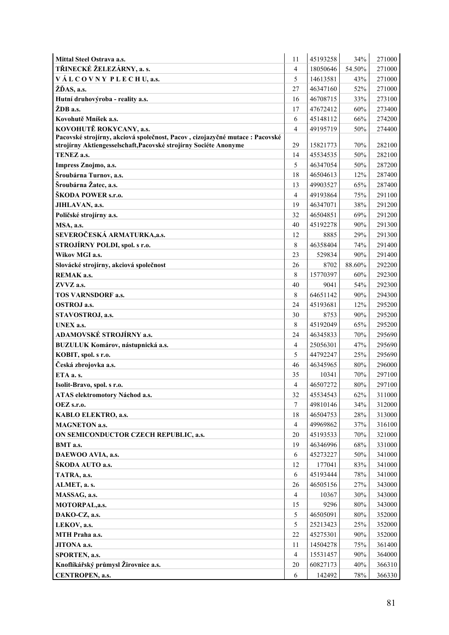| TŘINECKÉ ŽELEZÁRNY, a. s.<br>$\overline{4}$<br>18050646<br>54.50%<br>271000<br>VÁLCOVNY PLECHU, a.s.<br>5<br>14613581<br>43%<br>271000<br>ŽĎAS, a.s.<br>27<br>52%<br>46347160<br>271000<br>Hutní druhovýroba - reality a.s.<br>46708715<br>33%<br>16<br>273100<br>ŽDB a.s.<br>47672412<br>60%<br>273400<br>17<br>274200<br>45148112<br>66%<br>Kovohutě Mníšek a.s.<br>6<br>KOVOHUTĚ ROKYCANY, a.s.<br>49195719<br>$\overline{4}$<br>50%<br>274400<br>Pacovské strojírny, akciová společnost, Pacov, cizojazyčné mutace : Pacovské<br>282100<br>strojírny Aktiengesselschaft, Pacovské strojírny Sociéte Anonyme<br>29<br>15821773<br>70%<br>45534535<br>50%<br>282100<br>TENEZ a.s.<br>14<br>5<br>46347054<br>50%<br>287200<br>Impress Znojmo, a.s.<br>Šroubárna Turnov, a.s.<br>18<br>46504613<br>12%<br>287400<br>Šroubárna Žatec, a.s.<br>13<br>49903527<br>65%<br>287400<br>ŠKODA POWER s.r.o.<br>$\overline{4}$<br>49193864<br>75%<br>291100<br>19<br>46347071<br>38%<br>291200<br>JIHLAVAN, a.s.<br>32<br>46504851<br>69%<br>291200<br>Poličské strojírny a.s.<br>40<br>90%<br>MSA, a.s.<br>45192278<br>291300<br>SEVEROČESKÁ ARMATURKA, a.s.<br>29%<br>291300<br>12<br>8885<br>STROJÍRNY POLDI, spol. s r.o.<br>46358404<br>74%<br>291400<br>8<br>Wikov MGI a.s.<br>90%<br>291400<br>23<br>529834<br>Slovácké strojírny, akciová společnost<br>26<br>8702<br>88.60%<br>292200<br>8<br>15770397<br>REMAK a.s.<br>60%<br>292300<br>40<br>9041<br>54%<br>292300<br>ZVVZ a.s.<br>8<br>64651142<br>90%<br>294300<br>TOS VARNSDORF a.s.<br><b>OSTROJ a.s.</b><br>24<br>45193681<br>12%<br>295200<br>30<br>90%<br>STAVOSTROJ, a.s.<br>8753<br>295200<br>8<br>45192049<br>295200<br>65%<br>UNEX a.s.<br>ADAMOVSKÉ STROJÍRNY a.s.<br>46345833<br>70%<br>295690<br>24<br>BUZULUK Komárov, nástupnická a.s.<br>$\overline{4}$<br>25056301<br>47%<br>295690<br>44792247<br>25%<br>KOBIT, spol. s r.o.<br>5<br>295690<br>Česká zbrojovka a.s.<br>46<br>46345965<br>80%<br>296000<br>ETA a. s.<br>35<br>70%<br>297100<br>10341<br>4<br>46507272<br>80%<br>297100<br>Isolit-Bravo, spol. s r.o.<br>45534543<br>311000<br>ATAS elektromotory Náchod a.s.<br>32<br>62%<br>7<br>49810146<br>34%<br>312000<br>OEZ s.r.o.<br>18<br>$28\%$<br>46504753<br>313000<br>KABLO ELEKTRO, a.s.<br>49969862<br>37%<br>316100<br><b>MAGNETON a.s.</b><br>4<br>20<br>45193533<br>70%<br>321000<br>ON SEMICONDUCTOR CZECH REPUBLIC, a.s.<br>46346996<br>68%<br>331000<br>19<br>BMT a.s.<br>6<br>DAEWOO AVIA, a.s.<br>45273227<br>50%<br>341000<br>ŠKODA AUTO a.s.<br>12<br>177041<br>83%<br>341000<br>78%<br>6<br>45193444<br>341000<br>TATRA, a.s.<br>ALMET, a. s.<br>26<br>46505156<br>27%<br>343000<br>$\overline{4}$<br>30%<br>343000<br>10367<br>MASSAG, a.s.<br>15<br>9296<br>80%<br>343000<br>MOTORPAL, a.s.<br>5<br>46505091<br>$80\%$<br>DAKO-CZ, a.s.<br>352000<br>5<br>25%<br>25213423<br>352000<br>LEKOV, a.s.<br>22<br>45275301<br>90%<br>352000<br>MTH Praha a.s.<br>361400<br>JITONA a.s.<br>11<br>14504278<br>75%<br>$\overline{4}$<br>15531457<br>90%<br>364000<br>SPORTEN, a.s.<br>Knoflíkářský průmysl Žirovnice a.s.<br>20<br>60827173<br>40%<br>366310<br>CENTROPEN, a.s.<br>6<br>142492<br>78%<br>366330 | <b>Mittal Steel Ostrava a.s.</b> | 11 | 45193258 | 34% | 271000 |
|-------------------------------------------------------------------------------------------------------------------------------------------------------------------------------------------------------------------------------------------------------------------------------------------------------------------------------------------------------------------------------------------------------------------------------------------------------------------------------------------------------------------------------------------------------------------------------------------------------------------------------------------------------------------------------------------------------------------------------------------------------------------------------------------------------------------------------------------------------------------------------------------------------------------------------------------------------------------------------------------------------------------------------------------------------------------------------------------------------------------------------------------------------------------------------------------------------------------------------------------------------------------------------------------------------------------------------------------------------------------------------------------------------------------------------------------------------------------------------------------------------------------------------------------------------------------------------------------------------------------------------------------------------------------------------------------------------------------------------------------------------------------------------------------------------------------------------------------------------------------------------------------------------------------------------------------------------------------------------------------------------------------------------------------------------------------------------------------------------------------------------------------------------------------------------------------------------------------------------------------------------------------------------------------------------------------------------------------------------------------------------------------------------------------------------------------------------------------------------------------------------------------------------------------------------------------------------------------------------------------------------------------------------------------------------------------------------------------------------------------------------------------------------------------------------------------------------------------------------------------------------------------------------------------------------------------------------------------------------------------------------------------------------------------------------------------------------------------------------------------------------------------------------------------------------------------------------|----------------------------------|----|----------|-----|--------|
|                                                                                                                                                                                                                                                                                                                                                                                                                                                                                                                                                                                                                                                                                                                                                                                                                                                                                                                                                                                                                                                                                                                                                                                                                                                                                                                                                                                                                                                                                                                                                                                                                                                                                                                                                                                                                                                                                                                                                                                                                                                                                                                                                                                                                                                                                                                                                                                                                                                                                                                                                                                                                                                                                                                                                                                                                                                                                                                                                                                                                                                                                                                                                                                                       |                                  |    |          |     |        |
|                                                                                                                                                                                                                                                                                                                                                                                                                                                                                                                                                                                                                                                                                                                                                                                                                                                                                                                                                                                                                                                                                                                                                                                                                                                                                                                                                                                                                                                                                                                                                                                                                                                                                                                                                                                                                                                                                                                                                                                                                                                                                                                                                                                                                                                                                                                                                                                                                                                                                                                                                                                                                                                                                                                                                                                                                                                                                                                                                                                                                                                                                                                                                                                                       |                                  |    |          |     |        |
|                                                                                                                                                                                                                                                                                                                                                                                                                                                                                                                                                                                                                                                                                                                                                                                                                                                                                                                                                                                                                                                                                                                                                                                                                                                                                                                                                                                                                                                                                                                                                                                                                                                                                                                                                                                                                                                                                                                                                                                                                                                                                                                                                                                                                                                                                                                                                                                                                                                                                                                                                                                                                                                                                                                                                                                                                                                                                                                                                                                                                                                                                                                                                                                                       |                                  |    |          |     |        |
|                                                                                                                                                                                                                                                                                                                                                                                                                                                                                                                                                                                                                                                                                                                                                                                                                                                                                                                                                                                                                                                                                                                                                                                                                                                                                                                                                                                                                                                                                                                                                                                                                                                                                                                                                                                                                                                                                                                                                                                                                                                                                                                                                                                                                                                                                                                                                                                                                                                                                                                                                                                                                                                                                                                                                                                                                                                                                                                                                                                                                                                                                                                                                                                                       |                                  |    |          |     |        |
|                                                                                                                                                                                                                                                                                                                                                                                                                                                                                                                                                                                                                                                                                                                                                                                                                                                                                                                                                                                                                                                                                                                                                                                                                                                                                                                                                                                                                                                                                                                                                                                                                                                                                                                                                                                                                                                                                                                                                                                                                                                                                                                                                                                                                                                                                                                                                                                                                                                                                                                                                                                                                                                                                                                                                                                                                                                                                                                                                                                                                                                                                                                                                                                                       |                                  |    |          |     |        |
|                                                                                                                                                                                                                                                                                                                                                                                                                                                                                                                                                                                                                                                                                                                                                                                                                                                                                                                                                                                                                                                                                                                                                                                                                                                                                                                                                                                                                                                                                                                                                                                                                                                                                                                                                                                                                                                                                                                                                                                                                                                                                                                                                                                                                                                                                                                                                                                                                                                                                                                                                                                                                                                                                                                                                                                                                                                                                                                                                                                                                                                                                                                                                                                                       |                                  |    |          |     |        |
|                                                                                                                                                                                                                                                                                                                                                                                                                                                                                                                                                                                                                                                                                                                                                                                                                                                                                                                                                                                                                                                                                                                                                                                                                                                                                                                                                                                                                                                                                                                                                                                                                                                                                                                                                                                                                                                                                                                                                                                                                                                                                                                                                                                                                                                                                                                                                                                                                                                                                                                                                                                                                                                                                                                                                                                                                                                                                                                                                                                                                                                                                                                                                                                                       |                                  |    |          |     |        |
|                                                                                                                                                                                                                                                                                                                                                                                                                                                                                                                                                                                                                                                                                                                                                                                                                                                                                                                                                                                                                                                                                                                                                                                                                                                                                                                                                                                                                                                                                                                                                                                                                                                                                                                                                                                                                                                                                                                                                                                                                                                                                                                                                                                                                                                                                                                                                                                                                                                                                                                                                                                                                                                                                                                                                                                                                                                                                                                                                                                                                                                                                                                                                                                                       |                                  |    |          |     |        |
|                                                                                                                                                                                                                                                                                                                                                                                                                                                                                                                                                                                                                                                                                                                                                                                                                                                                                                                                                                                                                                                                                                                                                                                                                                                                                                                                                                                                                                                                                                                                                                                                                                                                                                                                                                                                                                                                                                                                                                                                                                                                                                                                                                                                                                                                                                                                                                                                                                                                                                                                                                                                                                                                                                                                                                                                                                                                                                                                                                                                                                                                                                                                                                                                       |                                  |    |          |     |        |
|                                                                                                                                                                                                                                                                                                                                                                                                                                                                                                                                                                                                                                                                                                                                                                                                                                                                                                                                                                                                                                                                                                                                                                                                                                                                                                                                                                                                                                                                                                                                                                                                                                                                                                                                                                                                                                                                                                                                                                                                                                                                                                                                                                                                                                                                                                                                                                                                                                                                                                                                                                                                                                                                                                                                                                                                                                                                                                                                                                                                                                                                                                                                                                                                       |                                  |    |          |     |        |
|                                                                                                                                                                                                                                                                                                                                                                                                                                                                                                                                                                                                                                                                                                                                                                                                                                                                                                                                                                                                                                                                                                                                                                                                                                                                                                                                                                                                                                                                                                                                                                                                                                                                                                                                                                                                                                                                                                                                                                                                                                                                                                                                                                                                                                                                                                                                                                                                                                                                                                                                                                                                                                                                                                                                                                                                                                                                                                                                                                                                                                                                                                                                                                                                       |                                  |    |          |     |        |
|                                                                                                                                                                                                                                                                                                                                                                                                                                                                                                                                                                                                                                                                                                                                                                                                                                                                                                                                                                                                                                                                                                                                                                                                                                                                                                                                                                                                                                                                                                                                                                                                                                                                                                                                                                                                                                                                                                                                                                                                                                                                                                                                                                                                                                                                                                                                                                                                                                                                                                                                                                                                                                                                                                                                                                                                                                                                                                                                                                                                                                                                                                                                                                                                       |                                  |    |          |     |        |
|                                                                                                                                                                                                                                                                                                                                                                                                                                                                                                                                                                                                                                                                                                                                                                                                                                                                                                                                                                                                                                                                                                                                                                                                                                                                                                                                                                                                                                                                                                                                                                                                                                                                                                                                                                                                                                                                                                                                                                                                                                                                                                                                                                                                                                                                                                                                                                                                                                                                                                                                                                                                                                                                                                                                                                                                                                                                                                                                                                                                                                                                                                                                                                                                       |                                  |    |          |     |        |
|                                                                                                                                                                                                                                                                                                                                                                                                                                                                                                                                                                                                                                                                                                                                                                                                                                                                                                                                                                                                                                                                                                                                                                                                                                                                                                                                                                                                                                                                                                                                                                                                                                                                                                                                                                                                                                                                                                                                                                                                                                                                                                                                                                                                                                                                                                                                                                                                                                                                                                                                                                                                                                                                                                                                                                                                                                                                                                                                                                                                                                                                                                                                                                                                       |                                  |    |          |     |        |
|                                                                                                                                                                                                                                                                                                                                                                                                                                                                                                                                                                                                                                                                                                                                                                                                                                                                                                                                                                                                                                                                                                                                                                                                                                                                                                                                                                                                                                                                                                                                                                                                                                                                                                                                                                                                                                                                                                                                                                                                                                                                                                                                                                                                                                                                                                                                                                                                                                                                                                                                                                                                                                                                                                                                                                                                                                                                                                                                                                                                                                                                                                                                                                                                       |                                  |    |          |     |        |
|                                                                                                                                                                                                                                                                                                                                                                                                                                                                                                                                                                                                                                                                                                                                                                                                                                                                                                                                                                                                                                                                                                                                                                                                                                                                                                                                                                                                                                                                                                                                                                                                                                                                                                                                                                                                                                                                                                                                                                                                                                                                                                                                                                                                                                                                                                                                                                                                                                                                                                                                                                                                                                                                                                                                                                                                                                                                                                                                                                                                                                                                                                                                                                                                       |                                  |    |          |     |        |
|                                                                                                                                                                                                                                                                                                                                                                                                                                                                                                                                                                                                                                                                                                                                                                                                                                                                                                                                                                                                                                                                                                                                                                                                                                                                                                                                                                                                                                                                                                                                                                                                                                                                                                                                                                                                                                                                                                                                                                                                                                                                                                                                                                                                                                                                                                                                                                                                                                                                                                                                                                                                                                                                                                                                                                                                                                                                                                                                                                                                                                                                                                                                                                                                       |                                  |    |          |     |        |
|                                                                                                                                                                                                                                                                                                                                                                                                                                                                                                                                                                                                                                                                                                                                                                                                                                                                                                                                                                                                                                                                                                                                                                                                                                                                                                                                                                                                                                                                                                                                                                                                                                                                                                                                                                                                                                                                                                                                                                                                                                                                                                                                                                                                                                                                                                                                                                                                                                                                                                                                                                                                                                                                                                                                                                                                                                                                                                                                                                                                                                                                                                                                                                                                       |                                  |    |          |     |        |
|                                                                                                                                                                                                                                                                                                                                                                                                                                                                                                                                                                                                                                                                                                                                                                                                                                                                                                                                                                                                                                                                                                                                                                                                                                                                                                                                                                                                                                                                                                                                                                                                                                                                                                                                                                                                                                                                                                                                                                                                                                                                                                                                                                                                                                                                                                                                                                                                                                                                                                                                                                                                                                                                                                                                                                                                                                                                                                                                                                                                                                                                                                                                                                                                       |                                  |    |          |     |        |
|                                                                                                                                                                                                                                                                                                                                                                                                                                                                                                                                                                                                                                                                                                                                                                                                                                                                                                                                                                                                                                                                                                                                                                                                                                                                                                                                                                                                                                                                                                                                                                                                                                                                                                                                                                                                                                                                                                                                                                                                                                                                                                                                                                                                                                                                                                                                                                                                                                                                                                                                                                                                                                                                                                                                                                                                                                                                                                                                                                                                                                                                                                                                                                                                       |                                  |    |          |     |        |
|                                                                                                                                                                                                                                                                                                                                                                                                                                                                                                                                                                                                                                                                                                                                                                                                                                                                                                                                                                                                                                                                                                                                                                                                                                                                                                                                                                                                                                                                                                                                                                                                                                                                                                                                                                                                                                                                                                                                                                                                                                                                                                                                                                                                                                                                                                                                                                                                                                                                                                                                                                                                                                                                                                                                                                                                                                                                                                                                                                                                                                                                                                                                                                                                       |                                  |    |          |     |        |
|                                                                                                                                                                                                                                                                                                                                                                                                                                                                                                                                                                                                                                                                                                                                                                                                                                                                                                                                                                                                                                                                                                                                                                                                                                                                                                                                                                                                                                                                                                                                                                                                                                                                                                                                                                                                                                                                                                                                                                                                                                                                                                                                                                                                                                                                                                                                                                                                                                                                                                                                                                                                                                                                                                                                                                                                                                                                                                                                                                                                                                                                                                                                                                                                       |                                  |    |          |     |        |
|                                                                                                                                                                                                                                                                                                                                                                                                                                                                                                                                                                                                                                                                                                                                                                                                                                                                                                                                                                                                                                                                                                                                                                                                                                                                                                                                                                                                                                                                                                                                                                                                                                                                                                                                                                                                                                                                                                                                                                                                                                                                                                                                                                                                                                                                                                                                                                                                                                                                                                                                                                                                                                                                                                                                                                                                                                                                                                                                                                                                                                                                                                                                                                                                       |                                  |    |          |     |        |
|                                                                                                                                                                                                                                                                                                                                                                                                                                                                                                                                                                                                                                                                                                                                                                                                                                                                                                                                                                                                                                                                                                                                                                                                                                                                                                                                                                                                                                                                                                                                                                                                                                                                                                                                                                                                                                                                                                                                                                                                                                                                                                                                                                                                                                                                                                                                                                                                                                                                                                                                                                                                                                                                                                                                                                                                                                                                                                                                                                                                                                                                                                                                                                                                       |                                  |    |          |     |        |
|                                                                                                                                                                                                                                                                                                                                                                                                                                                                                                                                                                                                                                                                                                                                                                                                                                                                                                                                                                                                                                                                                                                                                                                                                                                                                                                                                                                                                                                                                                                                                                                                                                                                                                                                                                                                                                                                                                                                                                                                                                                                                                                                                                                                                                                                                                                                                                                                                                                                                                                                                                                                                                                                                                                                                                                                                                                                                                                                                                                                                                                                                                                                                                                                       |                                  |    |          |     |        |
|                                                                                                                                                                                                                                                                                                                                                                                                                                                                                                                                                                                                                                                                                                                                                                                                                                                                                                                                                                                                                                                                                                                                                                                                                                                                                                                                                                                                                                                                                                                                                                                                                                                                                                                                                                                                                                                                                                                                                                                                                                                                                                                                                                                                                                                                                                                                                                                                                                                                                                                                                                                                                                                                                                                                                                                                                                                                                                                                                                                                                                                                                                                                                                                                       |                                  |    |          |     |        |
|                                                                                                                                                                                                                                                                                                                                                                                                                                                                                                                                                                                                                                                                                                                                                                                                                                                                                                                                                                                                                                                                                                                                                                                                                                                                                                                                                                                                                                                                                                                                                                                                                                                                                                                                                                                                                                                                                                                                                                                                                                                                                                                                                                                                                                                                                                                                                                                                                                                                                                                                                                                                                                                                                                                                                                                                                                                                                                                                                                                                                                                                                                                                                                                                       |                                  |    |          |     |        |
|                                                                                                                                                                                                                                                                                                                                                                                                                                                                                                                                                                                                                                                                                                                                                                                                                                                                                                                                                                                                                                                                                                                                                                                                                                                                                                                                                                                                                                                                                                                                                                                                                                                                                                                                                                                                                                                                                                                                                                                                                                                                                                                                                                                                                                                                                                                                                                                                                                                                                                                                                                                                                                                                                                                                                                                                                                                                                                                                                                                                                                                                                                                                                                                                       |                                  |    |          |     |        |
|                                                                                                                                                                                                                                                                                                                                                                                                                                                                                                                                                                                                                                                                                                                                                                                                                                                                                                                                                                                                                                                                                                                                                                                                                                                                                                                                                                                                                                                                                                                                                                                                                                                                                                                                                                                                                                                                                                                                                                                                                                                                                                                                                                                                                                                                                                                                                                                                                                                                                                                                                                                                                                                                                                                                                                                                                                                                                                                                                                                                                                                                                                                                                                                                       |                                  |    |          |     |        |
|                                                                                                                                                                                                                                                                                                                                                                                                                                                                                                                                                                                                                                                                                                                                                                                                                                                                                                                                                                                                                                                                                                                                                                                                                                                                                                                                                                                                                                                                                                                                                                                                                                                                                                                                                                                                                                                                                                                                                                                                                                                                                                                                                                                                                                                                                                                                                                                                                                                                                                                                                                                                                                                                                                                                                                                                                                                                                                                                                                                                                                                                                                                                                                                                       |                                  |    |          |     |        |
|                                                                                                                                                                                                                                                                                                                                                                                                                                                                                                                                                                                                                                                                                                                                                                                                                                                                                                                                                                                                                                                                                                                                                                                                                                                                                                                                                                                                                                                                                                                                                                                                                                                                                                                                                                                                                                                                                                                                                                                                                                                                                                                                                                                                                                                                                                                                                                                                                                                                                                                                                                                                                                                                                                                                                                                                                                                                                                                                                                                                                                                                                                                                                                                                       |                                  |    |          |     |        |
|                                                                                                                                                                                                                                                                                                                                                                                                                                                                                                                                                                                                                                                                                                                                                                                                                                                                                                                                                                                                                                                                                                                                                                                                                                                                                                                                                                                                                                                                                                                                                                                                                                                                                                                                                                                                                                                                                                                                                                                                                                                                                                                                                                                                                                                                                                                                                                                                                                                                                                                                                                                                                                                                                                                                                                                                                                                                                                                                                                                                                                                                                                                                                                                                       |                                  |    |          |     |        |
|                                                                                                                                                                                                                                                                                                                                                                                                                                                                                                                                                                                                                                                                                                                                                                                                                                                                                                                                                                                                                                                                                                                                                                                                                                                                                                                                                                                                                                                                                                                                                                                                                                                                                                                                                                                                                                                                                                                                                                                                                                                                                                                                                                                                                                                                                                                                                                                                                                                                                                                                                                                                                                                                                                                                                                                                                                                                                                                                                                                                                                                                                                                                                                                                       |                                  |    |          |     |        |
|                                                                                                                                                                                                                                                                                                                                                                                                                                                                                                                                                                                                                                                                                                                                                                                                                                                                                                                                                                                                                                                                                                                                                                                                                                                                                                                                                                                                                                                                                                                                                                                                                                                                                                                                                                                                                                                                                                                                                                                                                                                                                                                                                                                                                                                                                                                                                                                                                                                                                                                                                                                                                                                                                                                                                                                                                                                                                                                                                                                                                                                                                                                                                                                                       |                                  |    |          |     |        |
|                                                                                                                                                                                                                                                                                                                                                                                                                                                                                                                                                                                                                                                                                                                                                                                                                                                                                                                                                                                                                                                                                                                                                                                                                                                                                                                                                                                                                                                                                                                                                                                                                                                                                                                                                                                                                                                                                                                                                                                                                                                                                                                                                                                                                                                                                                                                                                                                                                                                                                                                                                                                                                                                                                                                                                                                                                                                                                                                                                                                                                                                                                                                                                                                       |                                  |    |          |     |        |
|                                                                                                                                                                                                                                                                                                                                                                                                                                                                                                                                                                                                                                                                                                                                                                                                                                                                                                                                                                                                                                                                                                                                                                                                                                                                                                                                                                                                                                                                                                                                                                                                                                                                                                                                                                                                                                                                                                                                                                                                                                                                                                                                                                                                                                                                                                                                                                                                                                                                                                                                                                                                                                                                                                                                                                                                                                                                                                                                                                                                                                                                                                                                                                                                       |                                  |    |          |     |        |
|                                                                                                                                                                                                                                                                                                                                                                                                                                                                                                                                                                                                                                                                                                                                                                                                                                                                                                                                                                                                                                                                                                                                                                                                                                                                                                                                                                                                                                                                                                                                                                                                                                                                                                                                                                                                                                                                                                                                                                                                                                                                                                                                                                                                                                                                                                                                                                                                                                                                                                                                                                                                                                                                                                                                                                                                                                                                                                                                                                                                                                                                                                                                                                                                       |                                  |    |          |     |        |
|                                                                                                                                                                                                                                                                                                                                                                                                                                                                                                                                                                                                                                                                                                                                                                                                                                                                                                                                                                                                                                                                                                                                                                                                                                                                                                                                                                                                                                                                                                                                                                                                                                                                                                                                                                                                                                                                                                                                                                                                                                                                                                                                                                                                                                                                                                                                                                                                                                                                                                                                                                                                                                                                                                                                                                                                                                                                                                                                                                                                                                                                                                                                                                                                       |                                  |    |          |     |        |
|                                                                                                                                                                                                                                                                                                                                                                                                                                                                                                                                                                                                                                                                                                                                                                                                                                                                                                                                                                                                                                                                                                                                                                                                                                                                                                                                                                                                                                                                                                                                                                                                                                                                                                                                                                                                                                                                                                                                                                                                                                                                                                                                                                                                                                                                                                                                                                                                                                                                                                                                                                                                                                                                                                                                                                                                                                                                                                                                                                                                                                                                                                                                                                                                       |                                  |    |          |     |        |
|                                                                                                                                                                                                                                                                                                                                                                                                                                                                                                                                                                                                                                                                                                                                                                                                                                                                                                                                                                                                                                                                                                                                                                                                                                                                                                                                                                                                                                                                                                                                                                                                                                                                                                                                                                                                                                                                                                                                                                                                                                                                                                                                                                                                                                                                                                                                                                                                                                                                                                                                                                                                                                                                                                                                                                                                                                                                                                                                                                                                                                                                                                                                                                                                       |                                  |    |          |     |        |
|                                                                                                                                                                                                                                                                                                                                                                                                                                                                                                                                                                                                                                                                                                                                                                                                                                                                                                                                                                                                                                                                                                                                                                                                                                                                                                                                                                                                                                                                                                                                                                                                                                                                                                                                                                                                                                                                                                                                                                                                                                                                                                                                                                                                                                                                                                                                                                                                                                                                                                                                                                                                                                                                                                                                                                                                                                                                                                                                                                                                                                                                                                                                                                                                       |                                  |    |          |     |        |
|                                                                                                                                                                                                                                                                                                                                                                                                                                                                                                                                                                                                                                                                                                                                                                                                                                                                                                                                                                                                                                                                                                                                                                                                                                                                                                                                                                                                                                                                                                                                                                                                                                                                                                                                                                                                                                                                                                                                                                                                                                                                                                                                                                                                                                                                                                                                                                                                                                                                                                                                                                                                                                                                                                                                                                                                                                                                                                                                                                                                                                                                                                                                                                                                       |                                  |    |          |     |        |
|                                                                                                                                                                                                                                                                                                                                                                                                                                                                                                                                                                                                                                                                                                                                                                                                                                                                                                                                                                                                                                                                                                                                                                                                                                                                                                                                                                                                                                                                                                                                                                                                                                                                                                                                                                                                                                                                                                                                                                                                                                                                                                                                                                                                                                                                                                                                                                                                                                                                                                                                                                                                                                                                                                                                                                                                                                                                                                                                                                                                                                                                                                                                                                                                       |                                  |    |          |     |        |
|                                                                                                                                                                                                                                                                                                                                                                                                                                                                                                                                                                                                                                                                                                                                                                                                                                                                                                                                                                                                                                                                                                                                                                                                                                                                                                                                                                                                                                                                                                                                                                                                                                                                                                                                                                                                                                                                                                                                                                                                                                                                                                                                                                                                                                                                                                                                                                                                                                                                                                                                                                                                                                                                                                                                                                                                                                                                                                                                                                                                                                                                                                                                                                                                       |                                  |    |          |     |        |
|                                                                                                                                                                                                                                                                                                                                                                                                                                                                                                                                                                                                                                                                                                                                                                                                                                                                                                                                                                                                                                                                                                                                                                                                                                                                                                                                                                                                                                                                                                                                                                                                                                                                                                                                                                                                                                                                                                                                                                                                                                                                                                                                                                                                                                                                                                                                                                                                                                                                                                                                                                                                                                                                                                                                                                                                                                                                                                                                                                                                                                                                                                                                                                                                       |                                  |    |          |     |        |
|                                                                                                                                                                                                                                                                                                                                                                                                                                                                                                                                                                                                                                                                                                                                                                                                                                                                                                                                                                                                                                                                                                                                                                                                                                                                                                                                                                                                                                                                                                                                                                                                                                                                                                                                                                                                                                                                                                                                                                                                                                                                                                                                                                                                                                                                                                                                                                                                                                                                                                                                                                                                                                                                                                                                                                                                                                                                                                                                                                                                                                                                                                                                                                                                       |                                  |    |          |     |        |
|                                                                                                                                                                                                                                                                                                                                                                                                                                                                                                                                                                                                                                                                                                                                                                                                                                                                                                                                                                                                                                                                                                                                                                                                                                                                                                                                                                                                                                                                                                                                                                                                                                                                                                                                                                                                                                                                                                                                                                                                                                                                                                                                                                                                                                                                                                                                                                                                                                                                                                                                                                                                                                                                                                                                                                                                                                                                                                                                                                                                                                                                                                                                                                                                       |                                  |    |          |     |        |
|                                                                                                                                                                                                                                                                                                                                                                                                                                                                                                                                                                                                                                                                                                                                                                                                                                                                                                                                                                                                                                                                                                                                                                                                                                                                                                                                                                                                                                                                                                                                                                                                                                                                                                                                                                                                                                                                                                                                                                                                                                                                                                                                                                                                                                                                                                                                                                                                                                                                                                                                                                                                                                                                                                                                                                                                                                                                                                                                                                                                                                                                                                                                                                                                       |                                  |    |          |     |        |
|                                                                                                                                                                                                                                                                                                                                                                                                                                                                                                                                                                                                                                                                                                                                                                                                                                                                                                                                                                                                                                                                                                                                                                                                                                                                                                                                                                                                                                                                                                                                                                                                                                                                                                                                                                                                                                                                                                                                                                                                                                                                                                                                                                                                                                                                                                                                                                                                                                                                                                                                                                                                                                                                                                                                                                                                                                                                                                                                                                                                                                                                                                                                                                                                       |                                  |    |          |     |        |
|                                                                                                                                                                                                                                                                                                                                                                                                                                                                                                                                                                                                                                                                                                                                                                                                                                                                                                                                                                                                                                                                                                                                                                                                                                                                                                                                                                                                                                                                                                                                                                                                                                                                                                                                                                                                                                                                                                                                                                                                                                                                                                                                                                                                                                                                                                                                                                                                                                                                                                                                                                                                                                                                                                                                                                                                                                                                                                                                                                                                                                                                                                                                                                                                       |                                  |    |          |     |        |
|                                                                                                                                                                                                                                                                                                                                                                                                                                                                                                                                                                                                                                                                                                                                                                                                                                                                                                                                                                                                                                                                                                                                                                                                                                                                                                                                                                                                                                                                                                                                                                                                                                                                                                                                                                                                                                                                                                                                                                                                                                                                                                                                                                                                                                                                                                                                                                                                                                                                                                                                                                                                                                                                                                                                                                                                                                                                                                                                                                                                                                                                                                                                                                                                       |                                  |    |          |     |        |
|                                                                                                                                                                                                                                                                                                                                                                                                                                                                                                                                                                                                                                                                                                                                                                                                                                                                                                                                                                                                                                                                                                                                                                                                                                                                                                                                                                                                                                                                                                                                                                                                                                                                                                                                                                                                                                                                                                                                                                                                                                                                                                                                                                                                                                                                                                                                                                                                                                                                                                                                                                                                                                                                                                                                                                                                                                                                                                                                                                                                                                                                                                                                                                                                       |                                  |    |          |     |        |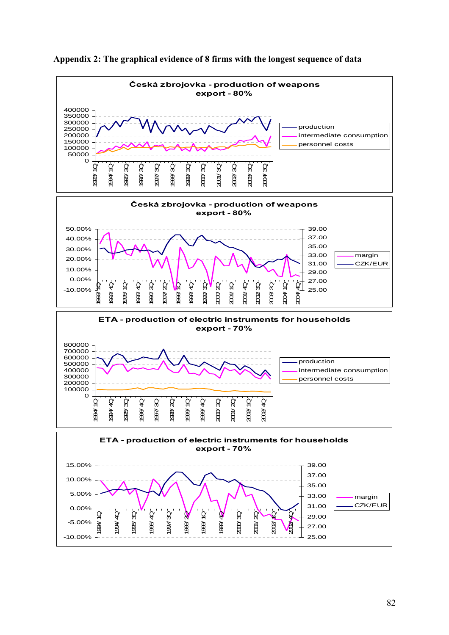

**Appendix 2: The graphical evidence of 8 firms with the longest sequence of data**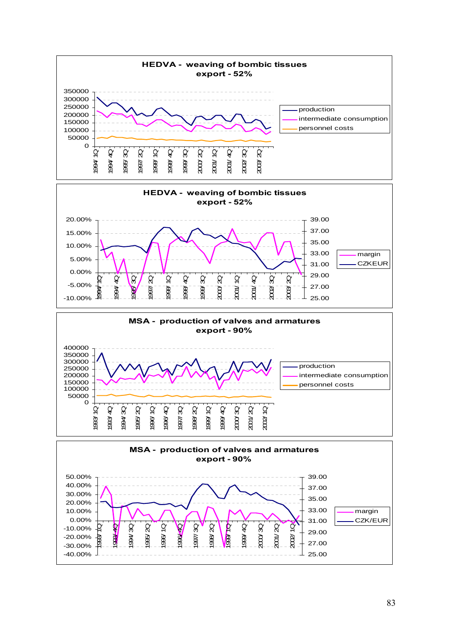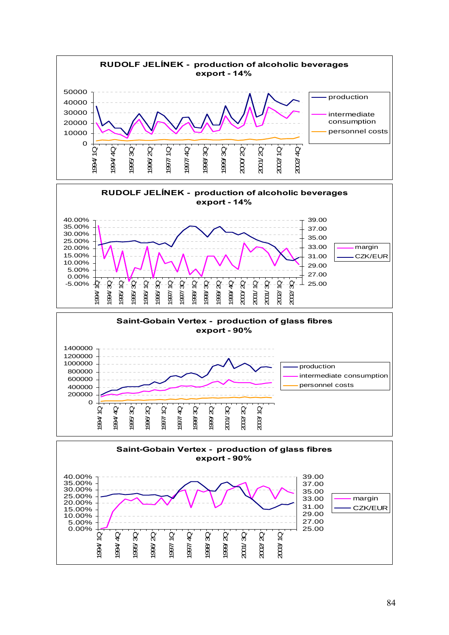